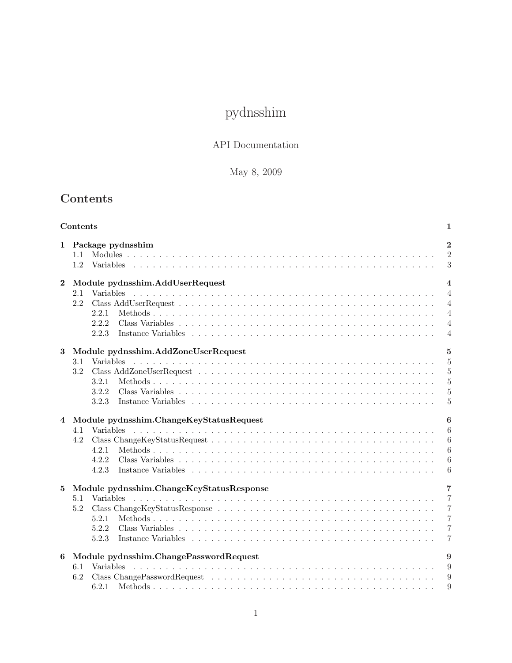# pydnsshim

### API Documentation

## May 8, 2009

# <span id="page-0-0"></span>Contents

|          | Contents                                                                          | 1                                                                                                        |
|----------|-----------------------------------------------------------------------------------|----------------------------------------------------------------------------------------------------------|
| 1        | Package pydnsshim<br>1.1<br>1.2<br><b>Variables</b>                               | $\overline{2}$<br>$\overline{2}$<br>3                                                                    |
| $\bf{2}$ | Module pydnsshim.AddUserRequest<br>2.1<br>2.2<br>2.2.1<br>2.2.2<br>2.2.3          | $\overline{4}$<br>$\overline{4}$<br>$\overline{4}$<br>$\overline{4}$<br>$\overline{4}$<br>$\overline{4}$ |
| 3        | Module pydnsshim.AddZoneUserRequest<br>3.1<br>3.2<br>3.2.1<br>3.2.2<br>3.2.3      | $\overline{5}$<br>5<br>$\overline{5}$<br>$\overline{5}$<br>5<br>5                                        |
| 4        | Module pydnsshim.ChangeKeyStatusRequest<br>4.1<br>4.2<br>4.2.1<br>4.2.2<br>4.2.3  | 6<br>6<br>6<br>6<br>6<br>6                                                                               |
| 5        | Module pydnsshim.ChangeKeyStatusResponse<br>5.1<br>5.2<br>5.2.1<br>5.2.2<br>5.2.3 | 7<br>$\overline{7}$<br>7<br>$\overline{7}$<br>$\overline{7}$<br>7                                        |
| 6        | Module pydnsshim.ChangePasswordRequest<br>6.1<br><b>Variables</b><br>6.2<br>6.2.1 | 9<br>9<br>9<br>9                                                                                         |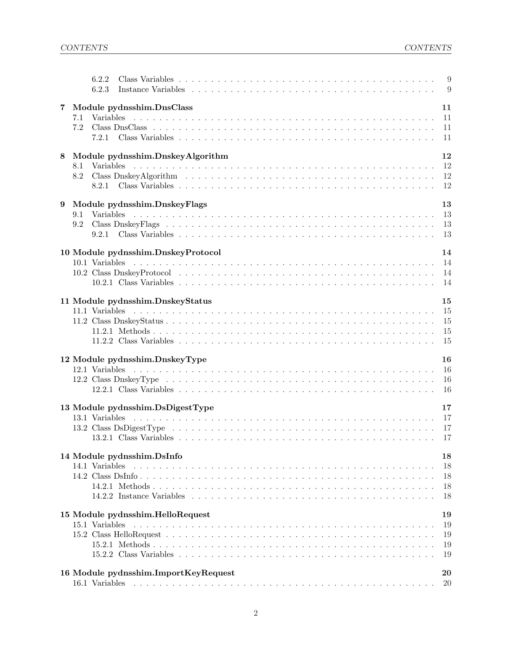|   |     | 6.2.2<br>6.2.3 |                                                                                                                                                                                                                                                                       |  |  |  |  |  |  |  |  |  |  |                     |
|---|-----|----------------|-----------------------------------------------------------------------------------------------------------------------------------------------------------------------------------------------------------------------------------------------------------------------|--|--|--|--|--|--|--|--|--|--|---------------------|
| 7 |     |                | Module pydnsshim.DnsClass                                                                                                                                                                                                                                             |  |  |  |  |  |  |  |  |  |  | 11                  |
|   | 7.1 |                |                                                                                                                                                                                                                                                                       |  |  |  |  |  |  |  |  |  |  | 11                  |
|   | 7.2 |                |                                                                                                                                                                                                                                                                       |  |  |  |  |  |  |  |  |  |  | -11                 |
|   |     | 7.2.1          |                                                                                                                                                                                                                                                                       |  |  |  |  |  |  |  |  |  |  | 11                  |
| 8 |     |                | Module pydnsshim.DnskeyAlgorithm                                                                                                                                                                                                                                      |  |  |  |  |  |  |  |  |  |  | 12                  |
|   | 8.1 |                |                                                                                                                                                                                                                                                                       |  |  |  |  |  |  |  |  |  |  | 12                  |
|   | 8.2 |                |                                                                                                                                                                                                                                                                       |  |  |  |  |  |  |  |  |  |  | 12<br>12            |
|   |     |                |                                                                                                                                                                                                                                                                       |  |  |  |  |  |  |  |  |  |  |                     |
| 9 | 9.1 |                | Module pydnsshim.DnskeyFlags                                                                                                                                                                                                                                          |  |  |  |  |  |  |  |  |  |  | 13<br>-13           |
|   | 9.2 |                |                                                                                                                                                                                                                                                                       |  |  |  |  |  |  |  |  |  |  | 13                  |
|   |     |                |                                                                                                                                                                                                                                                                       |  |  |  |  |  |  |  |  |  |  | 13                  |
|   |     |                |                                                                                                                                                                                                                                                                       |  |  |  |  |  |  |  |  |  |  |                     |
|   |     |                | 10 Module pydnsshim.DnskeyProtocol                                                                                                                                                                                                                                    |  |  |  |  |  |  |  |  |  |  | 14                  |
|   |     |                |                                                                                                                                                                                                                                                                       |  |  |  |  |  |  |  |  |  |  | 14                  |
|   |     |                |                                                                                                                                                                                                                                                                       |  |  |  |  |  |  |  |  |  |  | 14<br>-14           |
|   |     |                |                                                                                                                                                                                                                                                                       |  |  |  |  |  |  |  |  |  |  |                     |
|   |     |                | 11 Module pydnsshim.DnskeyStatus                                                                                                                                                                                                                                      |  |  |  |  |  |  |  |  |  |  | 15                  |
|   |     |                |                                                                                                                                                                                                                                                                       |  |  |  |  |  |  |  |  |  |  | <sup>15</sup>       |
|   |     |                |                                                                                                                                                                                                                                                                       |  |  |  |  |  |  |  |  |  |  | 15<br>15            |
|   |     |                |                                                                                                                                                                                                                                                                       |  |  |  |  |  |  |  |  |  |  | 15                  |
|   |     |                |                                                                                                                                                                                                                                                                       |  |  |  |  |  |  |  |  |  |  |                     |
|   |     |                | 12 Module pydnsshim.DnskeyType                                                                                                                                                                                                                                        |  |  |  |  |  |  |  |  |  |  | 16                  |
|   |     |                |                                                                                                                                                                                                                                                                       |  |  |  |  |  |  |  |  |  |  | <sup>16</sup><br>16 |
|   |     |                |                                                                                                                                                                                                                                                                       |  |  |  |  |  |  |  |  |  |  | 16                  |
|   |     |                |                                                                                                                                                                                                                                                                       |  |  |  |  |  |  |  |  |  |  |                     |
|   |     |                | 13 Module pydnsshim.DsDigestType                                                                                                                                                                                                                                      |  |  |  |  |  |  |  |  |  |  | 17<br>17            |
|   |     |                |                                                                                                                                                                                                                                                                       |  |  |  |  |  |  |  |  |  |  | -17                 |
|   |     |                |                                                                                                                                                                                                                                                                       |  |  |  |  |  |  |  |  |  |  | 17                  |
|   |     |                |                                                                                                                                                                                                                                                                       |  |  |  |  |  |  |  |  |  |  |                     |
|   |     |                | 14 Module pydnsshim.DsInfo                                                                                                                                                                                                                                            |  |  |  |  |  |  |  |  |  |  | 18                  |
|   |     | 14.1 Variables |                                                                                                                                                                                                                                                                       |  |  |  |  |  |  |  |  |  |  | 18                  |
|   |     |                |                                                                                                                                                                                                                                                                       |  |  |  |  |  |  |  |  |  |  | 18<br>18            |
|   |     |                |                                                                                                                                                                                                                                                                       |  |  |  |  |  |  |  |  |  |  | 18                  |
|   |     |                |                                                                                                                                                                                                                                                                       |  |  |  |  |  |  |  |  |  |  |                     |
|   |     | 15.1 Variables | 15 Module pydnsshim.HelloRequest                                                                                                                                                                                                                                      |  |  |  |  |  |  |  |  |  |  | 19<br>19            |
|   |     |                |                                                                                                                                                                                                                                                                       |  |  |  |  |  |  |  |  |  |  | 19                  |
|   |     |                |                                                                                                                                                                                                                                                                       |  |  |  |  |  |  |  |  |  |  | 19                  |
|   |     |                |                                                                                                                                                                                                                                                                       |  |  |  |  |  |  |  |  |  |  | 19                  |
|   |     |                |                                                                                                                                                                                                                                                                       |  |  |  |  |  |  |  |  |  |  |                     |
|   |     | 16.1 Variables | 16 Module pydnsshim.ImportKeyRequest<br>and a constitution of the constitution of the constitution of the constitution of the constitution of the constitution of the constitution of the constitution of the constitution of the constitution of the constitution of |  |  |  |  |  |  |  |  |  |  | 20<br>20            |
|   |     |                |                                                                                                                                                                                                                                                                       |  |  |  |  |  |  |  |  |  |  |                     |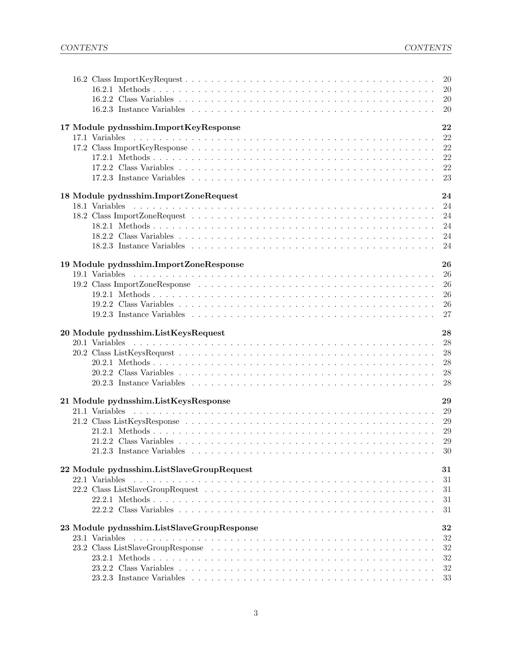|                                            | 20       |
|--------------------------------------------|----------|
|                                            | 20       |
|                                            | 20       |
|                                            | 20       |
| 17 Module pydnsshim.ImportKeyResponse      | 22       |
|                                            | 22       |
|                                            | 22       |
|                                            | 22       |
|                                            | 22       |
|                                            | 23       |
|                                            |          |
| 18 Module pydnsshim.ImportZoneRequest      | 24       |
|                                            | 24       |
|                                            | 24       |
|                                            | 24       |
|                                            | 24       |
|                                            | 24       |
|                                            |          |
| 19 Module pydnsshim.ImportZoneResponse     | 26       |
|                                            | 26       |
|                                            | 26<br>26 |
|                                            | 26       |
|                                            | 27       |
|                                            |          |
| 20 Module pydnsshim.ListKeysRequest        | 28       |
|                                            | 28       |
|                                            | 28       |
|                                            | 28       |
|                                            | 28       |
|                                            | 28       |
| 21 Module pydnsshim.ListKeysResponse       | 29       |
|                                            | 29       |
|                                            | 29       |
|                                            | 29       |
|                                            | 29       |
|                                            | $30\,$   |
|                                            |          |
| 22 Module pydnsshim.ListSlaveGroupRequest  | $31\,$   |
| 22.1 Variables                             | 31       |
|                                            | 31       |
|                                            | 31       |
|                                            | 31       |
| 23 Module pydnsshim.ListSlaveGroupResponse | 32       |
| 23.1 Variables                             | 32       |
|                                            | 32       |
|                                            | 32       |
|                                            | 32       |
|                                            | 33       |
|                                            |          |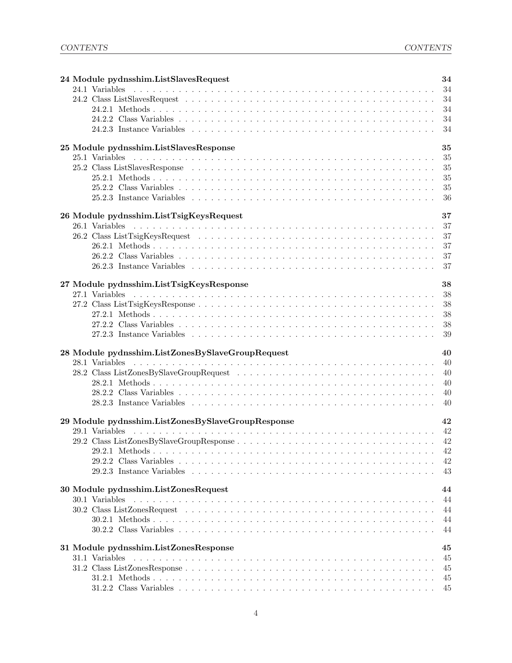| 24 Module pydnsshim.ListSlavesRequest             | 34       |
|---------------------------------------------------|----------|
| 24.1 Variables                                    |          |
|                                                   |          |
|                                                   | 34       |
|                                                   |          |
|                                                   | 34       |
| 25 Module pydnsshim.ListSlavesResponse            | 35       |
|                                                   | -35      |
|                                                   | 35       |
|                                                   | 35       |
|                                                   | 35       |
|                                                   | -36      |
| 26 Module pydnsshim.ListTsigKeysRequest           | 37       |
|                                                   | 37       |
|                                                   | 37       |
|                                                   | 37       |
|                                                   | 37       |
|                                                   |          |
|                                                   |          |
| 27 Module pydnsshim.ListTsigKeysResponse          | 38       |
|                                                   | 38<br>38 |
|                                                   | 38       |
|                                                   | 38       |
|                                                   | 39       |
|                                                   |          |
| 28 Module pydnsshim.ListZonesBySlaveGroupRequest  | 40       |
|                                                   | 40       |
| 28.2 Class ListZonesBySlaveGroupRequest           | 40       |
|                                                   | 40       |
|                                                   | 40       |
|                                                   | 40       |
| 29 Module pydnsshim.ListZonesBySlaveGroupResponse | 42       |
|                                                   |          |
|                                                   |          |
|                                                   |          |
|                                                   | 42       |
|                                                   | 43       |
|                                                   |          |
| 30 Module pydnsshim.ListZonesRequest              | 44       |
| 30.1 Variables                                    | 44       |
|                                                   | 44       |
|                                                   | 44<br>44 |
|                                                   |          |
| 31 Module pydnsshim.ListZonesResponse             | 45       |
| 31.1 Variables                                    | 45       |
|                                                   | 45       |
|                                                   | 45       |
|                                                   |          |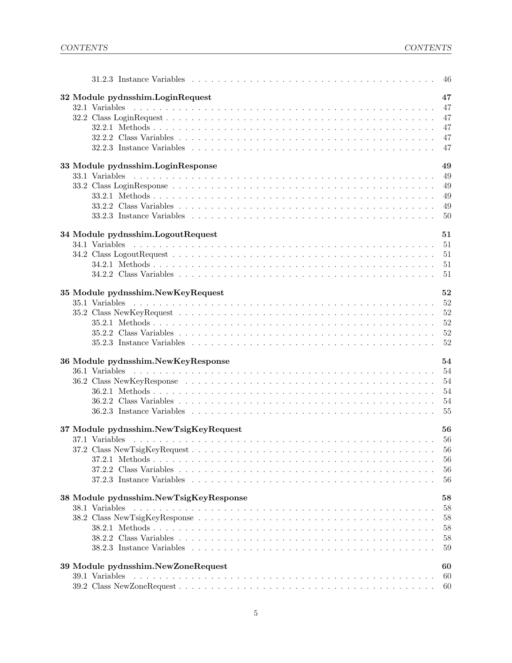| 32 Module pydnsshim.LoginRequest                     | 47       |
|------------------------------------------------------|----------|
|                                                      | 47       |
|                                                      | 47       |
|                                                      | 47       |
|                                                      | 47       |
|                                                      | 47       |
|                                                      |          |
| 33 Module pydnsshim.LoginResponse                    | 49       |
|                                                      | 49       |
|                                                      | 49       |
|                                                      | 49       |
|                                                      | 49       |
|                                                      | 50       |
|                                                      |          |
| 34 Module pydnsshim.LogoutRequest                    | 51       |
|                                                      | 51       |
|                                                      | 51       |
|                                                      | 51       |
|                                                      | 51       |
|                                                      |          |
| 35 Module pydnsshim.NewKeyRequest                    | 52       |
|                                                      | 52       |
|                                                      | 52       |
|                                                      | 52       |
|                                                      | 52       |
|                                                      | 52       |
|                                                      |          |
| 36 Module pydnsshim.NewKeyResponse                   | 54       |
|                                                      | 54       |
|                                                      | 54       |
|                                                      | 54       |
| 54                                                   |          |
|                                                      |          |
|                                                      |          |
| 37 Module pydnsshim.NewTsigKeyRequest                | 56       |
|                                                      |          |
|                                                      | 56       |
|                                                      | 56       |
|                                                      | 56       |
|                                                      | 56       |
|                                                      |          |
| 38 Module pydnsshim.NewTsigKeyResponse               | 58       |
| 38.1 Variables                                       | 58       |
|                                                      | 58       |
|                                                      | 58       |
|                                                      | 58       |
|                                                      | 59       |
|                                                      |          |
| 39 Module pydnsshim.NewZoneRequest<br>39.1 Variables | 60<br>60 |
|                                                      |          |
|                                                      | 60       |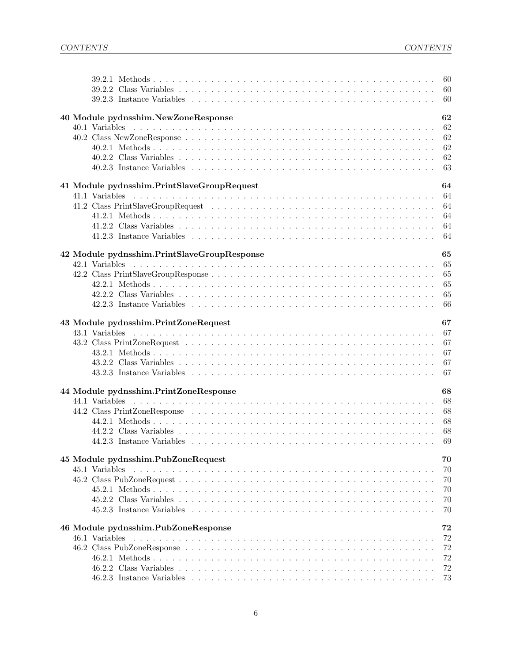|                                             | -60      |
|---------------------------------------------|----------|
|                                             |          |
|                                             |          |
|                                             |          |
| 40 Module pydnsshim.NewZoneResponse         | 62       |
|                                             | 62       |
|                                             | 62       |
|                                             | 62       |
|                                             | 62       |
|                                             |          |
|                                             | 64       |
| 41 Module pydnsshim.PrintSlaveGroupRequest  | 64       |
|                                             | 64       |
|                                             | 64       |
|                                             |          |
|                                             |          |
|                                             |          |
| 42 Module pydnsshim.PrintSlaveGroupResponse | 65       |
|                                             | 65       |
|                                             | 65       |
|                                             | 65       |
|                                             | 65       |
|                                             | 66       |
|                                             |          |
| 43 Module pydnsshim.PrintZoneRequest        | 67       |
| 43.1 Variables                              | 67       |
|                                             | 67       |
|                                             | 67       |
|                                             | 67       |
|                                             | 67       |
|                                             |          |
| 44 Module pydnsshim.PrintZoneResponse       | 68       |
| 44.1 Variables                              |          |
|                                             | 68       |
|                                             | 68       |
|                                             | - 68     |
|                                             |          |
|                                             |          |
| 45 Module pydnsshim.PubZoneRequest          | 70       |
| 45.1 Variables                              | 70<br>70 |
|                                             | 70       |
|                                             |          |
|                                             | 70       |
|                                             | 70       |
| 46 Module pydnsshim.PubZoneResponse         | 72       |
| 46.1 Variables                              | 72       |
|                                             | 72       |
|                                             | 72       |
|                                             | 72       |
|                                             | 73       |
|                                             |          |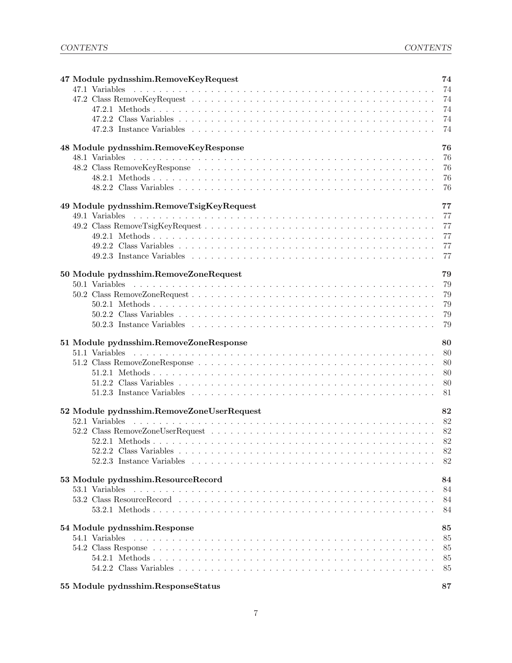| 47 Module pydnsshim.RemoveKeyRequest      | 74       |
|-------------------------------------------|----------|
| 47.1 Variables                            |          |
|                                           |          |
|                                           |          |
|                                           |          |
|                                           |          |
| 48 Module pydnsshim.RemoveKeyResponse     | 76       |
|                                           | 76       |
|                                           | 76       |
|                                           | 76       |
|                                           | 76       |
|                                           |          |
| 49 Module pydnsshim.RemoveTsigKeyRequest  | 77<br>77 |
|                                           |          |
|                                           | 77       |
|                                           |          |
|                                           |          |
|                                           |          |
| 50 Module pydnsshim.RemoveZoneRequest     | 79       |
|                                           | 79       |
|                                           | 79       |
|                                           | 79       |
|                                           | 79       |
|                                           | -79      |
| 51 Module pydnsshim.RemoveZoneResponse    | 80       |
|                                           | 80       |
|                                           | 80       |
|                                           | 80       |
|                                           |          |
|                                           |          |
| 52 Module pydnsshim.RemoveZoneUserRequest | 82       |
| 52.1 Variables                            |          |
|                                           |          |
|                                           |          |
|                                           |          |
|                                           |          |
|                                           |          |
| 53 Module pydnsshim.ResourceRecord        | 84       |
|                                           |          |
| 53.1 Variables                            | 84       |
|                                           | 84       |
|                                           | 84       |
| 54 Module pydnsshim.Response              | 85       |
| 54.1 Variables                            | 85       |
|                                           | 85       |
|                                           | 85       |
|                                           | 85       |

| 55 Module pydnsshim.ResponseStatus |  |
|------------------------------------|--|
|                                    |  |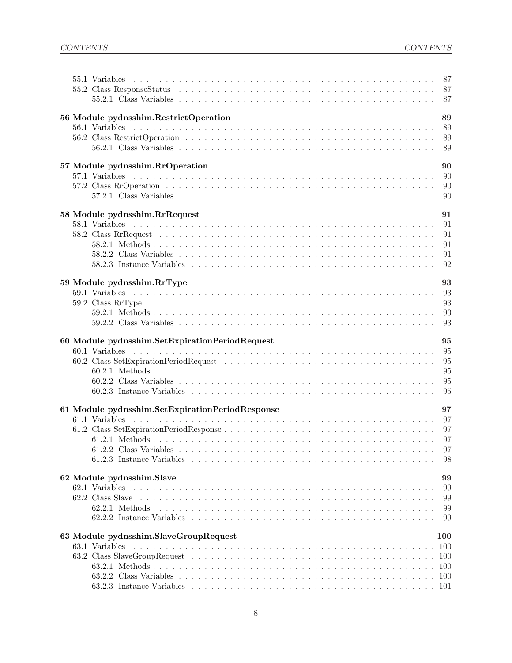|                                                 | 87         |
|-------------------------------------------------|------------|
| 56 Module pydnsshim.RestrictOperation           | 89         |
|                                                 | 89         |
|                                                 | 89         |
|                                                 | 89         |
| 57 Module pydnsshim.RrOperation                 | 90         |
|                                                 | .90        |
|                                                 | 90         |
|                                                 | 90         |
| 58 Module pydnsshim.RrRequest                   | 91         |
|                                                 | 91         |
|                                                 | 91         |
|                                                 | 91         |
|                                                 | 91         |
|                                                 | 92         |
| 59 Module pydnsshim.RrType                      | 93         |
|                                                 | 93         |
|                                                 | 93         |
|                                                 | 93         |
|                                                 | 93         |
|                                                 |            |
| 60 Module pydnsshim.SetExpirationPeriodRequest  | 95         |
|                                                 | 95         |
|                                                 | 95         |
|                                                 | 95         |
|                                                 | 95         |
|                                                 | 95         |
| 61 Module pydnsshim.SetExpirationPeriodResponse | 97         |
| 61.1 Variables                                  | -97        |
|                                                 | 97         |
|                                                 |            |
|                                                 |            |
|                                                 | 98         |
| 62 Module pydnsshim.Slave                       | 99         |
|                                                 | 99         |
|                                                 | 99         |
|                                                 | 99         |
|                                                 | 99         |
| 63 Module pydnsshim.SlaveGroupRequest           | 100        |
| 63.1 Variables                                  | 100        |
|                                                 | <b>100</b> |
|                                                 |            |
|                                                 | -100       |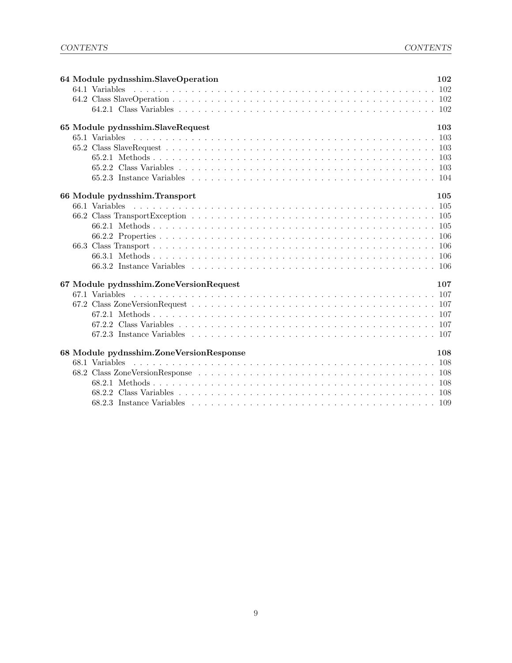|  | 64 Module pydnsshim.SlaveOperation                                                              | 102 |
|--|-------------------------------------------------------------------------------------------------|-----|
|  | 64.1 Variables                                                                                  |     |
|  |                                                                                                 |     |
|  |                                                                                                 |     |
|  | 65 Module pydnsshim.SlaveRequest                                                                | 103 |
|  |                                                                                                 |     |
|  |                                                                                                 |     |
|  |                                                                                                 |     |
|  |                                                                                                 |     |
|  |                                                                                                 |     |
|  | 66 Module pydnsshim. Transport                                                                  | 105 |
|  |                                                                                                 |     |
|  |                                                                                                 |     |
|  |                                                                                                 |     |
|  |                                                                                                 |     |
|  |                                                                                                 |     |
|  |                                                                                                 |     |
|  |                                                                                                 |     |
|  | 67 Module pydnsshim.ZoneVersionRequest                                                          | 107 |
|  |                                                                                                 |     |
|  |                                                                                                 |     |
|  |                                                                                                 |     |
|  |                                                                                                 |     |
|  | 67.2.3 Instance Variables experience in the contract of the contract of the contract of the 107 |     |
|  |                                                                                                 |     |
|  | 68 Module pydnsshim.ZoneVersionResponse                                                         | 108 |
|  |                                                                                                 |     |
|  |                                                                                                 |     |
|  |                                                                                                 |     |
|  |                                                                                                 |     |
|  |                                                                                                 |     |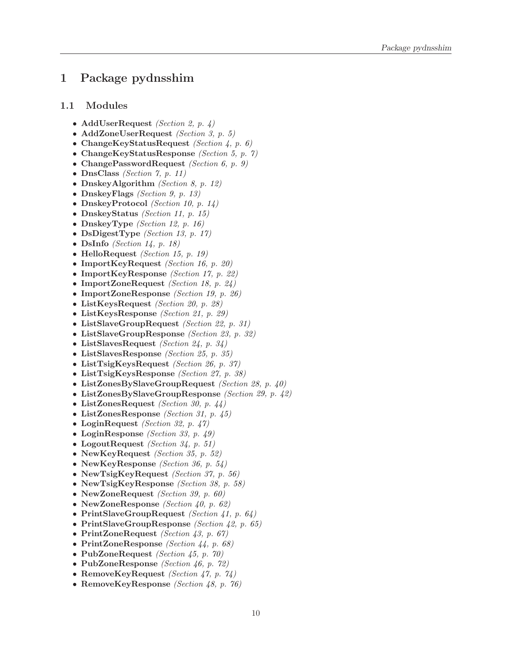### <span id="page-9-1"></span><span id="page-9-0"></span>1 Package pydnsshim

#### 1.1 Modules

- AddUserRequest (Section [2,](#page-11-0) p. [4\)](#page-11-0)
- AddZoneUserRequest (Section [3,](#page-12-0) p. [5\)](#page-12-0)
- ChangeKeyStatusRequest (Section [4,](#page-13-0) p. [6\)](#page-13-0)
- ChangeKeyStatusResponse *(Section [5,](#page-14-0) p. [7\)](#page-14-0)*
- ChangePasswordRequest (Section [6,](#page-16-0)  $p.$  [9\)](#page-16-0)
- DnsClass (Section [7,](#page-18-0) p. [11\)](#page-18-0)
- DnskeyAlgorithm *(Section [8,](#page-19-0) p. [12\)](#page-19-0)*
- DnskeyFlags (Section [9,](#page-20-0) p. [13\)](#page-20-0)
- DnskeyProtocol (Section [10,](#page-21-0) p. [14\)](#page-21-0)
- DnskeyStatus *(Section [11,](#page-22-0) p. [15\)](#page-22-0)*
- DnskeyType (Section [12,](#page-23-0) p. [16\)](#page-23-0)
- DsDigestType *(Section [13,](#page-24-0) p. [17\)](#page-24-0)*
- DsInfo (Section [14,](#page-25-0) p. [18\)](#page-25-0)
- HelloRequest (Section [15,](#page-26-0) p. [19\)](#page-26-0)
- ImportKeyRequest *(Section [16,](#page-27-0) p. [20\)](#page-27-0)*
- ImportKeyResponse *(Section [17,](#page-29-0) p. [22\)](#page-29-0)*
- ImportZoneRequest (Section [18,](#page-31-0) p. [24\)](#page-31-0)
- ImportZoneResponse *(Section [19,](#page-33-0) p. [26\)](#page-33-0)*
- ListKeysRequest (Section [20,](#page-35-0) p. [28\)](#page-35-0)
- ListKeysResponse *(Section [21,](#page-36-0) p. [29\)](#page-36-0)*
- ListSlaveGroupRequest (Section [22,](#page-38-0) p. [31\)](#page-38-0)
- ListSlaveGroupResponse *(Section [23,](#page-39-0) p. [32\)](#page-39-0)*
- ListSlavesRequest *(Section [24,](#page-41-0) p. [34\)](#page-41-0)*
- ListSlavesResponse (Section [25,](#page-42-0) p. [35\)](#page-42-0)
- ListTsigKeysRequest (Section [26,](#page-44-0) p. [37\)](#page-44-0)
- ListTsigKeysResponse (Section [27,](#page-45-0) p. [38\)](#page-45-0)
- ListZonesBySlaveGroupRequest (Section [28,](#page-47-0) p. [40\)](#page-47-0)
- ListZonesBySlaveGroupResponse (Section [29,](#page-49-0) p. [42\)](#page-49-0)
- ListZonesRequest *(Section [30,](#page-51-0) p. [44\)](#page-51-0)*
- ListZonesResponse (Section [31,](#page-52-0) p. [45\)](#page-52-0)
- LoginRequest (Section [32,](#page-54-0) p. [47\)](#page-54-0)
- LoginResponse *(Section [33,](#page-56-0) p. [49\)](#page-56-0)*
- LogoutRequest (Section [34,](#page-58-0) p. [51\)](#page-58-0)
- NewKeyRequest *(Section [35,](#page-59-0) p. [52\)](#page-59-0)*
- NewKeyResponse *(Section [36,](#page-61-0) p. [54\)](#page-61-0)*
- NewTsigKeyRequest (Section [37,](#page-63-0) p. [56\)](#page-63-0)
- NewTsigKeyResponse *(Section [38,](#page-65-0) p. [58\)](#page-65-0)*
- NewZoneRequest *(Section [39,](#page-67-0) p. [60\)](#page-67-0)*
- NewZoneResponse (Section [40,](#page-69-0) p. [62\)](#page-69-0)
- PrintSlaveGroupRequest (Section [41,](#page-71-0) p.  $64$ )
- PrintSlaveGroupResponse (Section [42,](#page-72-0) p. [65\)](#page-72-0)
- PrintZoneRequest (Section [43,](#page-74-0) p. [67\)](#page-74-0)
- PrintZoneResponse *(Section [44,](#page-75-0) p. [68\)](#page-75-0)*
- PubZoneRequest (Section [45,](#page-77-0) p. [70\)](#page-77-0)
- PubZoneResponse *(Section [46,](#page-79-0) p. [72\)](#page-79-0)*
- RemoveKeyRequest (Section [47,](#page-81-0) p. [74\)](#page-81-0)
- RemoveKeyResponse *(Section [48,](#page-83-0) p. [76\)](#page-83-0)*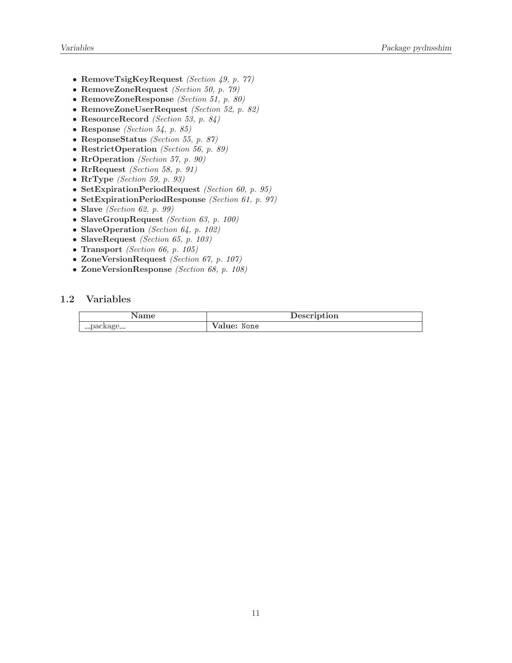- RemoveTsigKeyRequest (Section [49,](#page-84-0) p. [77\)](#page-84-0)
- RemoveZoneRequest (Section [50,](#page-86-0) p. [79\)](#page-86-0)
- RemoveZoneResponse (Section [51,](#page-87-0) p. [80\)](#page-87-0)
- RemoveZoneUserRequest (Section [52,](#page-89-0) p. [82\)](#page-89-0)
- ResourceRecord (Section [53,](#page-91-0) p. [84\)](#page-91-0)
- Response (Section [54,](#page-92-0) p. [85\)](#page-92-0)
- ResponseStatus (Section [55,](#page-94-0) p. [87\)](#page-94-0)
- RestrictOperation (Section [56,](#page-96-0) p. [89\)](#page-96-0)
- RrOperation (Section [57,](#page-97-0) p. [90\)](#page-97-0)
- RrRequest (Section [58,](#page-98-0) p. [91\)](#page-98-0)
- $RrType$  (Section [59,](#page-100-0) p. [93\)](#page-100-0)
- SetExpirationPeriodRequest (Section [60,](#page-102-0) p. [95\)](#page-102-0)
- SetExpirationPeriodResponse (Section [61,](#page-104-0) p. [97\)](#page-104-0)
- Slave (Section [62,](#page-106-0) p. [99\)](#page-106-0)
- SlaveGroupRequest (Section [63,](#page-107-0) p. [100\)](#page-107-0)
- SlaveOperation (Section  $64$ , p. [102\)](#page-109-0)
- SlaveRequest (Section [65,](#page-110-0) p. [103\)](#page-110-0)
- Transport (Section [66,](#page-112-0) p. [105\)](#page-112-0)
- ZoneVersionRequest (Section [67,](#page-114-0) p. [107\)](#page-114-0)
- ZoneVersionResponse (Section [68,](#page-115-0) p. [108\)](#page-115-0)

#### <span id="page-10-0"></span>1.2 Variables

|          | uption. |
|----------|---------|
| __packag | None    |
| $- -$    | 'alue:  |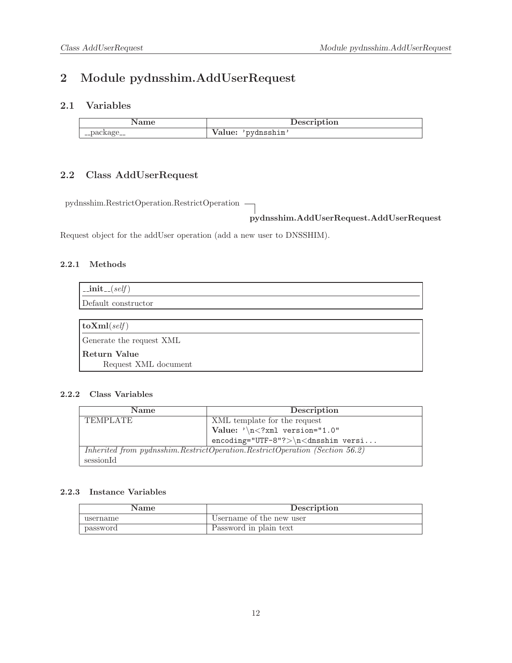### <span id="page-11-1"></span><span id="page-11-0"></span>2 Module pydnsshim.AddUserRequest

### 2.1 Variables

|               | $\alpha$ and $\gamma$<br>Description |
|---------------|--------------------------------------|
| . __раскаge__ | dnsshim<br>$\ldots$                  |

### <span id="page-11-2"></span>2.2 Class AddUserRequest

pydnsshim.RestrictOperation.RestrictOperation

pydnsshim.AddUserRequest.AddUserRequest

<span id="page-11-3"></span>Request object for the addUser operation (add a new user to DNSSHIM).

#### 2.2.1 Methods

| $\mathsf{unit}\_\mathsf{f}(\mathit{self})$ |
|--------------------------------------------|
| Default constructor                        |
|                                            |
| $\textbf{toXml}(\text{self})$              |
| Generate the request XML                   |
| Return Value<br>Request XML document       |

#### <span id="page-11-4"></span>2.2.2 Class Variables

I

| <b>Name</b>                                                                 | Description                               |
|-----------------------------------------------------------------------------|-------------------------------------------|
| <b>TEMPLATE</b>                                                             | XML template for the request              |
|                                                                             | Value: $\sqrt{n}$ xml version="1.0"</th   |
|                                                                             | $encoding="UTF-8"?>\n<\n<\ndnsshim$ versi |
| Inherited from pydnsshim.RestrictOperation.RestrictOperation (Section 56.2) |                                           |
| sessionId                                                                   |                                           |

<span id="page-11-5"></span>

| Name     | Description              |
|----------|--------------------------|
| username | Username of the new user |
| password | Password in plain text   |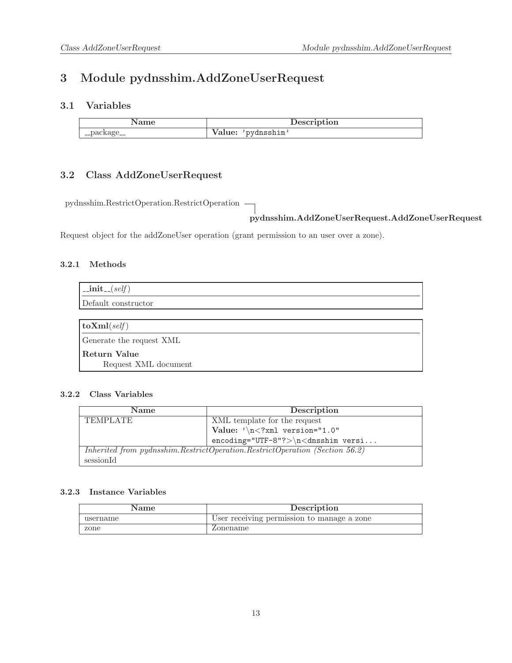### <span id="page-12-1"></span><span id="page-12-0"></span>3 Module pydnsshim.AddZoneUserRequest

### 3.1 Variables

|                                         | $\sim$ $\sim$ $\sim$<br>ALIOIT |
|-----------------------------------------|--------------------------------|
| ามเ<br>$-$ <i>D w</i> $\sim$ $\sim$ $-$ | ısshim<br>$\lambda$<br>alue:   |

### <span id="page-12-2"></span>3.2 Class AddZoneUserRequest

pydnsshim.RestrictOperation.RestrictOperation

pydnsshim.AddZoneUserRequest.AddZoneUserRequest

<span id="page-12-3"></span>Request object for the addZoneUser operation (grant permission to an user over a zone).

#### 3.2.1 Methods

| $\vert$ _init_(self)                 |
|--------------------------------------|
| Default constructor                  |
|                                      |
| $\log \text{Im}(self)$               |
| Generate the request XML             |
| Return Value<br>Request XML document |

#### <span id="page-12-4"></span>3.2.2 Class Variables

| <b>Name</b>                                                                     | Description                                      |
|---------------------------------------------------------------------------------|--------------------------------------------------|
| <b>TEMPLATE</b>                                                                 | XML template for the request                     |
|                                                                                 | Value: $\sqrt{n}$ xml version="1.0"</th          |
|                                                                                 | $encoding="UTF-8"?\rangle \n\nclasshim version.$ |
| Inherited from pydnsshim. Restrict Operation. Restrict Operation (Section 56.2) |                                                  |
| sessionId                                                                       |                                                  |

<span id="page-12-5"></span>

| Name     | Description                                |
|----------|--------------------------------------------|
| username | User receiving permission to manage a zone |
| zone     | Zonename                                   |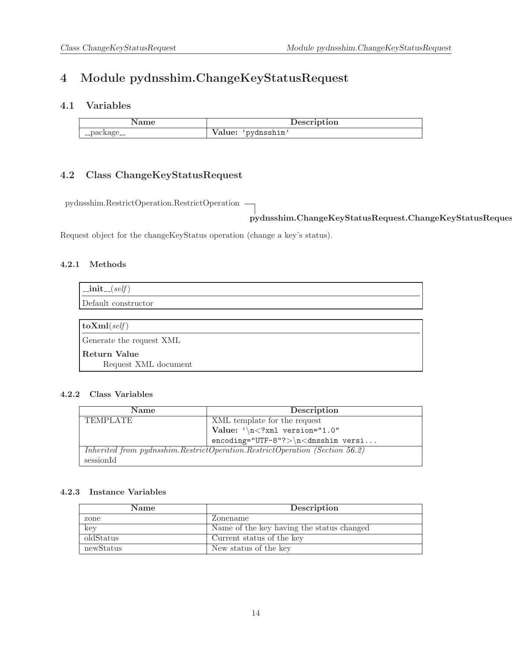## <span id="page-13-1"></span><span id="page-13-0"></span>4 Module pydnsshim.ChangeKeyStatusRequest

### 4.1 Variables

|              | $- - - -$<br>трыон |
|--------------|--------------------|
| $ \mu$ wings | sshim<br>v aruv.   |

### <span id="page-13-2"></span>4.2 Class ChangeKeyStatusRequest

pydnsshim.RestrictOperation.RestrictOperation

pydnsshim.ChangeKeyStatusRequest.ChangeKeyStatusRequest

<span id="page-13-3"></span>Request object for the changeKeyStatus operation (change a key's status).

#### 4.2.1 Methods

| $\text{unit} \text{f}(self)$         |
|--------------------------------------|
| Default constructor                  |
|                                      |
| $\vert$ toXml(self)                  |
| Generate the request XML             |
| Return Value<br>Request XML document |

#### <span id="page-13-4"></span>4.2.2 Class Variables

| <b>Name</b>                                                                 | Description                             |
|-----------------------------------------------------------------------------|-----------------------------------------|
| <b>TEMPLATE</b>                                                             | XML template for the request            |
|                                                                             | Value: $\sqrt{n}$ xml version="1.0"</th |
|                                                                             | $encoding="UTF-8"?>\n\n<dnsshim versi$  |
| Inherited from pydnsshim.RestrictOperation.RestrictOperation (Section 56.2) |                                         |
| sessionId                                                                   |                                         |

<span id="page-13-5"></span>

| <b>Name</b> | Description                               |
|-------------|-------------------------------------------|
| zone        | Zonename                                  |
| $\ker$      | Name of the key having the status changed |
| oldStatus   | Current status of the key                 |
| newStatus   | New status of the key                     |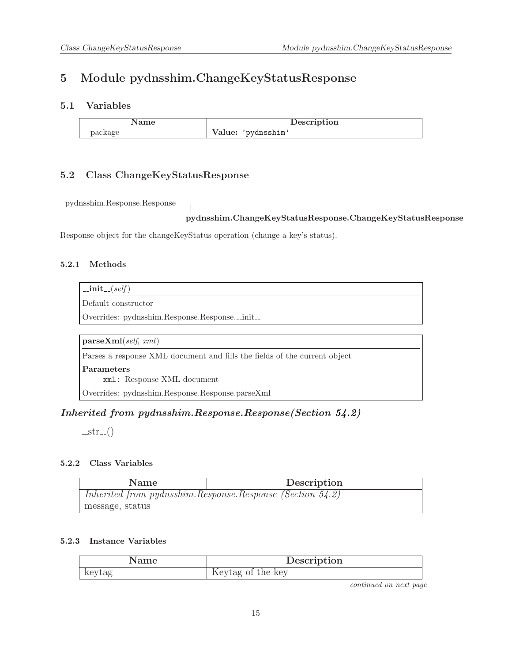## <span id="page-14-1"></span><span id="page-14-0"></span>5 Module pydnsshim.ChangeKeyStatusResponse

### 5.1 Variables

|                        | $  -$<br><b>puon</b> |
|------------------------|----------------------|
| $-$ <i>p</i> wings $-$ | ıim<br>۰۱۱.<br>aiuc. |

### <span id="page-14-2"></span>5.2 Class ChangeKeyStatusResponse

pydnsshim.Response.Response

### pydnsshim.ChangeKeyStatusResponse.ChangeKeyStatusResponse

<span id="page-14-3"></span>Response object for the changeKeyStatus operation (change a key's status).

#### 5.2.1 Methods

 $\text{unit}$ <sub>- $(self)$ </sub>

Default constructor

Overrides: pydnsshim.Response.Response.\_init\_

parseXml(self, xml)

Parses a response XML document and fills the fields of the current object

Parameters

xml: Response XML document

Overrides: pydnsshim.Response.Response.parseXml

### Inherited from pydnsshim.Response.Response(Section [54.2\)](#page-92-2)

 $-str_{-}()$ 

#### <span id="page-14-4"></span>5.2.2 Class Variables

| Name                                                           | Description |  |
|----------------------------------------------------------------|-------------|--|
| Inherited from pydnsshim. Response. Response (Section $54.2$ ) |             |  |
| message, status                                                |             |  |

#### <span id="page-14-5"></span>5.2.3 Instance Variables

|        | Description       |
|--------|-------------------|
| keytag | Keytag of the key |

continued on next page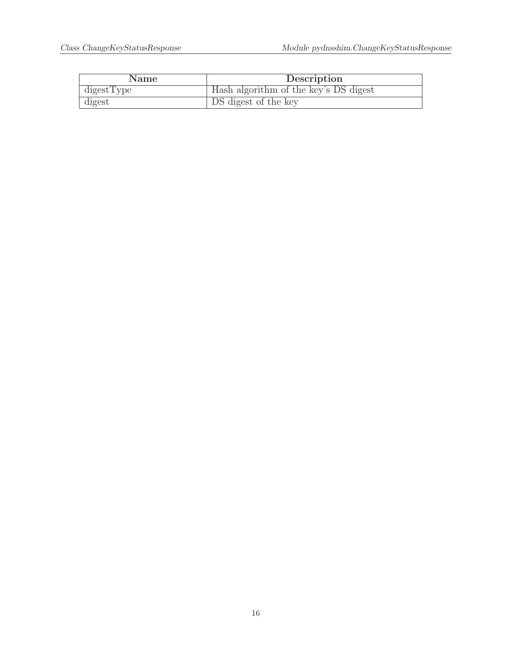| Name                  | Description                           |
|-----------------------|---------------------------------------|
| $\mathrm{digestType}$ | Hash algorithm of the key's DS digest |
| digest                | DS digest of the key                  |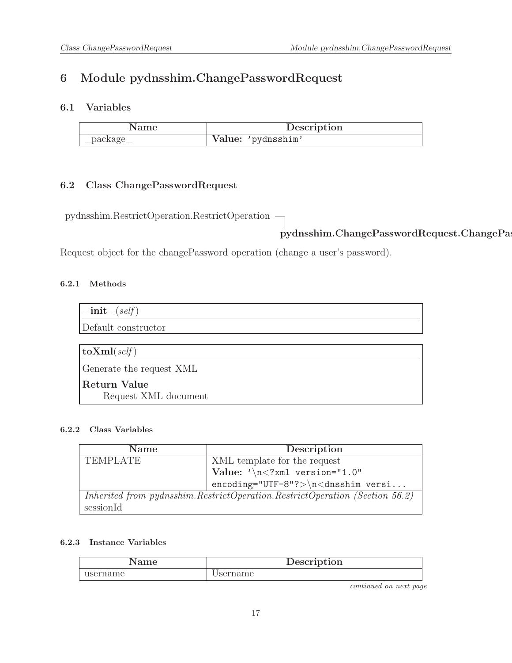## <span id="page-16-1"></span><span id="page-16-0"></span>6 Module pydnsshim.ChangePasswordRequest

### 6.1 Variables

|             | Description        |
|-------------|--------------------|
| __package__ | Value: 'pydnsshim' |

### <span id="page-16-2"></span>6.2 Class ChangePasswordRequest

pydnsshim.RestrictOperation.RestrictOperation

pydnsshim.ChangePasswordRequest.ChangePassw

<span id="page-16-3"></span>Request object for the changePassword operation (change a user's password).

#### 6.2.1 Methods

| $\text{unit}$ <sub>-(self)</sub>     |
|--------------------------------------|
| Default constructor                  |
|                                      |
| $\vert$ toXml(self)                  |
| Generate the request XML             |
| Return Value<br>Request XML document |

#### <span id="page-16-4"></span>6.2.2 Class Variables

| <b>Name</b>     | Description                                                                 |
|-----------------|-----------------------------------------------------------------------------|
| <b>TEMPLATE</b> | XML template for the request                                                |
|                 | $\vert$ Value: '\n xml version="1.0"</th                                    |
|                 | $encoding="UTF-8"?>\n<\ndnsshim versi$                                      |
|                 | Inherited from pydnsshim.RestrictOperation.RestrictOperation (Section 56.2) |
| sessionId       |                                                                             |

#### <span id="page-16-5"></span>6.2.3 Instance Variables

| $_{\rm nme}$ | Description |
|--------------|-------------|
| ısername     | name        |

continued on next page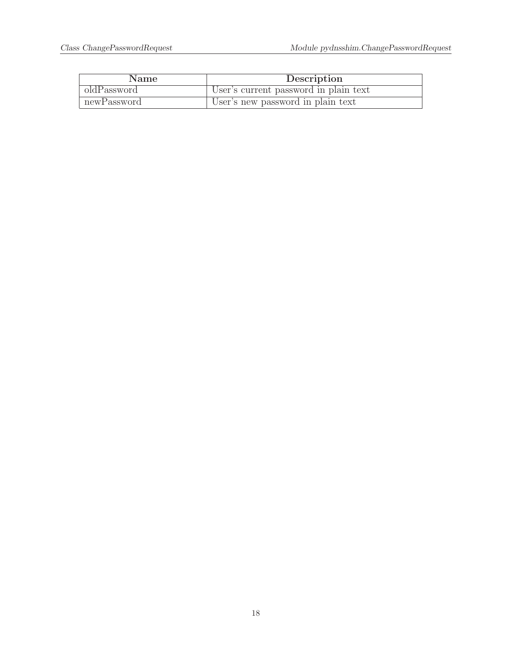| <b>Name</b> | Description                           |
|-------------|---------------------------------------|
| oldPassword | User's current password in plain text |
| newPassword | User's new password in plain text     |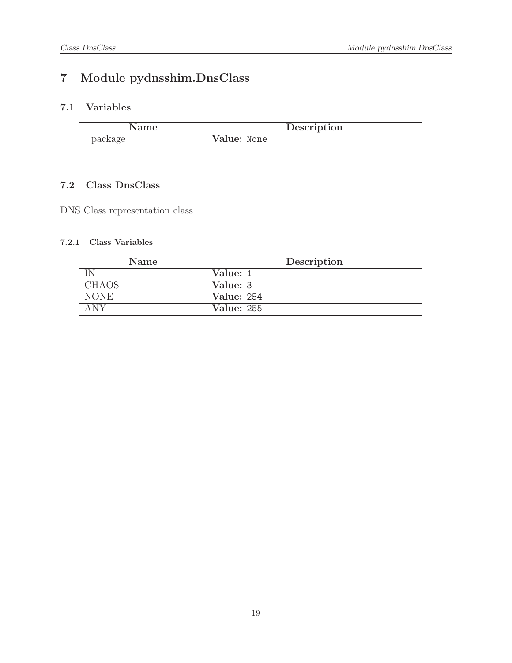# <span id="page-18-1"></span><span id="page-18-0"></span>7 Module pydnsshim.DnsClass

### 7.1 Variables

| Name        | Description |
|-------------|-------------|
| __package__ | Value: None |

### <span id="page-18-2"></span>7.2 Class DnsClass

<span id="page-18-3"></span>DNS Class representation class

| Name         | Description       |
|--------------|-------------------|
|              | Value: 1          |
| <b>CHAOS</b> | Value: 3          |
| NONE         | Value: 254        |
| A N V        | <b>Value: 255</b> |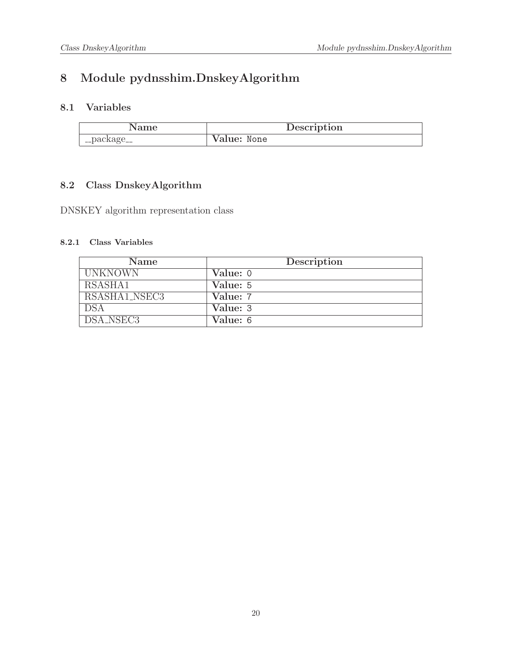## <span id="page-19-1"></span><span id="page-19-0"></span>8 Module pydnsshim.DnskeyAlgorithm

### 8.1 Variables

|             | Description |
|-------------|-------------|
| __package__ | Value: None |

### <span id="page-19-2"></span>8.2 Class DnskeyAlgorithm

<span id="page-19-3"></span>DNSKEY algorithm representation class

| Name           | Description |
|----------------|-------------|
| <b>UNKNOWN</b> | Value: 0    |
| RSASHA1        | Value: 5    |
| RSASHA1_NSEC3  | Value: 7    |
| <b>DSA</b>     | Value: 3    |
| DSA_NSEC3      | Value: 6    |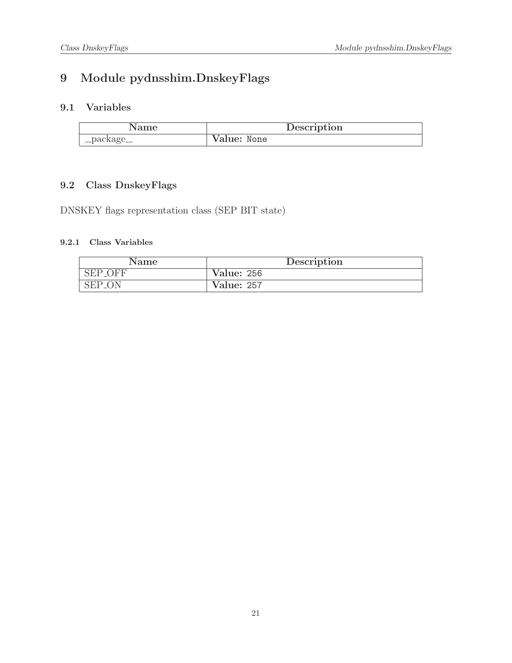## <span id="page-20-1"></span><span id="page-20-0"></span>9 Module pydnsshim.DnskeyFlags

### 9.1 Variables

| ame        | Description |
|------------|-------------|
| '_package_ | Value: None |

### <span id="page-20-2"></span>9.2 Class DnskeyFlags

<span id="page-20-3"></span>DNSKEY flags representation class (SEP BIT state)

| Name           | Description       |
|----------------|-------------------|
| <b>SEP_OFF</b> | <b>Value: 256</b> |
| SEP_ON         | <b>Value: 257</b> |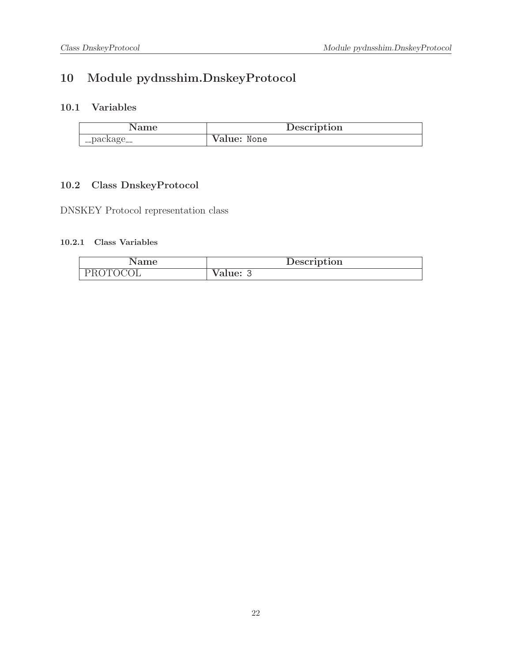## <span id="page-21-1"></span><span id="page-21-0"></span>10 Module pydnsshim.DnskeyProtocol

### 10.1 Variables

|             | Description |
|-------------|-------------|
| __package__ | Value: None |

### <span id="page-21-2"></span>10.2 Class DnskeyProtocol

<span id="page-21-3"></span>DNSKEY Protocol representation class

| Name     | Description |
|----------|-------------|
| PROTOCOL | Value:      |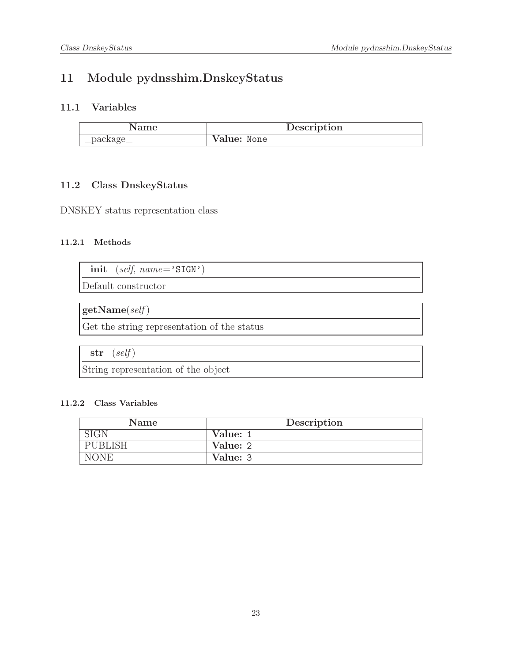## <span id="page-22-1"></span><span id="page-22-0"></span>11 Module pydnsshim.DnskeyStatus

### 11.1 Variables

|             | Description |
|-------------|-------------|
| __package__ | Value: None |

### <span id="page-22-2"></span>11.2 Class DnskeyStatus

<span id="page-22-3"></span>DNSKEY status representation class

### 11.2.1 Methods

 $\text{unit}$ <sub>-(self, name='SIGN')</sub>

Default constructor

 $getName(self)$ 

Get the string representation of the status

 $-str_{-}(self)$ 

<span id="page-22-4"></span>String representation of the object

| Name        | Description |  |  |
|-------------|-------------|--|--|
|             | Value: 1    |  |  |
| PUBLISH     | Value: 2    |  |  |
| <b>NONE</b> | Value: 3    |  |  |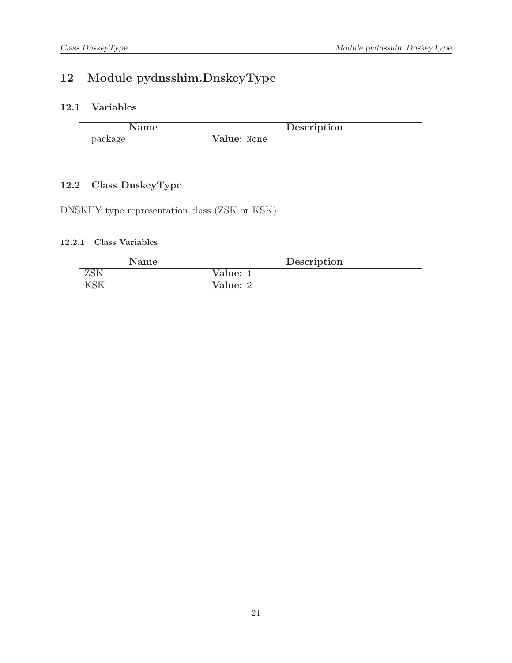## <span id="page-23-1"></span><span id="page-23-0"></span>12 Module pydnsshim.DnskeyType

### 12.1 Variables

| Name       | Description |
|------------|-------------|
| '_package_ | Value: None |

### <span id="page-23-2"></span>12.2 Class DnskeyType

<span id="page-23-3"></span>DNSKEY type representation class (ZSK or KSK)

| Name | Description |  |  |
|------|-------------|--|--|
|      | Value: 1    |  |  |
|      | Value: 2    |  |  |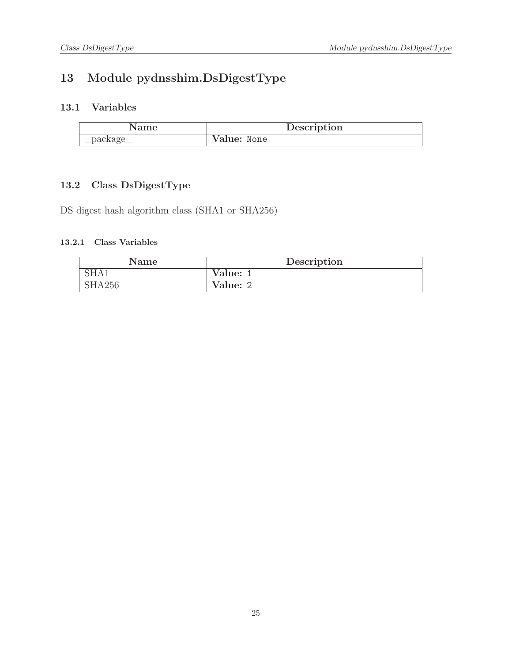## <span id="page-24-1"></span><span id="page-24-0"></span>13 Module pydnsshim.DsDigestType

### 13.1 Variables

| Name          | Description |
|---------------|-------------|
| ' __package__ | Value: None |

### <span id="page-24-2"></span>13.2 Class DsDigestType

<span id="page-24-3"></span>DS digest hash algorithm class (SHA1 or SHA256)

| Name             | Description |  |  |
|------------------|-------------|--|--|
| SHA <sub>1</sub> | Value:      |  |  |
| SHA256           | Value: 2    |  |  |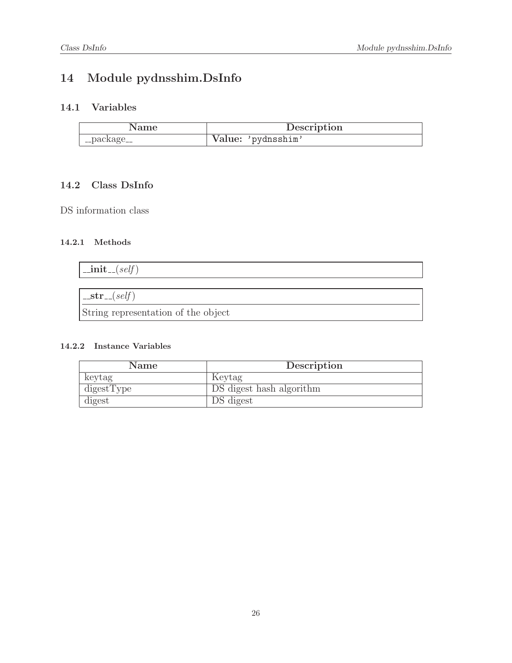## <span id="page-25-1"></span><span id="page-25-0"></span>14 Module pydnsshim.DsInfo

### 14.1 Variables

| Name        | Description        |  |
|-------------|--------------------|--|
| __package__ | Value: 'pydnsshim' |  |

### <span id="page-25-2"></span>14.2 Class DsInfo

<span id="page-25-3"></span>DS information class

### 14.2.1 Methods

| $\text{unit} \text{---}(self)$ |  |  |
|--------------------------------|--|--|
|                                |  |  |
| $-str_{-}(self)$               |  |  |

<span id="page-25-4"></span>String representation of the object

| <b>Name</b> | Description              |
|-------------|--------------------------|
| keytag      | Keytag                   |
| digestType  | DS digest hash algorithm |
| digest      | DS digest                |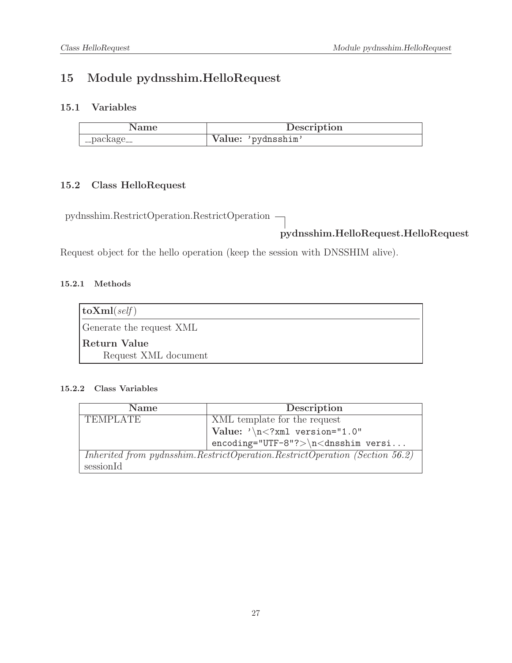## <span id="page-26-1"></span><span id="page-26-0"></span>15 Module pydnsshim.HelloRequest

### 15.1 Variables

| Name        | Description        |
|-------------|--------------------|
| __package__ | Value: 'pydnsshim' |

### <span id="page-26-2"></span>15.2 Class HelloRequest

pydnsshim.RestrictOperation.RestrictOperation

### pydnsshim.HelloRequest.HelloRequest

<span id="page-26-3"></span>Request object for the hello operation (keep the session with DNSSHIM alive).

### 15.2.1 Methods

| $\vert$ toXml( <i>self</i> ) |  |
|------------------------------|--|
| Generate the request XML     |  |
| Return Value                 |  |
| Request XML document         |  |

<span id="page-26-4"></span>

| <b>Name</b>     | Description                                                                   |
|-----------------|-------------------------------------------------------------------------------|
| <b>TEMPLATE</b> | XML template for the request                                                  |
|                 | Value: $\sqrt{n}$ /xml version="1.0"                                          |
|                 | $encoding="UTF-8"?>\n<\n<\ndnsshim$ versi                                     |
|                 | Inherited from pydnsshim. RestrictOperation. RestrictOperation (Section 56.2) |
| sessionId       |                                                                               |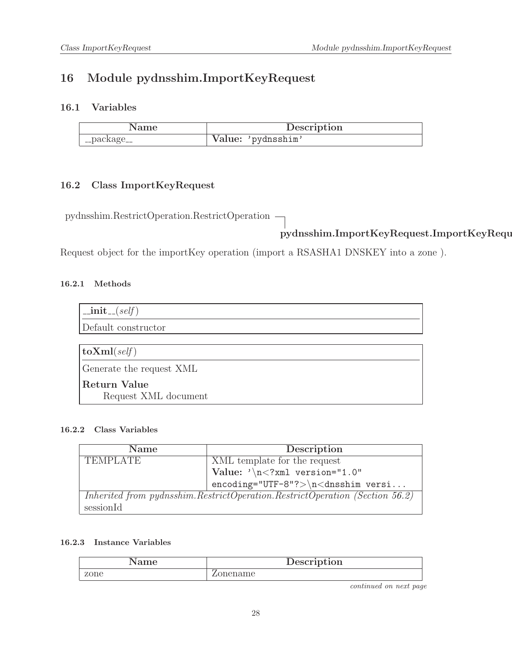# <span id="page-27-1"></span><span id="page-27-0"></span>16 Module pydnsshim.ImportKeyRequest

### 16.1 Variables

| vame        | Description        |
|-------------|--------------------|
| __package__ | Value: 'pydnsshim' |

### <span id="page-27-2"></span>16.2 Class ImportKeyRequest

pydnsshim.RestrictOperation.RestrictOperation

### pydnsshim.ImportKeyRequest.ImportKeyRequest

<span id="page-27-3"></span>Request object for the importKey operation (import a RSASHA1 DNSKEY into a zone ).

#### 16.2.1 Methods

| $\text{unit}$ <sub>-(self)</sub>     |
|--------------------------------------|
| Default constructor                  |
|                                      |
| $\vert$ toXml(self)                  |
| Generate the request XML             |
| Return Value<br>Request XML document |

#### <span id="page-27-4"></span>16.2.2 Class Variables

| <b>Name</b>     | Description                                                                 |
|-----------------|-----------------------------------------------------------------------------|
| <b>TEMPLATE</b> | XML template for the request                                                |
|                 | Value: $\sqrt{n}$ xml version="1.0"</th                                     |
|                 | $encoding="UTF-8"?>\n<\ndnsshim versi$                                      |
|                 | Inherited from pydnsshim.RestrictOperation.RestrictOperation (Section 56.2) |
| sessionId       |                                                                             |

#### <span id="page-27-5"></span>16.2.3 Instance Variables

| ാനല  | Description |
|------|-------------|
| zone | ame         |

continued on next page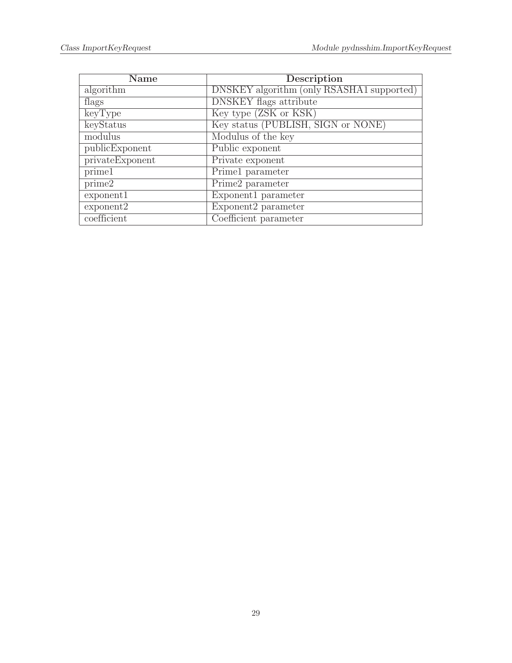| <b>Name</b>     | Description                                      |
|-----------------|--------------------------------------------------|
| algorithm       | <b>DNSKEY</b> algorithm (only RSASHA1 supported) |
| flags           | <b>DNSKEY</b> flags attribute                    |
| keyType         | Key type (ZSK or KSK)                            |
| keyStatus       | Key status (PUBLISH, SIGN or NONE)               |
| modulus         | Modulus of the key                               |
| publicExponent  | Public exponent                                  |
| privateExponent | Private exponent                                 |
| prime1          | Prime1 parameter                                 |
| prime2          | Prime2 parameter                                 |
| exponent1       | Exponent1 parameter                              |
| exponent2       | Exponent2 parameter                              |
| coefficient     | Coefficient parameter                            |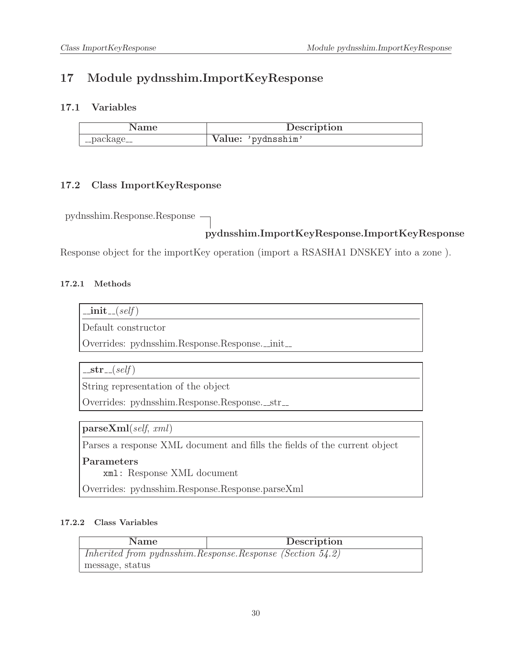## <span id="page-29-1"></span><span id="page-29-0"></span>17 Module pydnsshim.ImportKeyResponse

### 17.1 Variables

|           | Description        |
|-----------|--------------------|
| -package_ | Value: 'pydnsshim' |

### <span id="page-29-2"></span>17.2 Class ImportKeyResponse

pydnsshim.Response.Response

### pydnsshim.ImportKeyResponse.ImportKeyResponse

<span id="page-29-3"></span>Response object for the importKey operation (import a RSASHA1 DNSKEY into a zone ).

### 17.2.1 Methods

| 71 I I. | sett |
|---------|------|
|         |      |

Default constructor

Overrides: pydnsshim.Response.Response.\_init\_

 $-str_{-}(self)$ 

String representation of the object

Overrides: pydnsshim.Response.Response.\_str\_

parseXml(self, xml)

Parses a response XML document and fills the fields of the current object

Parameters

xml: Response XML document

<span id="page-29-4"></span>Overrides: pydnsshim.Response.Response.parseXml

| <b>Name</b>                                                    | Description |
|----------------------------------------------------------------|-------------|
| Inherited from pydnsshim. Response. Response (Section $54.2$ ) |             |
| message, status                                                |             |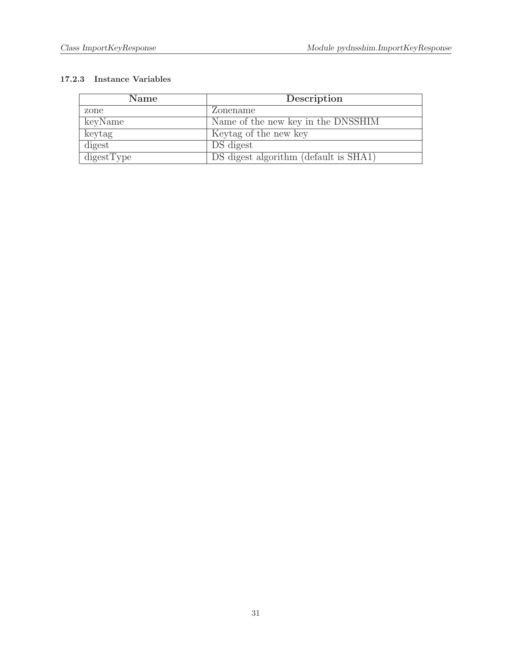<span id="page-30-0"></span>

| <b>Name</b> | Description                           |
|-------------|---------------------------------------|
| zone        | Zonename                              |
| keyName     | Name of the new key in the DNSSHIM    |
| keytag      | Keytag of the new key                 |
| digest      | DS digest                             |
| digestType  | DS digest algorithm (default is SHA1) |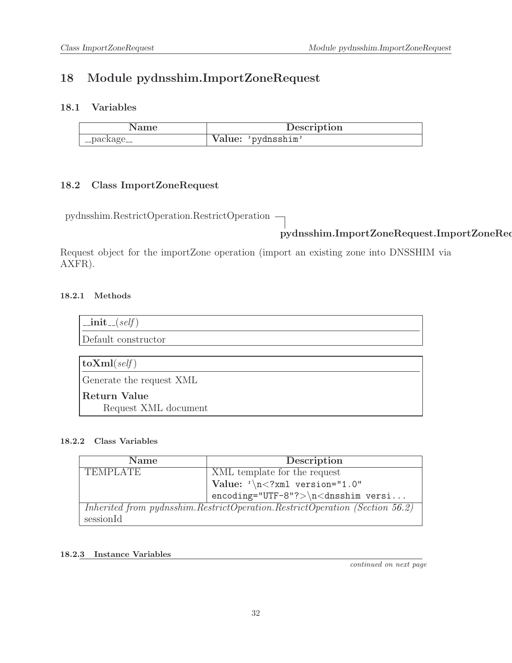# <span id="page-31-1"></span><span id="page-31-0"></span>18 Module pydnsshim.ImportZoneRequest

### 18.1 Variables

| Name        | Description        |
|-------------|--------------------|
| __package__ | Value: 'pydnsshim' |

### <span id="page-31-2"></span>18.2 Class ImportZoneRequest

pydnsshim.RestrictOperation.RestrictOperation

### pydnsshim.ImportZoneRequest.ImportZoneRequest

Request object for the importZone operation (import an existing zone into DNSSHIM via AXFR).

### <span id="page-31-3"></span>18.2.1 Methods

| $\text{unit}$ <sub>--</sub> $(self)$ |
|--------------------------------------|
| Default constructor                  |
|                                      |
| $\textbf{toXml}(\text{self})$        |
| Generate the request XML             |
| Return Value                         |
| Request XML document                 |

### <span id="page-31-4"></span>18.2.2 Class Variables

| <b>Name</b>     | Description                                                                 |
|-----------------|-----------------------------------------------------------------------------|
| <b>TEMPLATE</b> | XML template for the request                                                |
|                 | Value: $\sqrt{n}$ xml version="1.0"</th                                     |
|                 | $encoding="UTF-8"?>\n<\ndnsshim versi$                                      |
|                 | Inherited from pydnsshim.RestrictOperation.RestrictOperation (Section 56.2) |
| sessionId       |                                                                             |

### <span id="page-31-5"></span>18.2.3 Instance Variables

continued on next page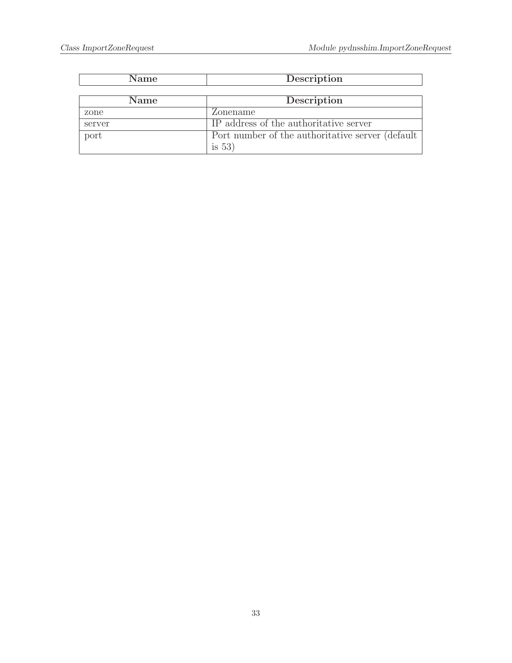| Name   | Description                                       |
|--------|---------------------------------------------------|
|        |                                                   |
| Name   | Description                                       |
| zone   | Zonename                                          |
| server | IP address of the authoritative server            |
| port   | Port number of the authoritative server (default) |
|        | is $53)$                                          |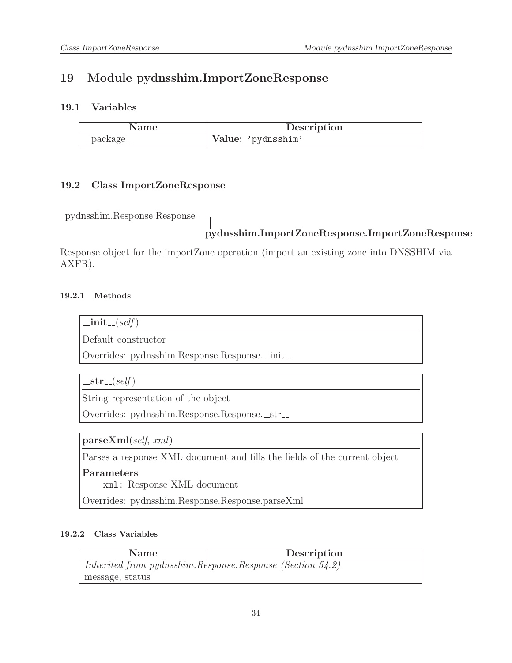### <span id="page-33-1"></span><span id="page-33-0"></span>19 Module pydnsshim.ImportZoneResponse

### 19.1 Variables

|             | Description        |
|-------------|--------------------|
| __package__ | Value: 'pydnsshim' |

### <span id="page-33-2"></span>19.2 Class ImportZoneResponse

pydnsshim.Response.Response

### pydnsshim.ImportZoneResponse.ImportZoneResponse

Response object for the importZone operation (import an existing zone into DNSSHIM via AXFR).

#### <span id="page-33-3"></span>19.2.1 Methods

 $\_{\rm init}$  (self)

Default constructor

Overrides: pydnsshim.Response.Response.\_init\_

 $-str_{-}(self)$ 

String representation of the object

Overrides: pydnsshim.Response.Response.\_str\_

parseXml(self, xml)

Parses a response XML document and fills the fields of the current object

#### Parameters

xml: Response XML document

<span id="page-33-4"></span>Overrides: pydnsshim.Response.Response.parseXml

| Name                                                           | Description |
|----------------------------------------------------------------|-------------|
| Inherited from pydnsshim. Response. Response (Section $54.2$ ) |             |
| message, status                                                |             |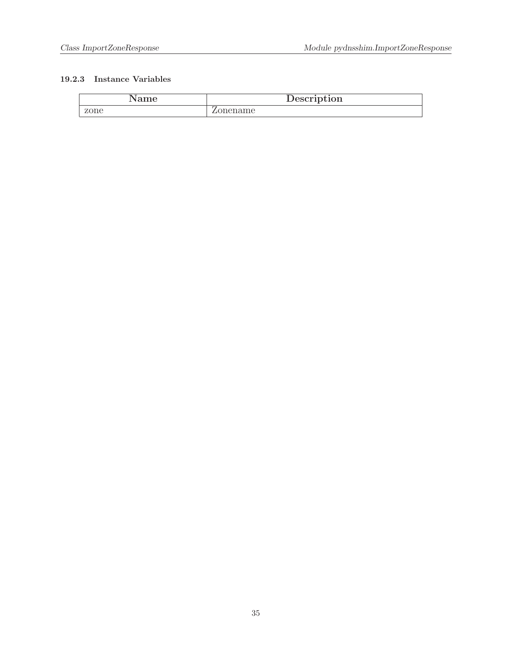<span id="page-34-0"></span>

| Name | Description |
|------|-------------|
| zone | ∠onename    |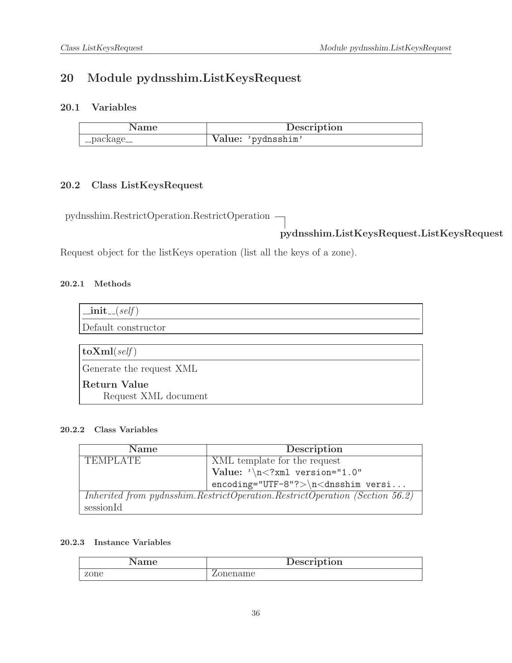### <span id="page-35-1"></span><span id="page-35-0"></span>20 Module pydnsshim.ListKeysRequest

### 20.1 Variables

| Name            | Description        |
|-----------------|--------------------|
| $\lq$ _package_ | Value: 'pydnsshim' |

### <span id="page-35-2"></span>20.2 Class ListKeysRequest

pydnsshim.RestrictOperation.RestrictOperation

pydnsshim.ListKeysRequest.ListKeysRequest

<span id="page-35-3"></span>Request object for the listKeys operation (list all the keys of a zone).

#### 20.2.1 Methods

| $\text{unit}$ <sub>-(self)</sub> |
|----------------------------------|
| Default constructor              |
|                                  |
| $\vert$ toXml(self)              |
| Generate the request XML         |
| <b>Return Value</b>              |
| Request XML document             |

#### <span id="page-35-4"></span>20.2.2 Class Variables

| <b>Name</b>     | Description                                                                 |
|-----------------|-----------------------------------------------------------------------------|
| <b>TEMPLATE</b> | XML template for the request                                                |
|                 | $\vert$ Value: '\n xml version="1.0"</th                                    |
|                 | $encoding="UTF-8"?>\n<\ndnsshim versi$                                      |
|                 | Inherited from pydnsshim.RestrictOperation.RestrictOperation (Section 56.2) |
| sessionId       |                                                                             |

<span id="page-35-5"></span>

| Name | Description |
|------|-------------|
| zone | pnename     |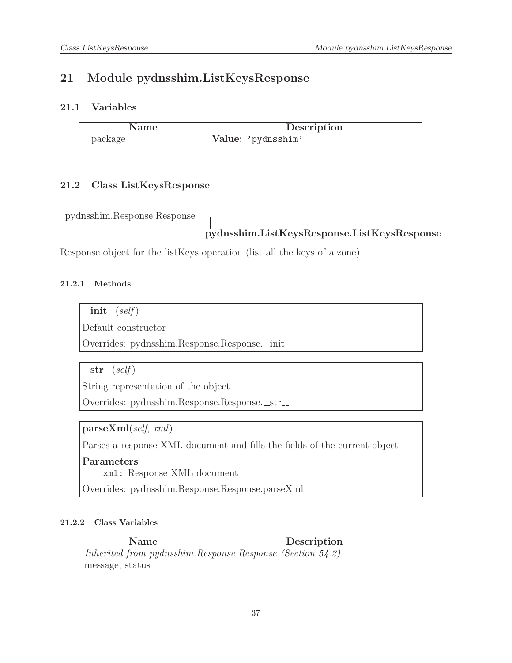# 21 Module pydnsshim.ListKeysResponse

## 21.1 Variables

|             | Description        |
|-------------|--------------------|
| __package__ | Value: 'pydnsshim' |

## 21.2 Class ListKeysResponse

pydnsshim.Response.Response

# pydnsshim.ListKeysResponse.ListKeysResponse

Response object for the listKeys operation (list all the keys of a zone).

### 21.2.1 Methods

| ι,<br>11 L | sett |
|------------|------|
|            |      |

Default constructor

Overrides: pydnsshim.Response.Response.\_init\_

 $-str_{-}(self)$ 

String representation of the object

Overrides: pydnsshim.Response.Response.\_str\_

parseXml(self, xml)

Parses a response XML document and fills the fields of the current object

Parameters

xml: Response XML document

Overrides: pydnsshim.Response.Response.parseXml

| <b>Name</b>                                                    | Description |
|----------------------------------------------------------------|-------------|
| Inherited from pydnsshim. Response. Response (Section $54.2$ ) |             |
| message, status                                                |             |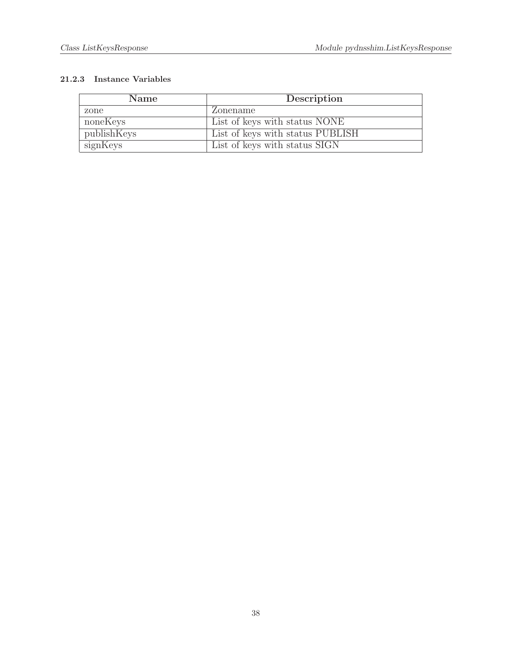| <b>Name</b> | Description                      |
|-------------|----------------------------------|
| zone        | Zonename                         |
| noneKeys    | List of keys with status NONE    |
| publishKeys | List of keys with status PUBLISH |
| signKeys    | List of keys with status SIGN    |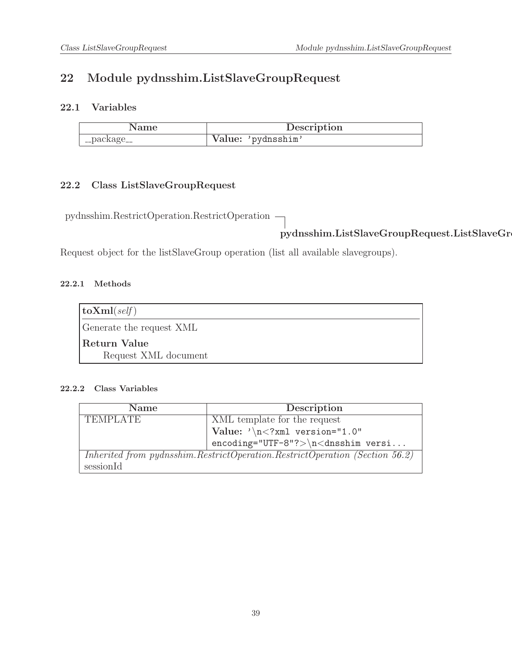# 22 Module pydnsshim.ListSlaveGroupRequest

## 22.1 Variables

| Name        | Description        |
|-------------|--------------------|
| __package__ | Value: 'pydnsshim' |

# 22.2 Class ListSlaveGroupRequest

pydnsshim.RestrictOperation.RestrictOperation

 $pydnsshim.ListSlaveGroupRequest.ListSlaveGr$ 

Request object for the listSlaveGroup operation (list all available slavegroups).

## 22.2.1 Methods

| $\vert$ toXml(self)      |  |
|--------------------------|--|
| Generate the request XML |  |
| Return Value             |  |
| Request XML document     |  |

| <b>Name</b>                                                                 | Description                             |
|-----------------------------------------------------------------------------|-----------------------------------------|
| <b>TEMPLATE</b>                                                             | XML template for the request            |
|                                                                             | Value: $\sqrt{n}$ xml version="1.0"</th |
|                                                                             | $encoding="UTF-8"?>\n<\ndnsshim versi$  |
| Inherited from pydnsshim.RestrictOperation.RestrictOperation (Section 56.2) |                                         |
| sessionId                                                                   |                                         |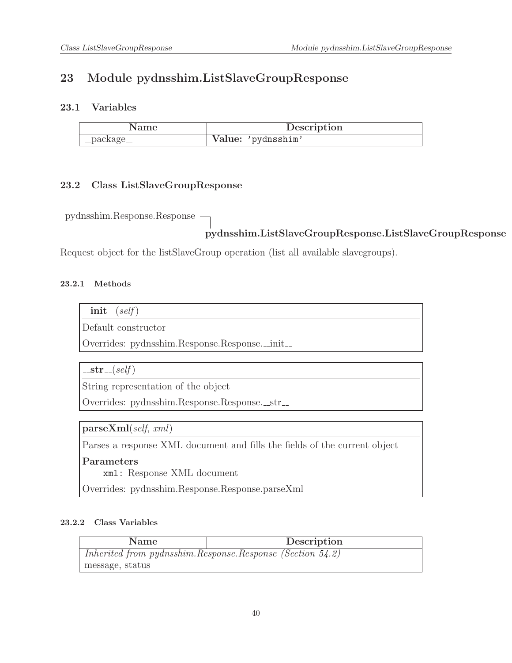# 23 Module pydnsshim.ListSlaveGroupResponse

## 23.1 Variables

|             | Description        |
|-------------|--------------------|
| __package__ | Value: 'pydnsshim' |

## 23.2 Class ListSlaveGroupResponse

pydnsshim.Response.Response

## pydnsshim.ListSlaveGroupResponse.ListSlaveGroupResponse

Request object for the listSlaveGroup operation (list all available slavegroups).

### 23.2.1 Methods

| т.<br>11. | sett |
|-----------|------|
|           |      |
|           |      |

Default constructor

Overrides: pydnsshim.Response.Response.\_init\_

 $-str_{-}(self)$ 

String representation of the object

Overrides: pydnsshim.Response.Response.\_str\_

parseXml(self, xml)

Parses a response XML document and fills the fields of the current object

Parameters

xml: Response XML document

Overrides: pydnsshim.Response.Response.parseXml

| <b>Name</b>                                                    | Description |
|----------------------------------------------------------------|-------------|
| Inherited from pydnsshim. Response. Response (Section $54.2$ ) |             |
| message, status                                                |             |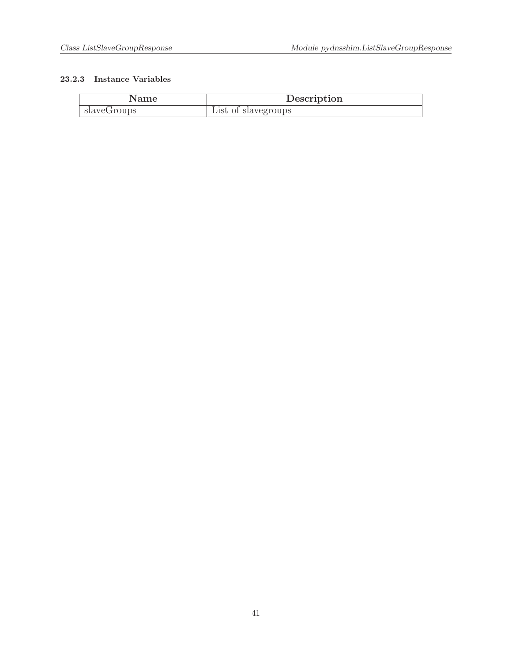| Name        | Description         |
|-------------|---------------------|
| slaveGroups | List of slavegroups |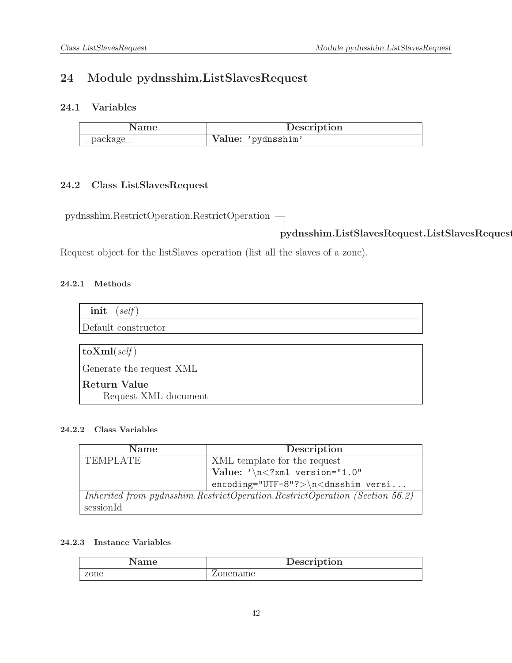# 24 Module pydnsshim.ListSlavesRequest

## 24.1 Variables

| Name        | Description        |
|-------------|--------------------|
| '_package__ | Value: 'pydnsshim' |

# 24.2 Class ListSlavesRequest

pydnsshim.RestrictOperation.RestrictOperation

pydnsshim.ListSlavesRequest.ListSlavesRequest

Request object for the listSlaves operation (list all the slaves of a zone).

## 24.2.1 Methods

| $\text{unit}$ <sub>-(self)</sub>            |
|---------------------------------------------|
| Default constructor                         |
|                                             |
| $ $ to $\mathrm{Xml}(\text{self}) $         |
| Generate the request XML                    |
| <b>Return Value</b><br>Request XML document |

### 24.2.2 Class Variables

| <b>Name</b>                                                                 | Description                              |
|-----------------------------------------------------------------------------|------------------------------------------|
| <b>TEMPLATE</b>                                                             | XML template for the request             |
|                                                                             | $\vert$ Value: '\n xml version="1.0"</th |
|                                                                             | $encoding="UTF-8"?>\n<\ndnsshim versi$   |
| Inherited from pydnsshim.RestrictOperation.RestrictOperation (Section 56.2) |                                          |
| sessionId                                                                   |                                          |

| Name | Description       |
|------|-------------------|
| zone | onename<br>ا المد |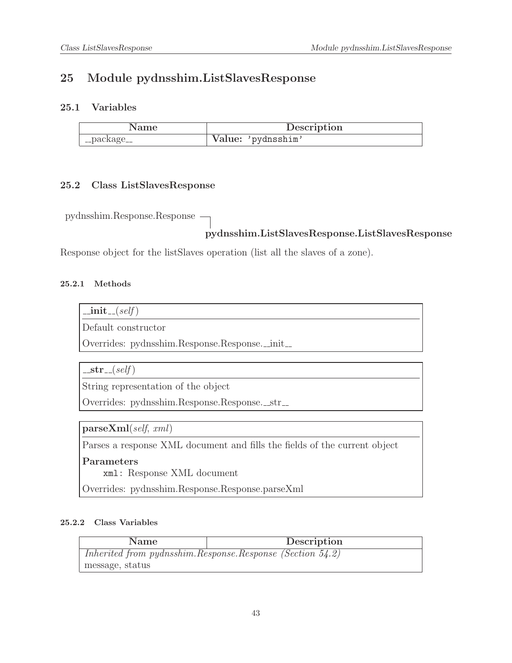# 25 Module pydnsshim.ListSlavesResponse

## 25.1 Variables

|             | Description        |
|-------------|--------------------|
| __package__ | Value: 'pydnsshim' |

## 25.2 Class ListSlavesResponse

pydnsshim.Response.Response

## pydnsshim.ListSlavesResponse.ListSlavesResponse

Response object for the listSlaves operation (list all the slaves of a zone).

#### 25.2.1 Methods

| 11.<br>т. | sett |
|-----------|------|
|           |      |
|           |      |

Default constructor

Overrides: pydnsshim.Response.Response.\_init\_

 $-str_{-}(self)$ 

String representation of the object

Overrides: pydnsshim.Response.Response.\_str\_

parseXml(self, xml)

Parses a response XML document and fills the fields of the current object

Parameters

xml: Response XML document

Overrides: pydnsshim.Response.Response.parseXml

| <b>Name</b>                                               | Description |
|-----------------------------------------------------------|-------------|
| Inherited from pydnsshim.Response.Response (Section 54.2) |             |
| message, status                                           |             |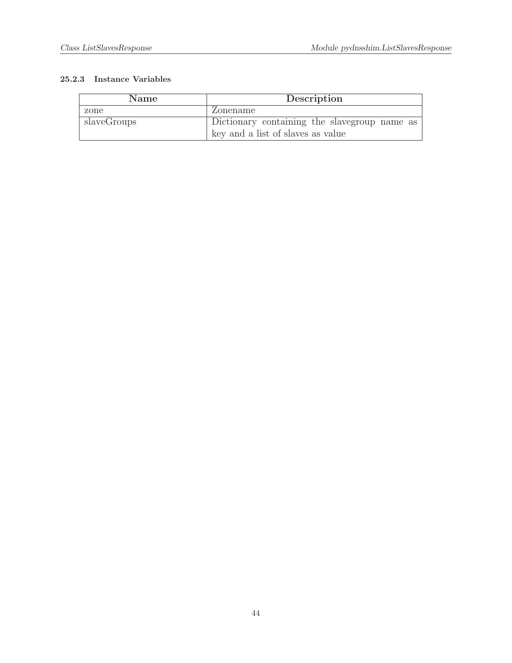| <b>Name</b> | Description                                  |
|-------------|----------------------------------------------|
| zone        | Zonename                                     |
| slaveGroups | Dictionary containing the slavegroup name as |
|             | key and a list of slaves as value            |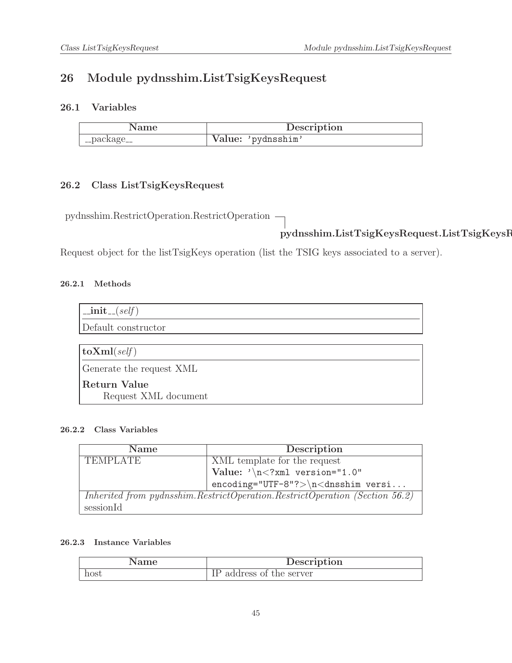# 26 Module pydnsshim.ListTsigKeysRequest

## 26.1 Variables

| .vame       | Description        |
|-------------|--------------------|
| __package__ | Value: 'pydnsshim' |

# 26.2 Class ListTsigKeysRequest

pydnsshim.RestrictOperation.RestrictOperation

# pydnsshim.ListTsigKeysRequest.ListTsigKeysRequest

Request object for the listTsigKeys operation (list the TSIG keys associated to a server).

### 26.2.1 Methods

| $\text{unit}$ <sub>-(self)</sub>     |
|--------------------------------------|
| Default constructor                  |
|                                      |
| $\vert$ toXml(self)                  |
| Generate the request XML             |
| Return Value<br>Request XML document |

### 26.2.2 Class Variables

| <b>Name</b>                                                                 | Description                             |
|-----------------------------------------------------------------------------|-----------------------------------------|
| <b>TEMPLATE</b>                                                             | XML template for the request            |
|                                                                             | Value: $\sqrt{n}$ xml version="1.0"</th |
|                                                                             | $encoding="UTF-8"?>\n<\ndnsshim versi$  |
| Inherited from pydnsshim.RestrictOperation.RestrictOperation (Section 56.2) |                                         |
| sessionId                                                                   |                                         |

| vame | Description           |
|------|-----------------------|
| host | address of the server |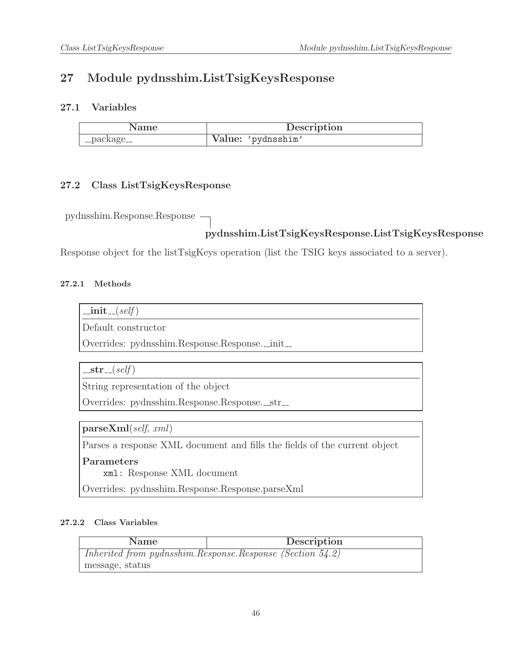# 27 Module pydnsshim.ListTsigKeysResponse

## 27.1 Variables

| Name        | Description        |
|-------------|--------------------|
| __package__ | Value: 'pydnsshim' |

## 27.2 Class ListTsigKeysResponse

pydnsshim.Response.Response

# pydnsshim.ListTsigKeysResponse.ListTsigKeysResponse

Response object for the listTsigKeys operation (list the TSIG keys associated to a server).

### 27.2.1 Methods

| н,<br>11 L | 3P.I.T |  |
|------------|--------|--|
|            |        |  |

Default constructor

Overrides: pydnsshim.Response.Response.\_init\_

 $-str_{-}(self)$ 

String representation of the object

Overrides: pydnsshim.Response.Response.\_str\_

parseXml(self, xml)

Parses a response XML document and fills the fields of the current object

Parameters

xml: Response XML document

Overrides: pydnsshim.Response.Response.parseXml

| <b>Name</b>                                                    | Description |
|----------------------------------------------------------------|-------------|
| Inherited from pydnsshim. Response. Response (Section $54.2$ ) |             |
| message, status                                                |             |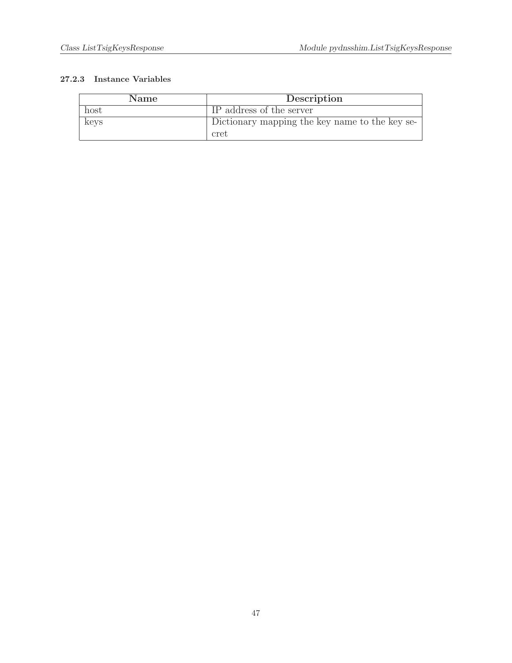| <b>Name</b> | Description                                    |
|-------------|------------------------------------------------|
| host        | IP address of the server                       |
| keys        | Dictionary mapping the key name to the key se- |
|             | cret                                           |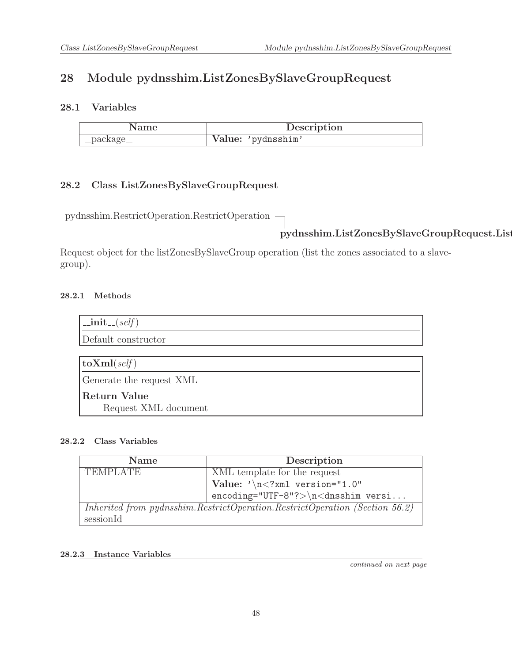# 28 Module pydnsshim.ListZonesBySlaveGroupRequest

## 28.1 Variables

| Name        | Description        |
|-------------|--------------------|
| __package__ | Value: 'pydnsshim' |

# 28.2 Class ListZonesBySlaveGroupRequest

pydnsshim.RestrictOperation.RestrictOperation

# pydnsshim.ListZonesBySlaveGroupRequest.List

Request object for the listZonesBySlaveGroup operation (list the zones associated to a slavegroup).

## 28.2.1 Methods

| $\text{unit}$ <sub>--</sub> $(self)$ |
|--------------------------------------|
| Default constructor                  |
|                                      |
| $ {\rm\bf toXml}({\it self}) $       |
| Generate the request XML             |
| <b>Return Value</b>                  |
| Request XML document                 |

#### 28.2.2 Class Variables

| <b>Name</b>     | Description                                                                 |
|-----------------|-----------------------------------------------------------------------------|
| <b>TEMPLATE</b> | XML template for the request                                                |
|                 | Value: $\sqrt{n}$ xml version="1.0"</th                                     |
|                 | $encoding="UTF-8"?>\n\n<dnsshim versi$                                      |
|                 | Inherited from pydnsshim.RestrictOperation.RestrictOperation (Section 56.2) |
| sessionId       |                                                                             |

#### 28.2.3 Instance Variables

continued on next page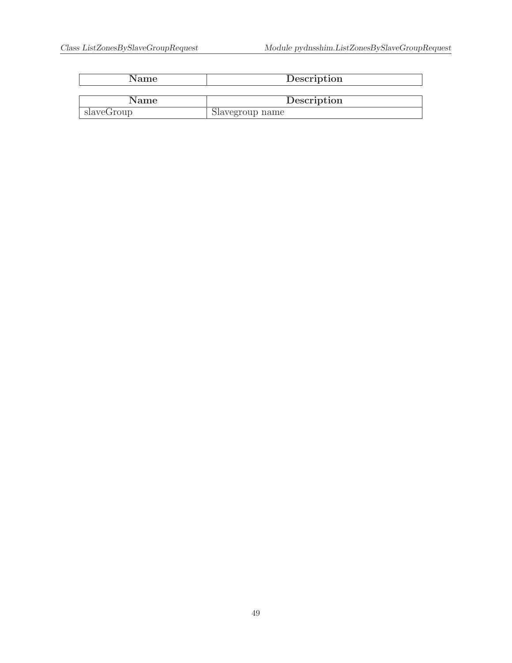| Name       | Description     |
|------------|-----------------|
|            |                 |
| Name       | Description     |
| slaveGroup | Slavegroup name |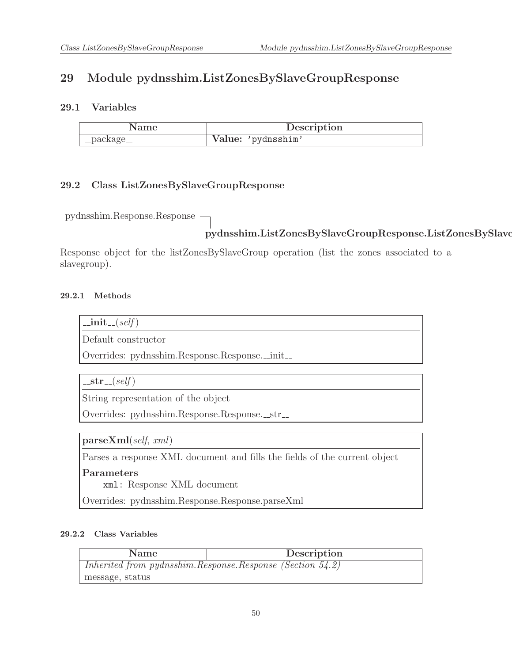# 29 Module pydnsshim.ListZonesBySlaveGroupResponse

## 29.1 Variables

|             | Description        |
|-------------|--------------------|
| __package__ | Value: 'pydnsshim' |

## 29.2 Class ListZonesBySlaveGroupResponse

pydnsshim.Response.Response

## pydnsshim.ListZonesBySlaveGroupResponse.ListZonesBySlave

Response object for the listZonesBySlaveGroup operation (list the zones associated to a slavegroup).

### 29.2.1 Methods

 $\_{\rm init}$  (self)

Default constructor

Overrides: pydnsshim.Response.Response.\_init\_

 $-str_{-}(self)$ 

String representation of the object

Overrides: pydnsshim.Response.Response.\_str\_

parseXml(self, xml)

Parses a response XML document and fills the fields of the current object

#### Parameters

xml: Response XML document

Overrides: pydnsshim.Response.Response.parseXml

| Name                                                           | Description |
|----------------------------------------------------------------|-------------|
| Inherited from pydnsshim. Response. Response (Section $54.2$ ) |             |
| message, status                                                |             |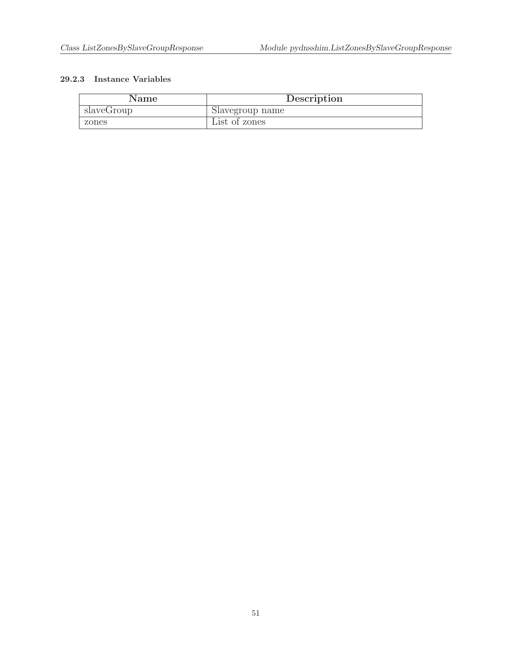| Name       | Description     |
|------------|-----------------|
| slaveGroup | Slavegroup name |
| zones      | List of zones   |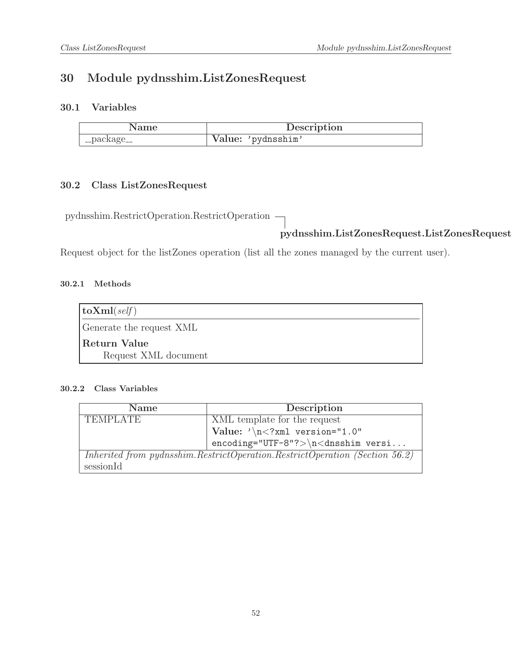# 30 Module pydnsshim.ListZonesRequest

## 30.1 Variables

| Name        | Description        |
|-------------|--------------------|
| __package__ | Value: 'pydnsshim' |

## 30.2 Class ListZonesRequest

pydnsshim.RestrictOperation.RestrictOperation

# pydnsshim.ListZonesRequest.ListZonesRequest

Request object for the listZones operation (list all the zones managed by the current user).

### 30.2.1 Methods

| $\vert$ toXml( <i>self</i> ) |  |
|------------------------------|--|
| Generate the request XML     |  |
| Return Value                 |  |
| Request XML document         |  |

| <b>Name</b>     | Description                                                                 |
|-----------------|-----------------------------------------------------------------------------|
| <b>TEMPLATE</b> | XML template for the request                                                |
|                 | Value: $\sqrt{n}$ xml version="1.0"</th                                     |
|                 | $encoding="UTF-8"?>\n<\ndnsshim versi$                                      |
|                 | Inherited from pydnsshim.RestrictOperation.RestrictOperation (Section 56.2) |
| sessionId       |                                                                             |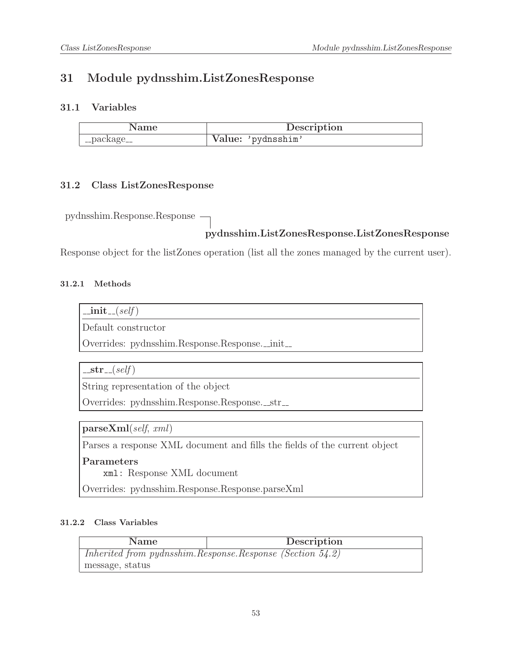# 31 Module pydnsshim.ListZonesResponse

## 31.1 Variables

|             | Description        |
|-------------|--------------------|
| __package__ | Value: 'pydnsshim' |

#### 31.2 Class ListZonesResponse

pydnsshim.Response.Response

## pydnsshim.ListZonesResponse.ListZonesResponse

Response object for the listZones operation (list all the zones managed by the current user).

#### 31.2.1 Methods

| 71 L | sett |
|------|------|
|      |      |

Default constructor

Overrides: pydnsshim.Response.Response.\_init\_

 $-str_{-}(self)$ 

String representation of the object

Overrides: pydnsshim.Response.Response.\_str\_

parseXml(self, xml)

Parses a response XML document and fills the fields of the current object

Parameters

xml: Response XML document

Overrides: pydnsshim.Response.Response.parseXml

| <b>Name</b>                                                    | Description |  |
|----------------------------------------------------------------|-------------|--|
| Inherited from pydnsshim. Response. Response (Section $54.2$ ) |             |  |
| message, status                                                |             |  |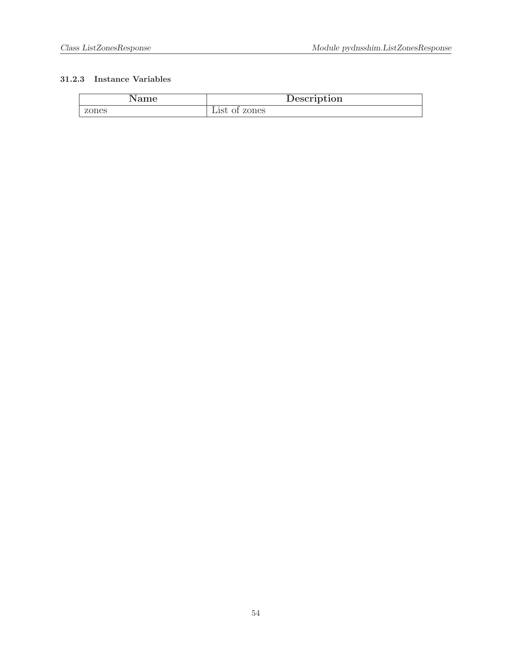| Name  | Description                        |
|-------|------------------------------------|
| zones | of zones<br>$\rm \omega \rm lSt$ ( |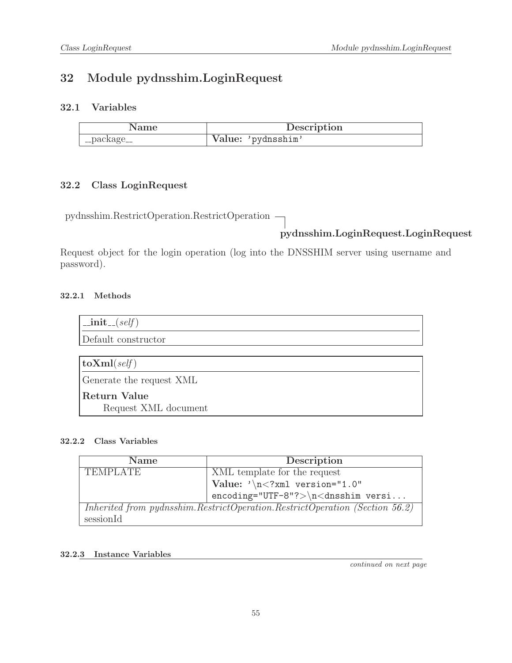# 32 Module pydnsshim.LoginRequest

## 32.1 Variables

| Name          | Description        |
|---------------|--------------------|
| ' __package__ | Value: 'pydnsshim' |

## 32.2 Class LoginRequest

pydnsshim.RestrictOperation.RestrictOperation

# pydnsshim.LoginRequest.LoginRequest

Request object for the login operation (log into the DNSSHIM server using username and password).

## 32.2.1 Methods

| $\text{unit}$ <sub>--</sub> $(self)$ |
|--------------------------------------|
| Default constructor                  |
|                                      |
| $\vert$ toXml(self)                  |
| Generate the request XML             |
| Return Value                         |
| Request XML document                 |

## 32.2.2 Class Variables

| <b>Name</b>     | Description                                                                 |
|-----------------|-----------------------------------------------------------------------------|
| <b>TEMPLATE</b> | XML template for the request                                                |
|                 | Value: $\sqrt{n}$ xml version="1.0"</th                                     |
|                 | $encoding="UTF-8"?>\n<\ndnsshim versi$                                      |
|                 | Inherited from pydnsshim.RestrictOperation.RestrictOperation (Section 56.2) |
| sessionId       |                                                                             |

## 32.2.3 Instance Variables

continued on next page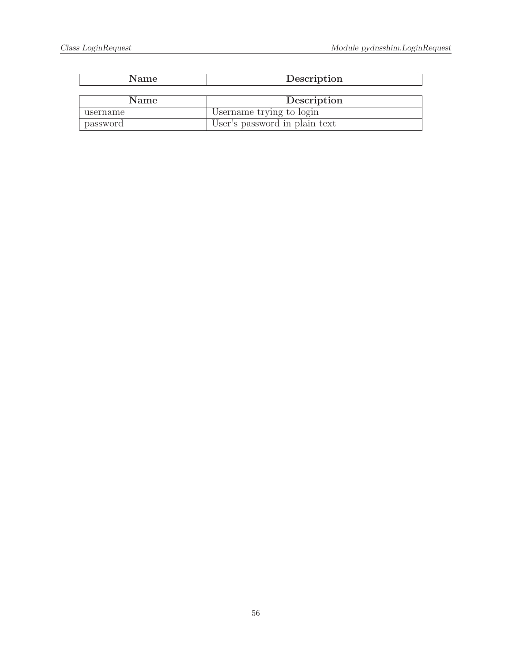| <b>Name</b> | Description                   |  |
|-------------|-------------------------------|--|
|             |                               |  |
| Name        | Description                   |  |
| username    | Username trying to login      |  |
| password    | User's password in plain text |  |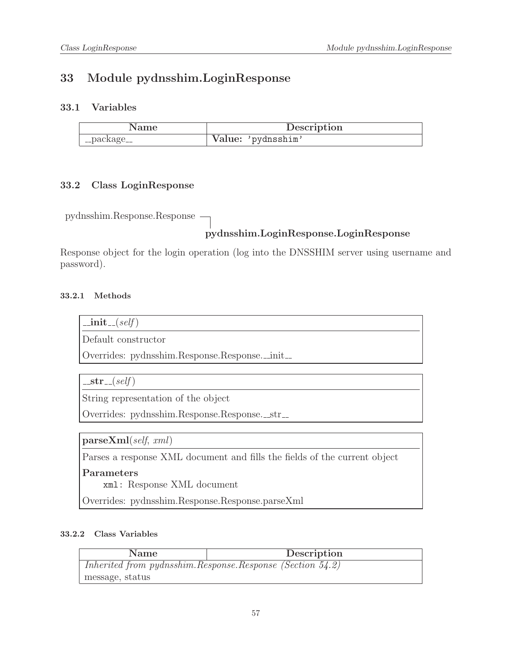# 33 Module pydnsshim.LoginResponse

## 33.1 Variables

| Name        | Description        |
|-------------|--------------------|
| __package__ | Value: 'pydnsshim' |

## 33.2 Class LoginResponse

pydnsshim.Response.Response

## pydnsshim.LoginResponse.LoginResponse

Response object for the login operation (log into the DNSSHIM server using username and password).

### 33.2.1 Methods

 $\_{\rm init}$  (self)

Default constructor

Overrides: pydnsshim.Response.Response.\_init\_

 $-str_{-}(self)$ 

String representation of the object

Overrides: pydnsshim.Response.Response.\_str\_

parseXml(self, xml)

Parses a response XML document and fills the fields of the current object

#### Parameters

xml: Response XML document

Overrides: pydnsshim.Response.Response.parseXml

| Name                                                           | Description |
|----------------------------------------------------------------|-------------|
| Inherited from pydnsshim. Response. Response (Section $54.2$ ) |             |
| message, status                                                |             |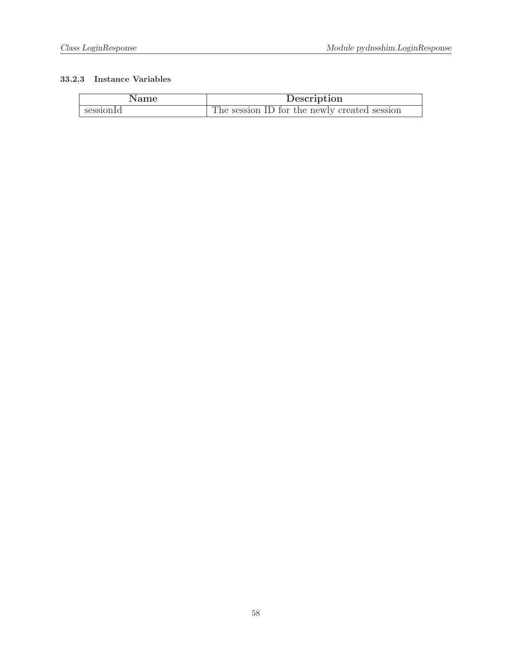| Name      | Description                                  |
|-----------|----------------------------------------------|
| sessionId | The session ID for the newly created session |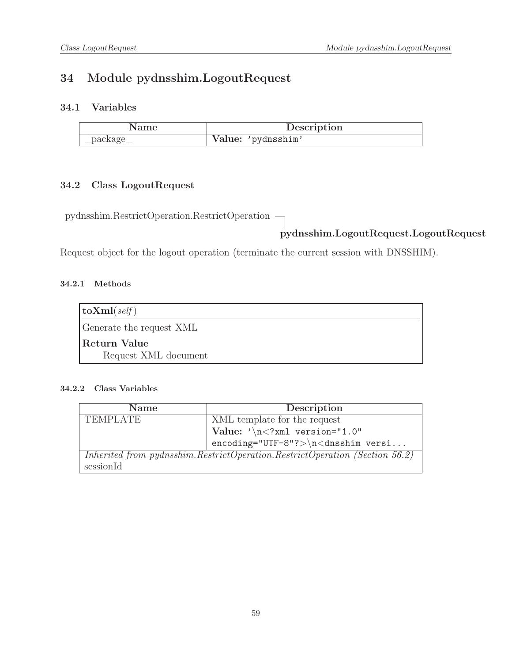# 34 Module pydnsshim.LogoutRequest

## 34.1 Variables

| Name        | Description        |
|-------------|--------------------|
| __package__ | Value: 'pydnsshim' |

## 34.2 Class LogoutRequest

pydnsshim.RestrictOperation.RestrictOperation

# pydnsshim.LogoutRequest.LogoutRequest

Request object for the logout operation (terminate the current session with DNSSHIM).

### 34.2.1 Methods

| $\vert$ toXml( <i>self</i> ) |
|------------------------------|
| Generate the request XML     |
| Return Value                 |
| Request XML document         |

| <b>Name</b>                                                                   | Description                               |
|-------------------------------------------------------------------------------|-------------------------------------------|
| <b>TEMPLATE</b>                                                               | XML template for the request              |
|                                                                               | Value: $\sqrt{n}$ /xml version="1.0"      |
|                                                                               | $encoding="UTF-8"?>\n<\n<\ndnsshim$ versi |
| Inherited from pydnsshim. RestrictOperation. RestrictOperation (Section 56.2) |                                           |
| sessionId                                                                     |                                           |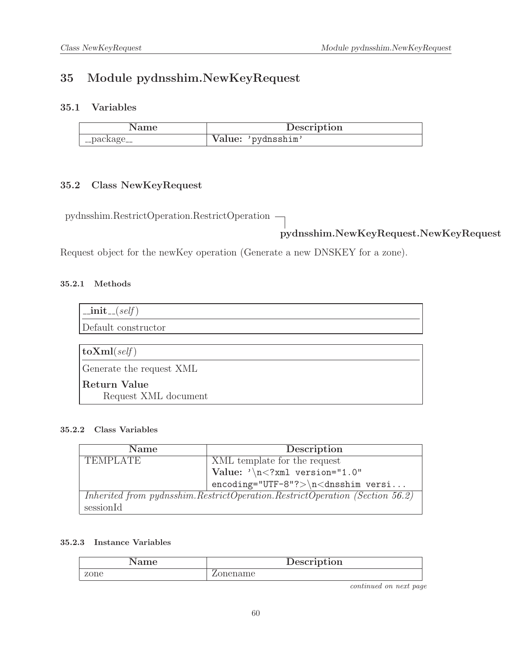# 35 Module pydnsshim.NewKeyRequest

## 35.1 Variables

| Name            | Description        |
|-----------------|--------------------|
| $\lq$ _package_ | Value: 'pydnsshim' |

## 35.2 Class NewKeyRequest

pydnsshim.RestrictOperation.RestrictOperation

# pydnsshim.NewKeyRequest.NewKeyRequest

Request object for the newKey operation (Generate a new DNSKEY for a zone).

## 35.2.1 Methods

| $\text{unit}$ <sub>-(self)</sub> |
|----------------------------------|
| Default constructor              |
|                                  |
| $\vert$ toXml(self)              |
| Generate the request XML         |
| Return Value                     |
| Request XML document             |

### 35.2.2 Class Variables

| <b>Name</b>                                                                 | Description                             |
|-----------------------------------------------------------------------------|-----------------------------------------|
| <b>TEMPLATE</b>                                                             | XML template for the request            |
|                                                                             | Value: $\sqrt{n}$ xml version="1.0"</th |
|                                                                             | $encoding="UTF-8"?>\n<\ndnsshim versi$  |
| Inherited from pydnsshim.RestrictOperation.RestrictOperation (Section 56.2) |                                         |
| sessionId                                                                   |                                         |

#### 35.2.3 Instance Variables

| ame  | Description |
|------|-------------|
| zone | 3me         |

continued on next page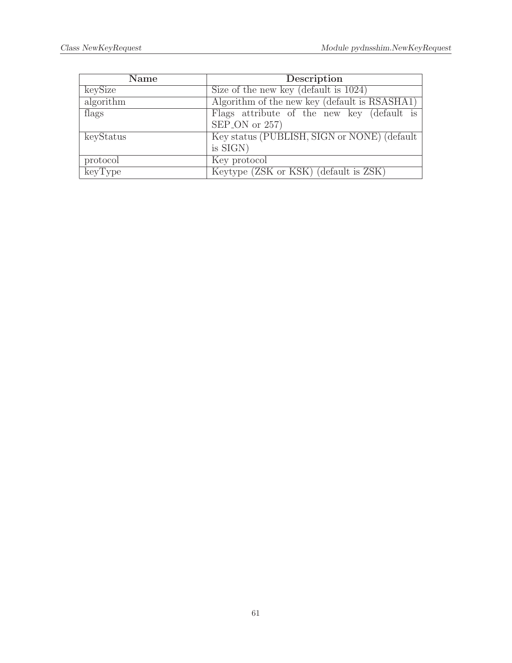| <b>Name</b> | Description                                   |
|-------------|-----------------------------------------------|
| keySize     | Size of the new key (default is $1024$ )      |
| algorithm   | Algorithm of the new key (default is RSASHA1) |
| flags       | Flags attribute of the new key (default is    |
|             | $SEP$ <sub>-ON</sub> or 257)                  |
| keyStatus   | Key status (PUBLISH, SIGN or NONE) (default   |
|             | is SIGN)                                      |
| protocol    | Key protocol                                  |
| keyType     | Keytype (ZSK or KSK) (default is ZSK)         |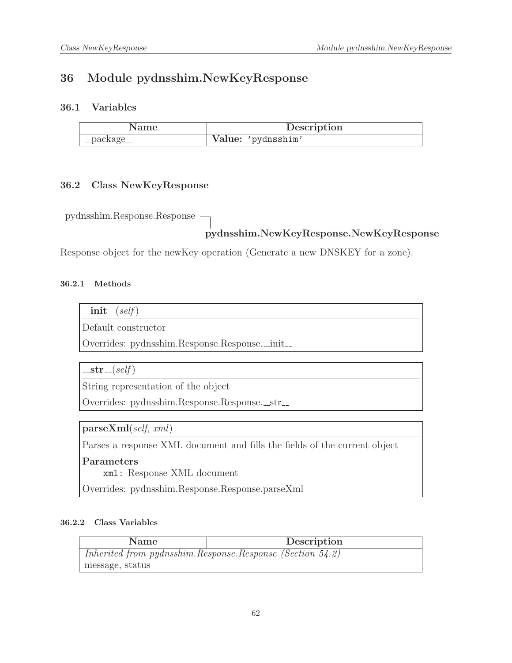# 36 Module pydnsshim.NewKeyResponse

## 36.1 Variables

|             | Description        |
|-------------|--------------------|
| __package__ | Value: 'pydnsshim' |

## 36.2 Class NewKeyResponse

pydnsshim.Response.Response

## pydnsshim.NewKeyResponse.NewKeyResponse

Response object for the newKey operation (Generate a new DNSKEY for a zone).

## 36.2.1 Methods

| 11.<br>т. | sett |
|-----------|------|
|           |      |
|           |      |

Default constructor

Overrides: pydnsshim.Response.Response.\_init\_

 $-str_{-}(self)$ 

String representation of the object

Overrides: pydnsshim.Response.Response.\_str\_

parseXml(self, xml)

Parses a response XML document and fills the fields of the current object

Parameters

xml: Response XML document

Overrides: pydnsshim.Response.Response.parseXml

| <b>Name</b>                                               | Description |
|-----------------------------------------------------------|-------------|
| Inherited from pydnsshim.Response.Response (Section 54.2) |             |
| message, status                                           |             |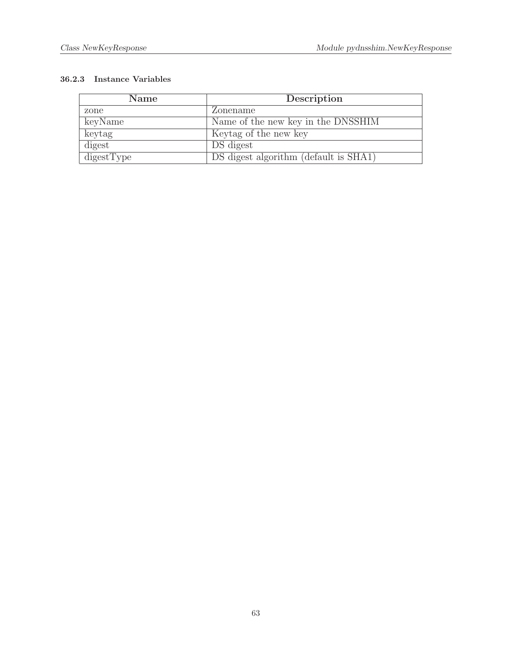| <b>Name</b> | Description                           |
|-------------|---------------------------------------|
| zone        | Zonename                              |
| keyName     | Name of the new key in the DNSSHIM    |
| keytag      | Keytag of the new key                 |
| digest      | DS digest                             |
| digestType  | DS digest algorithm (default is SHA1) |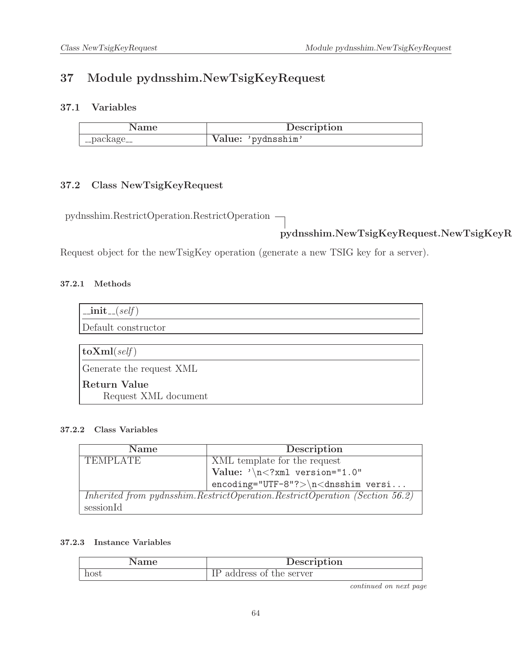# 37 Module pydnsshim.NewTsigKeyRequest

## 37.1 Variables

| Name        | Description        |
|-------------|--------------------|
| '_package__ | Value: 'pydnsshim' |

## 37.2 Class NewTsigKeyRequest

pydnsshim.RestrictOperation.RestrictOperation

# pydnsshim.NewTsigKeyRequest.NewTsigKeyRequest

Request object for the newTsigKey operation (generate a new TSIG key for a server).

## 37.2.1 Methods

| $\text{unit}(\text{self})$           |
|--------------------------------------|
| Default constructor                  |
|                                      |
| $ {\rm\bf toXml}({\it self}) $       |
| Generate the request XML             |
| Return Value<br>Request XML document |

## 37.2.2 Class Variables

| <b>Name</b>                                                                 | Description                             |
|-----------------------------------------------------------------------------|-----------------------------------------|
| <b>TEMPLATE</b>                                                             | XML template for the request            |
|                                                                             | Value: $\sqrt{n}$ xml version="1.0"</th |
|                                                                             | $encoding="UTF-8"?>\n<\ndnsshim versi$  |
| Inherited from pydnsshim.RestrictOperation.RestrictOperation (Section 56.2) |                                         |
| sessionId                                                                   |                                         |

#### 37.2.3 Instance Variables

| ame  | Description                  |
|------|------------------------------|
| nost | the server<br>address<br>OI. |

continued on next page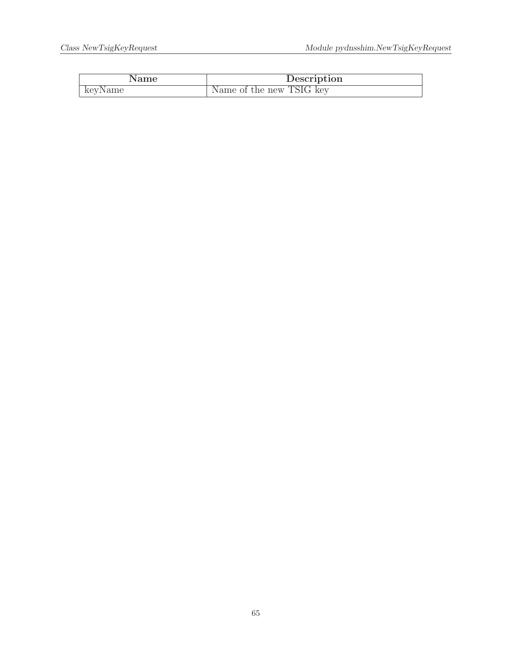| Name    | Description              |
|---------|--------------------------|
| keyName | Name of the new TSIG key |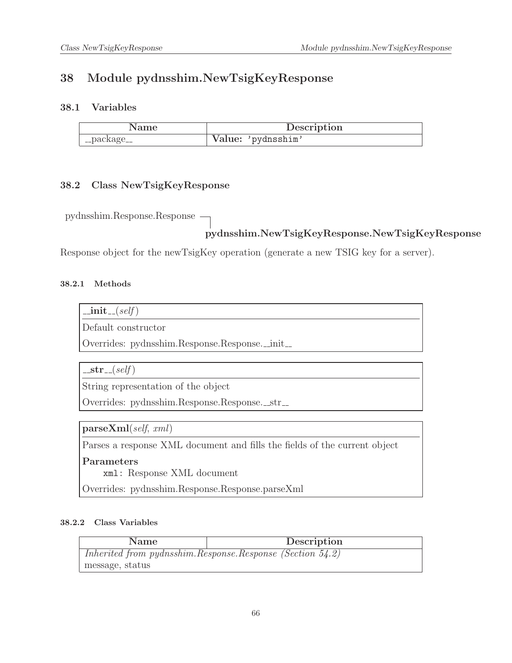# 38 Module pydnsshim.NewTsigKeyResponse

## 38.1 Variables

| vame        | Description        |
|-------------|--------------------|
| __package__ | Value: 'pydnsshim' |

## 38.2 Class NewTsigKeyResponse

pydnsshim.Response.Response

## pydnsshim.NewTsigKeyResponse.NewTsigKeyResponse

Response object for the newTsigKey operation (generate a new TSIG key for a server).

#### 38.2.1 Methods

| 11.<br>т. | sett |
|-----------|------|
|           |      |
|           |      |

Default constructor

Overrides: pydnsshim.Response.Response.\_init\_

 $-str_{-}(self)$ 

String representation of the object

Overrides: pydnsshim.Response.Response.\_str\_

parseXml(self, xml)

Parses a response XML document and fills the fields of the current object

Parameters

xml: Response XML document

Overrides: pydnsshim.Response.Response.parseXml

| <b>Name</b>                                                    | Description |
|----------------------------------------------------------------|-------------|
| Inherited from pydnsshim. Response. Response (Section $54.2$ ) |             |
| message, status                                                |             |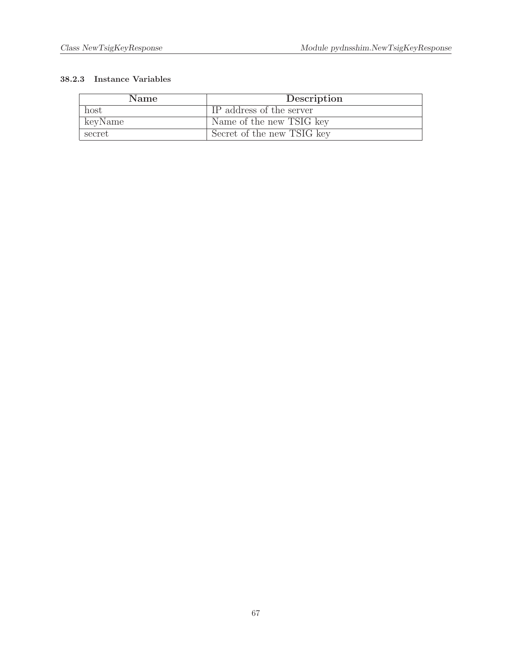| <b>Name</b> | Description                |
|-------------|----------------------------|
| host        | IP address of the server   |
| keyName     | Name of the new TSIG key   |
| secret      | Secret of the new TSIG key |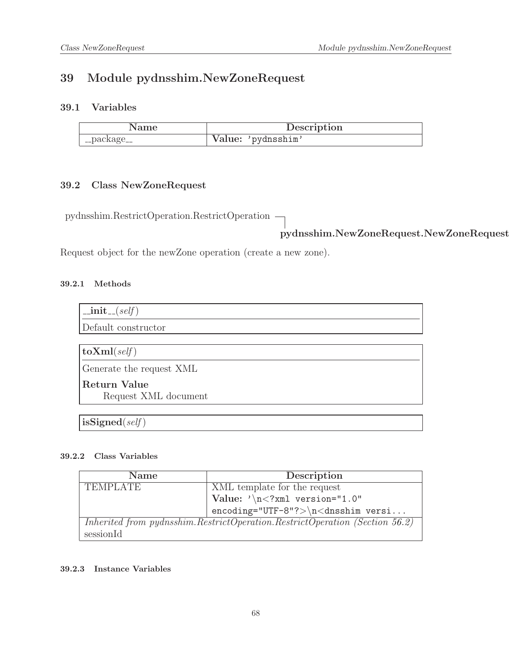# 39 Module pydnsshim.NewZoneRequest

## 39.1 Variables

|             | Description        |
|-------------|--------------------|
| __package__ | Value: 'pydnsshim' |

## 39.2 Class NewZoneRequest

pydnsshim.RestrictOperation.RestrictOperation

pydnsshim.NewZoneRequest.NewZoneRequest

Request object for the newZone operation (create a new zone).

### 39.2.1 Methods

| $\text{unit} \_\text{self}$ |
|-----------------------------|
| Default constructor         |
|                             |
| $\vert$ toXml(self)         |
| Generate the request XML    |
| Return Value                |
| Request XML document        |

 $isSigned(self)$ 

### 39.2.2 Class Variables

| <b>Name</b>                                                                 | Description                            |
|-----------------------------------------------------------------------------|----------------------------------------|
| <b>TEMPLATE</b>                                                             | XML template for the request           |
|                                                                             | Value: $\sqrt{n}$ /xml version="1.0"   |
|                                                                             | $encoding="UTF-8"?>\n<\ndnsshim versi$ |
| Inherited from pydnsshim.RestrictOperation.RestrictOperation (Section 56.2) |                                        |
| sessionId                                                                   |                                        |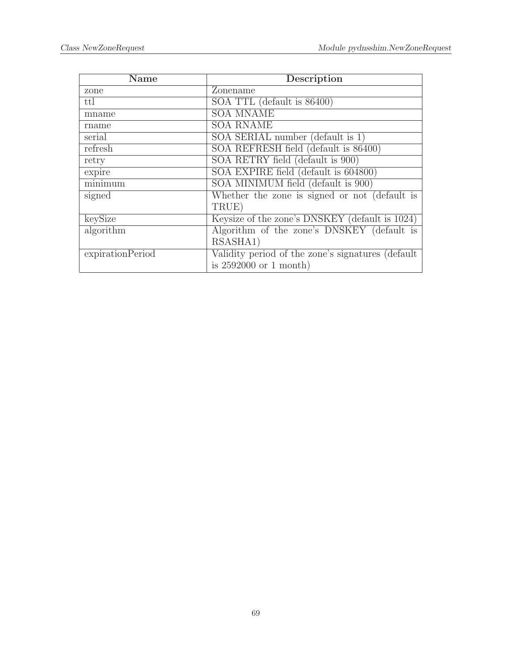| Name             | Description                                        |
|------------------|----------------------------------------------------|
| zone             | Zonename                                           |
| ttl              | SOA TTL (default is 86400)                         |
| mname            | <b>SOA MNAME</b>                                   |
| rname            | <b>SOA RNAME</b>                                   |
| serial           | SOA SERIAL number (default is 1)                   |
| refresh          | SOA REFRESH field (default is 86400)               |
| retry            | SOA RETRY field (default is 900)                   |
| expire           | SOA EXPIRE field (default is 604800)               |
| minimum          | SOA MINIMUM field (default is 900)                 |
| signed           | Whether the zone is signed or not (default is      |
|                  | TRUE)                                              |
| keySize          | Keysize of the zone's DNSKEY (default is 1024)     |
| algorithm        | Algorithm of the zone's DNSKEY (default is         |
|                  | RSASHA1)                                           |
| expirationPeriod | Validity period of the zone's signatures (default) |
|                  | is $2592000$ or 1 month)                           |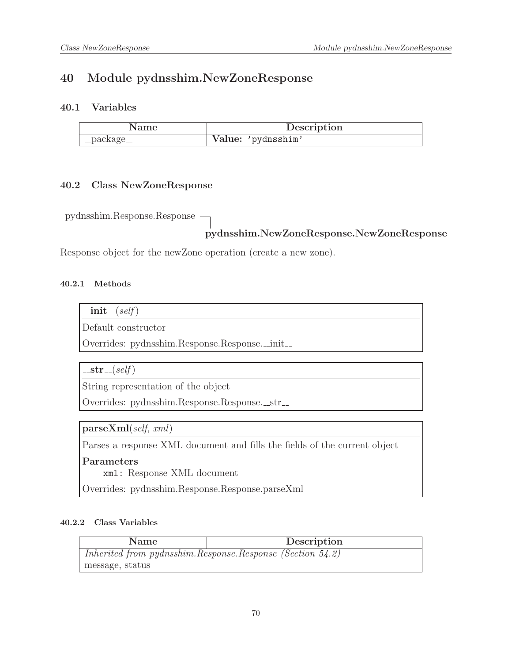# 40 Module pydnsshim.NewZoneResponse

## 40.1 Variables

|             | Description        |
|-------------|--------------------|
| __package__ | Value: 'pydnsshim' |

## 40.2 Class NewZoneResponse

pydnsshim.Response.Response

## pydnsshim.NewZoneResponse.NewZoneResponse

Response object for the newZone operation (create a new zone).

#### 40.2.1 Methods

| т.<br>11 L | 3e.I.T |
|------------|--------|
|            |        |
|            |        |

Default constructor

Overrides: pydnsshim.Response.Response.\_init\_

 $-str_{-}(self)$ 

String representation of the object

Overrides: pydnsshim.Response.Response.\_str\_

parseXml(self, xml)

Parses a response XML document and fills the fields of the current object

Parameters

xml: Response XML document

Overrides: pydnsshim.Response.Response.parseXml

| <b>Name</b>                                               | Description |
|-----------------------------------------------------------|-------------|
| Inherited from pydnsshim.Response.Response (Section 54.2) |             |
| message, status                                           |             |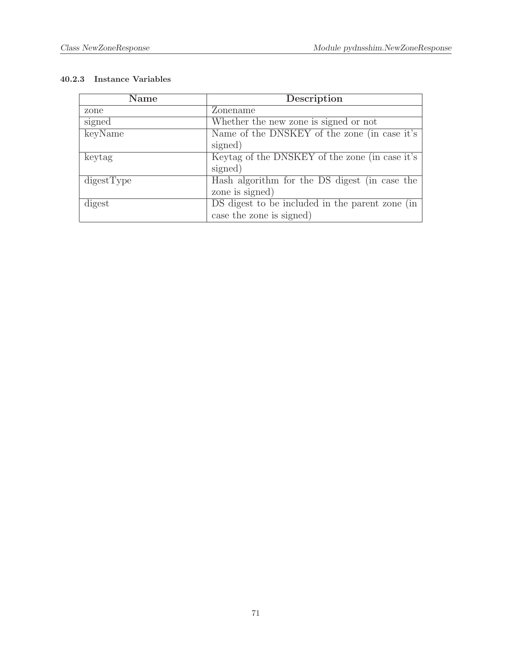| Name       | Description                                     |
|------------|-------------------------------------------------|
| zone       | Zonename                                        |
| signed     | Whether the new zone is signed or not           |
| keyName    | Name of the DNSKEY of the zone (in case it's    |
|            | signed)                                         |
| keytag     | Keytag of the DNSKEY of the zone (in case it's  |
|            | signed)                                         |
| digestType | Hash algorithm for the DS digest (in case the   |
|            | zone is signed)                                 |
| digest     | DS digest to be included in the parent zone (in |
|            | case the zone is signed)                        |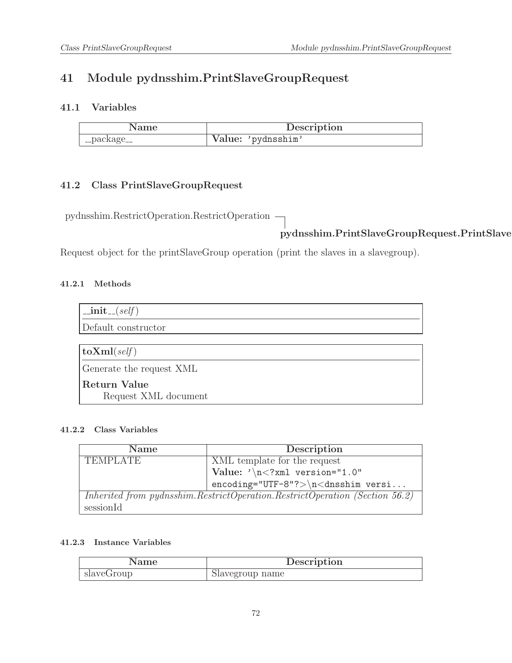# 41 Module pydnsshim.PrintSlaveGroupRequest

## 41.1 Variables

| Name        | Description        |
|-------------|--------------------|
| __package__ | Value: 'pydnsshim' |

## 41.2 Class PrintSlaveGroupRequest

pydnsshim.RestrictOperation.RestrictOperation

# pydnsshim.PrintSlaveGroupRequest.PrintSlave

Request object for the printSlaveGroup operation (print the slaves in a slavegroup).

### 41.2.1 Methods

| $\text{unit} \_\text{self}$                 |
|---------------------------------------------|
| Default constructor                         |
|                                             |
| $ $ to $\mathrm{Xml}(\text{self}) $         |
| Generate the request XML                    |
| <b>Return Value</b><br>Request XML document |

### 41.2.2 Class Variables

| <b>Name</b>     | Description                                                                 |
|-----------------|-----------------------------------------------------------------------------|
| <b>TEMPLATE</b> | XML template for the request                                                |
|                 | Value: $\sqrt{n}$ /xml version="1.0"                                        |
|                 | $encoding="UTF-8"?>\n<\ndnsshim versi$                                      |
|                 | Inherited from pydnsshim.RestrictOperation.RestrictOperation (Section 56.2) |
| sessionId       |                                                                             |

| Name       | Description     |
|------------|-----------------|
| slaveGroup | Slavegroup name |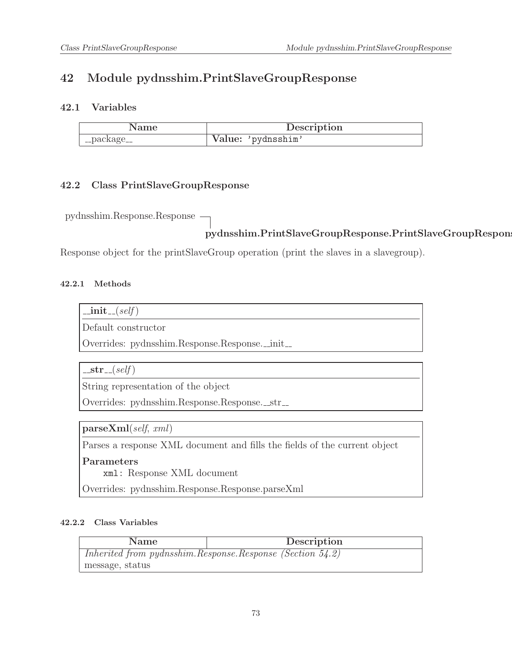# 42 Module pydnsshim.PrintSlaveGroupResponse

### 42.1 Variables

| Name        | Description        |
|-------------|--------------------|
| __package__ | Value: 'pydnsshim' |

### 42.2 Class PrintSlaveGroupResponse

pydnsshim.Response.Response

# pydnsshim.PrintSlaveGroupResponse.PrintSlaveGroupRespon

Response object for the printSlaveGroup operation (print the slaves in a slavegroup).

#### 42.2.1 Methods

| . | sett |
|---|------|
|   |      |
|   |      |

Default constructor

Overrides: pydnsshim.Response.Response.\_init\_

 $-str_{-}(self)$ 

String representation of the object

Overrides: pydnsshim.Response.Response.\_str\_

parseXml(self, xml)

Parses a response XML document and fills the fields of the current object

Parameters

xml: Response XML document

Overrides: pydnsshim.Response.Response.parseXml

| <b>Name</b>                                               | Description |
|-----------------------------------------------------------|-------------|
| Inherited from pydnsshim.Response.Response (Section 54.2) |             |
| message, status                                           |             |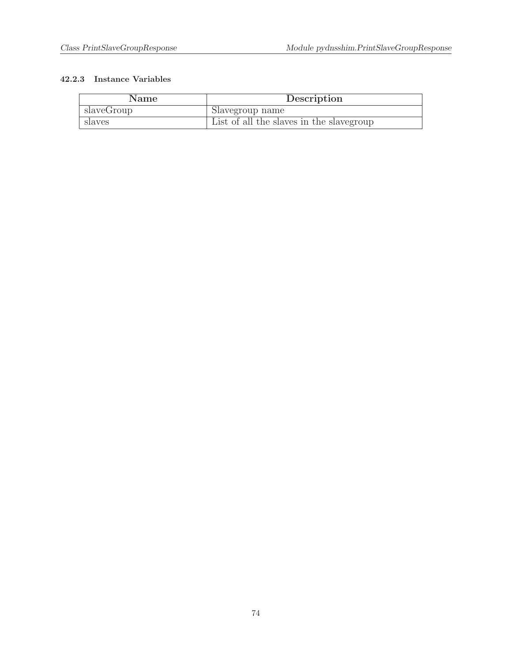| Name       | Description                              |
|------------|------------------------------------------|
| slaveGroup | Slavegroup name                          |
| slaves     | List of all the slaves in the slavegroup |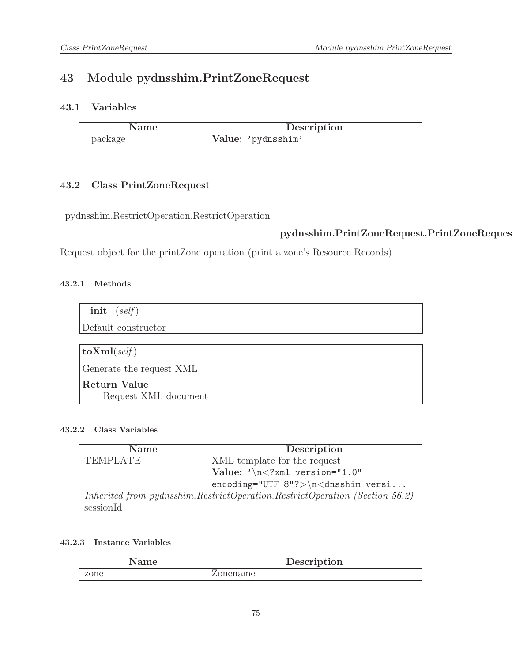# 43 Module pydnsshim.PrintZoneRequest

### 43.1 Variables

| Name        | Description        |
|-------------|--------------------|
| __package__ | Value: 'pydnsshim' |

# 43.2 Class PrintZoneRequest

pydnsshim.RestrictOperation.RestrictOperation

pydnsshim.PrintZoneRequest.PrintZoneRequest

Request object for the printZone operation (print a zone's Resource Records).

#### 43.2.1 Methods

| $\text{unit}$ <sub>-(self)</sub>     |
|--------------------------------------|
| Default constructor                  |
|                                      |
| $ {\rm\bf toXml}({\it self}) $       |
| Generate the request XML             |
| Return Value<br>Request XML document |

#### 43.2.2 Class Variables

| <b>Name</b>                                                                     | Description                            |
|---------------------------------------------------------------------------------|----------------------------------------|
| <b>TEMPLATE</b>                                                                 | XML template for the request           |
|                                                                                 | Value: $\sqrt{n}$ /xml version="1.0"   |
|                                                                                 | $encoding="UTF-8"?>\n<\ndnsshim versi$ |
| Inherited from pydnsshim. Restrict Operation. Restrict Operation (Section 56.2) |                                        |
| sessionId                                                                       |                                        |

| Name | Description       |
|------|-------------------|
| zone | onename<br>ا المد |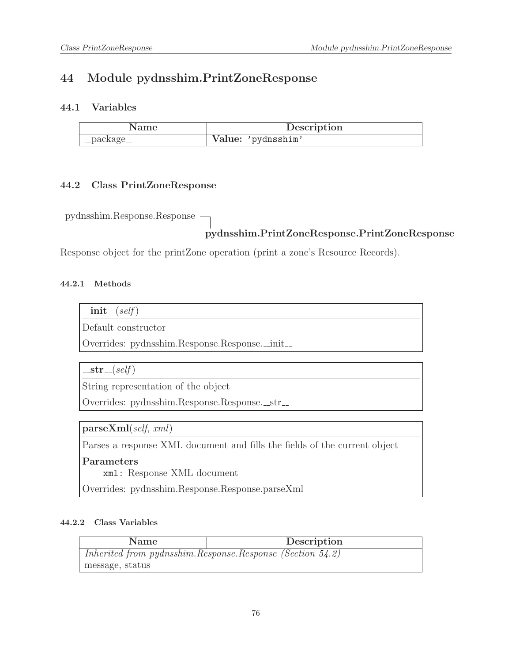# 44 Module pydnsshim.PrintZoneResponse

### 44.1 Variables

|             | Description        |
|-------------|--------------------|
| __package__ | Value: 'pydnsshim' |

#### 44.2 Class PrintZoneResponse

pydnsshim.Response.Response

# pydnsshim.PrintZoneResponse.PrintZoneResponse

Response object for the printZone operation (print a zone's Resource Records).

#### 44.2.1 Methods

| . | sett |
|---|------|
|   |      |
|   |      |

Default constructor

Overrides: pydnsshim.Response.Response.\_init\_

 $-str_{-}(self)$ 

String representation of the object

Overrides: pydnsshim.Response.Response.\_str\_

parseXml(self, xml)

Parses a response XML document and fills the fields of the current object

Parameters

xml: Response XML document

Overrides: pydnsshim.Response.Response.parseXml

| <b>Name</b>                                               | Description |
|-----------------------------------------------------------|-------------|
| Inherited from pydnsshim.Response.Response (Section 54.2) |             |
| message, status                                           |             |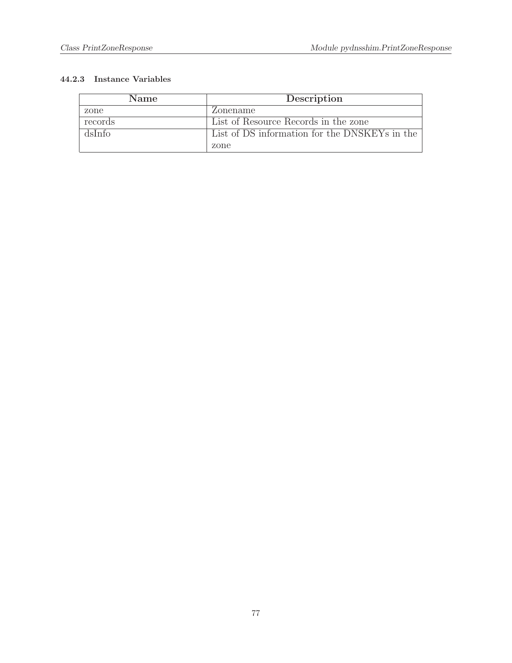| <b>Name</b> | Description                                   |
|-------------|-----------------------------------------------|
| zone        | Zonename                                      |
| records     | List of Resource Records in the zone          |
| dsInfo      | List of DS information for the DNSKEYs in the |
|             | zone                                          |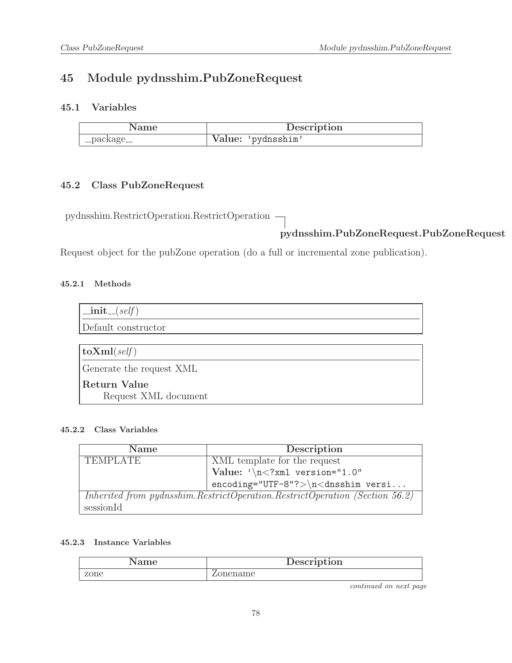# 45 Module pydnsshim.PubZoneRequest

### 45.1 Variables

| Name        | Description        |
|-------------|--------------------|
| __package__ | Value: 'pydnsshim' |

### 45.2 Class PubZoneRequest

pydnsshim.RestrictOperation.RestrictOperation

# pydnsshim.PubZoneRequest.PubZoneRequest

Request object for the pubZone operation (do a full or incremental zone publication).

#### 45.2.1 Methods

| $\text{unit}$ <sub>-(self)</sub> |
|----------------------------------|
| Default constructor              |
|                                  |
| $\textbf{toXml}(\text{self})$    |
| Generate the request XML         |
| <b>Return Value</b>              |
| Request XML document             |

#### 45.2.2 Class Variables

| <b>Name</b>                                                                 | Description                              |
|-----------------------------------------------------------------------------|------------------------------------------|
| <b>TEMPLATE</b>                                                             | XML template for the request             |
|                                                                             | $\vert$ Value: '\n xml version="1.0"</th |
|                                                                             | $encoding="UTF-8"?>\n<\ndnsshim versi$   |
| Inherited from pydnsshim.RestrictOperation.RestrictOperation (Section 56.2) |                                          |
| sessionId                                                                   |                                          |

#### 45.2.3 Instance Variables

| ാനല  | Description |
|------|-------------|
| zone | ame         |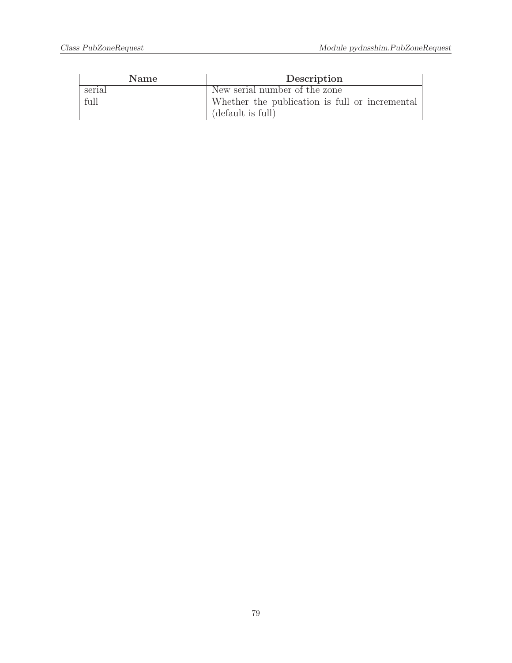| <b>Name</b> | Description                                    |
|-------------|------------------------------------------------|
| serial      | New serial number of the zone                  |
| full        | Whether the publication is full or incremental |
|             | (default is full)                              |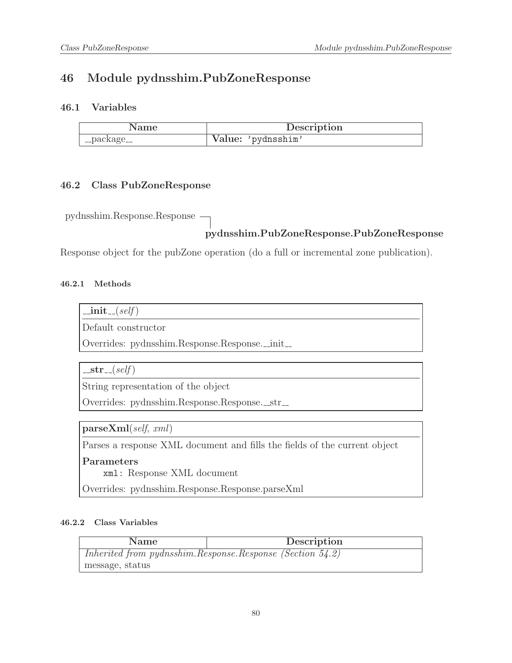# 46 Module pydnsshim.PubZoneResponse

### 46.1 Variables

|             | Description        |
|-------------|--------------------|
| __package__ | Value: 'pydnsshim' |

#### 46.2 Class PubZoneResponse

pydnsshim.Response.Response

### pydnsshim.PubZoneResponse.PubZoneResponse

Response object for the pubZone operation (do a full or incremental zone publication).

#### 46.2.1 Methods

| 11 L<br>ι, | sett |
|------------|------|
|            |      |
|            |      |

Default constructor

Overrides: pydnsshim.Response.Response.\_init\_

 $-str_{-}(self)$ 

String representation of the object

Overrides: pydnsshim.Response.Response.\_str\_

parseXml(self, xml)

Parses a response XML document and fills the fields of the current object

Parameters

xml: Response XML document

Overrides: pydnsshim.Response.Response.parseXml

| Name                                                           | Description |
|----------------------------------------------------------------|-------------|
| Inherited from pydnsshim. Response. Response (Section $54.2$ ) |             |
| message, status                                                |             |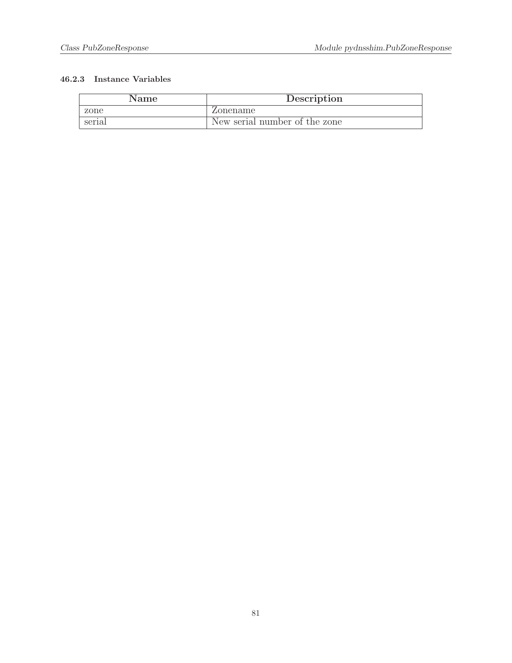| Name   | Description                   |
|--------|-------------------------------|
| zone   | Zonename                      |
| serial | New serial number of the zone |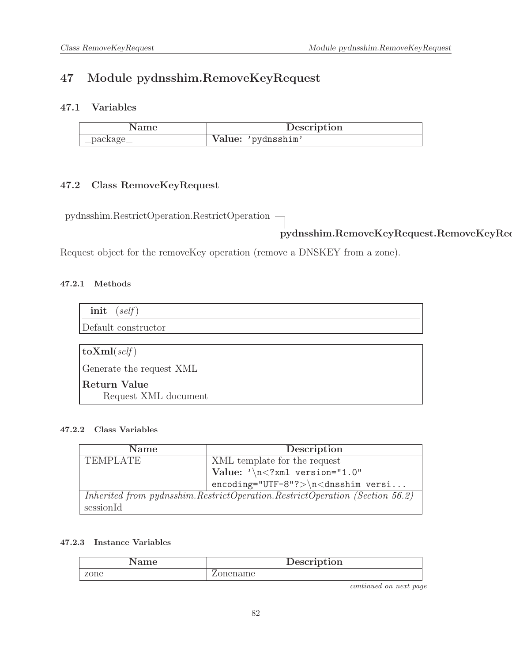# 47 Module pydnsshim.RemoveKeyRequest

### 47.1 Variables

| Name        | Description        |
|-------------|--------------------|
| __package__ | Value: 'pydnsshim' |

# 47.2 Class RemoveKeyRequest

pydnsshim.RestrictOperation.RestrictOperation

# pydnsshim.RemoveKeyRequest.RemoveKeyRequest

Request object for the removeKey operation (remove a DNSKEY from a zone).

#### 47.2.1 Methods

| $\text{unit}$ <sub>-(self)</sub>      |
|---------------------------------------|
| Default constructor                   |
|                                       |
| $\vert$ toXml(self)                   |
| Generate the request XML              |
| Return Value <br>Request XML document |

#### 47.2.2 Class Variables

| <b>Name</b>                                                                 | Description                             |
|-----------------------------------------------------------------------------|-----------------------------------------|
| <b>TEMPLATE</b>                                                             | XML template for the request            |
|                                                                             | Value: $\sqrt{n}$ xml version="1.0"</th |
|                                                                             | $encoding="UTF-8"?>\n<\ndnsshim versi$  |
| Inherited from pydnsshim.RestrictOperation.RestrictOperation (Section 56.2) |                                         |
| sessionId                                                                   |                                         |

#### 47.2.3 Instance Variables

| me   | Description |
|------|-------------|
| zone |             |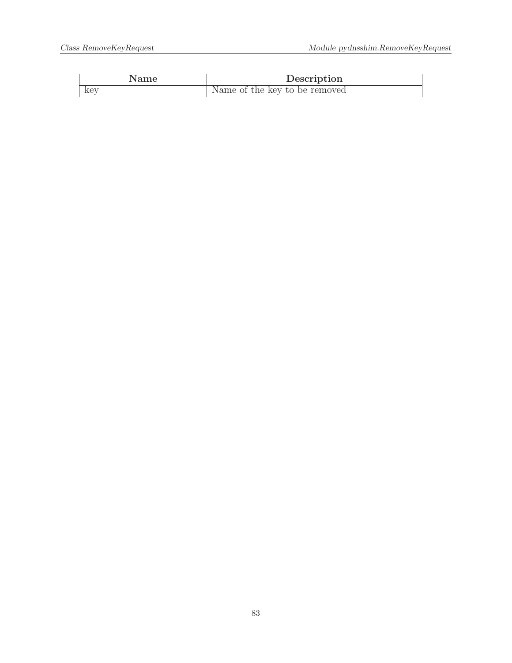| Name | Description                   |
|------|-------------------------------|
| key  | Name of the key to be removed |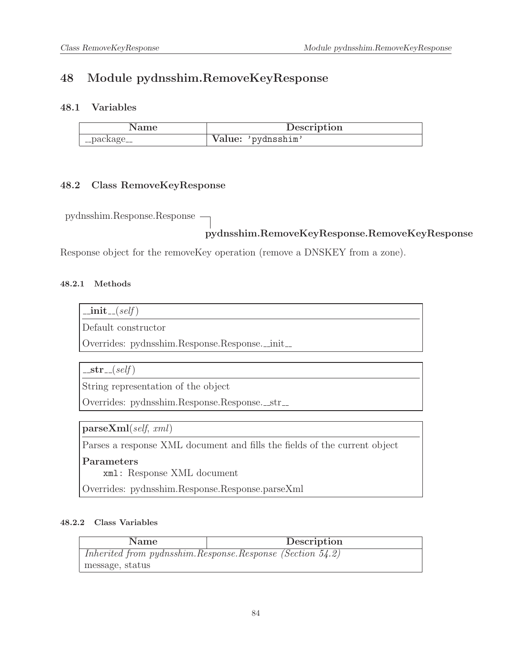# 48 Module pydnsshim.RemoveKeyResponse

### 48.1 Variables

|                                    | Description        |
|------------------------------------|--------------------|
| $\mathcal{L}_{\text{p}}$ _package_ | Value: 'pydnsshim' |

#### 48.2 Class RemoveKeyResponse

pydnsshim.Response.Response

### pydnsshim.RemoveKeyResponse.RemoveKeyResponse

Response object for the removeKey operation (remove a DNSKEY from a zone).

#### 48.2.1 Methods

| 11 L<br>ι, | sett |
|------------|------|
|            |      |
|            |      |

Default constructor

Overrides: pydnsshim.Response.Response.\_init\_

 $-str_{-}(self)$ 

String representation of the object

Overrides: pydnsshim.Response.Response.\_str\_

parseXml(self, xml)

Parses a response XML document and fills the fields of the current object

Parameters

xml: Response XML document

Overrides: pydnsshim.Response.Response.parseXml

| <b>Name</b>                                                    | Description |
|----------------------------------------------------------------|-------------|
| Inherited from pydnsshim. Response. Response (Section $54.2$ ) |             |
| message, status                                                |             |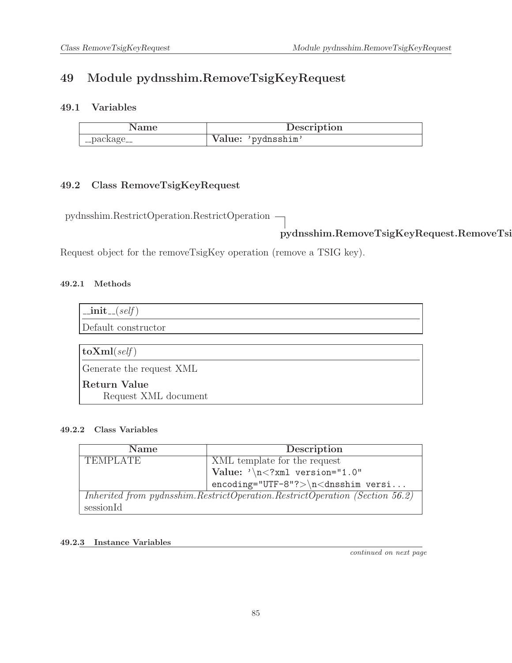# 49 Module pydnsshim.RemoveTsigKeyRequest

## 49.1 Variables

| Name            | Description        |
|-----------------|--------------------|
| $\lq$ _package_ | Value: 'pydnsshim' |

## 49.2 Class RemoveTsigKeyRequest

pydnsshim.RestrictOperation.RestrictOperation

pydnsshim.RemoveTsigKeyRequest.RemoveTsigKeyRequest

Request object for the removeTsigKey operation (remove a TSIG key).

### 49.2.1 Methods

| $\text{unit}$ <sub>-(self)</sub>            |
|---------------------------------------------|
| Default constructor                         |
|                                             |
| $ {\rm\bf toXml}({\it self}) $              |
| Generate the request XML                    |
| <b>Return Value</b><br>Request XML document |

#### 49.2.2 Class Variables

| <b>Name</b>                                                                 | Description                            |
|-----------------------------------------------------------------------------|----------------------------------------|
| <b>TEMPLATE</b>                                                             | XML template for the request           |
|                                                                             | Value: $\sqrt{n}$ /xml version="1.0"   |
|                                                                             | $encoding="UTF-8"?>\n<\ndnsshim versi$ |
| Inherited from pydnsshim.RestrictOperation.RestrictOperation (Section 56.2) |                                        |
| sessionId                                                                   |                                        |

#### 49.2.3 Instance Variables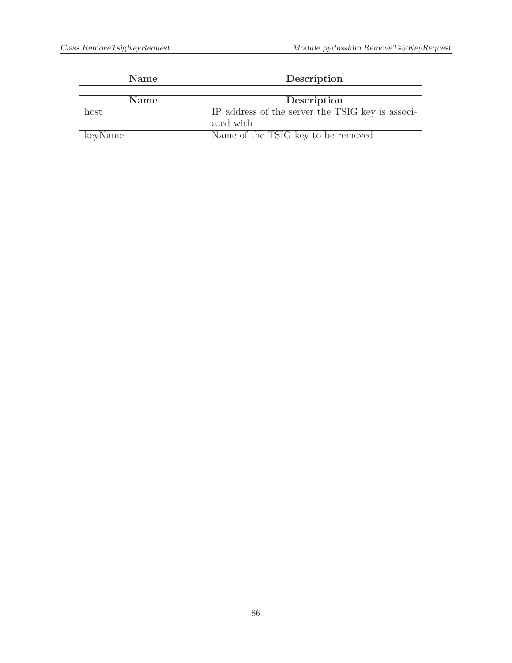| <b>Name</b> | Description                                      |
|-------------|--------------------------------------------------|
|             |                                                  |
| <b>Name</b> | Description                                      |
| host        | IP address of the server the TSIG key is associ- |
|             | ated with                                        |
| keyName     | Name of the TSIG key to be removed               |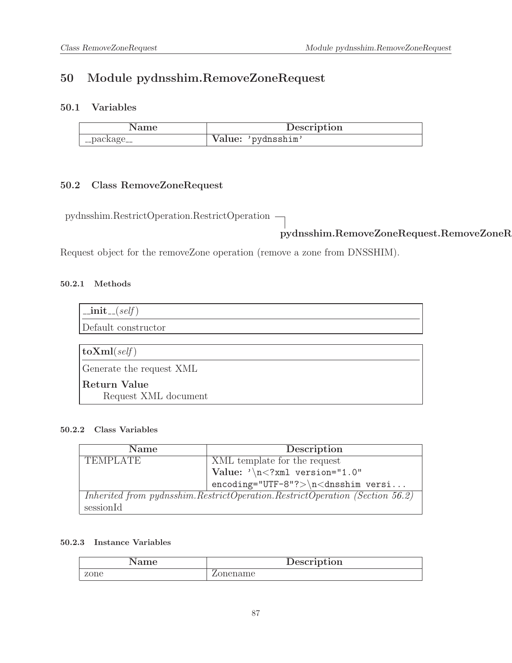# 50 Module pydnsshim.RemoveZoneRequest

### 50.1 Variables

| Name        | Description        |
|-------------|--------------------|
| __package__ | Value: 'pydnsshim' |

# 50.2 Class RemoveZoneRequest

pydnsshim.RestrictOperation.RestrictOperation

pydnsshim.RemoveZoneRequest.RemoveZoneRequest

Request object for the removeZone operation (remove a zone from DNSSHIM).

#### 50.2.1 Methods

| $\text{unit}$ <sub>-(self)</sub> |
|----------------------------------|
| Default constructor              |
|                                  |
| $\vert$ toXml(self)              |
| Generate the request XML         |
| Return Value                     |
| Request XML document             |

#### 50.2.2 Class Variables

| <b>Name</b>                                                                     | Description                            |
|---------------------------------------------------------------------------------|----------------------------------------|
| <b>TEMPLATE</b>                                                                 | XML template for the request           |
|                                                                                 | Value: $\sqrt{n}$ /xml version="1.0"   |
|                                                                                 | $encoding="UTF-8"?>\n<\ndnsshim versi$ |
| Inherited from pydnsshim. Restrict Operation. Restrict Operation (Section 56.2) |                                        |
| sessionId                                                                       |                                        |

| ame  | Description |
|------|-------------|
| zone | onename     |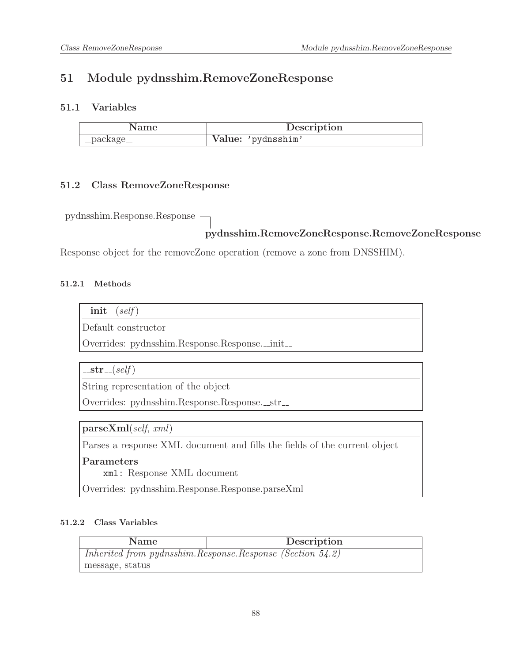# 51 Module pydnsshim.RemoveZoneResponse

### 51.1 Variables

| Name        | Description        |
|-------------|--------------------|
| __package__ | Value: 'pydnsshim' |

#### 51.2 Class RemoveZoneResponse

pydnsshim.Response.Response

# pydnsshim.RemoveZoneResponse.RemoveZoneResponse

Response object for the removeZone operation (remove a zone from DNSSHIM).

#### 51.2.1 Methods

| . | sett |
|---|------|
|   |      |
|   |      |

Default constructor

Overrides: pydnsshim.Response.Response.\_init\_

 $-str_{-}(self)$ 

String representation of the object

Overrides: pydnsshim.Response.Response.\_str\_

parseXml(self, xml)

Parses a response XML document and fills the fields of the current object

Parameters

xml: Response XML document

Overrides: pydnsshim.Response.Response.parseXml

| <b>Name</b>     | Description                                               |
|-----------------|-----------------------------------------------------------|
|                 | Inherited from pydnsshim.Response.Response (Section 54.2) |
| message, status |                                                           |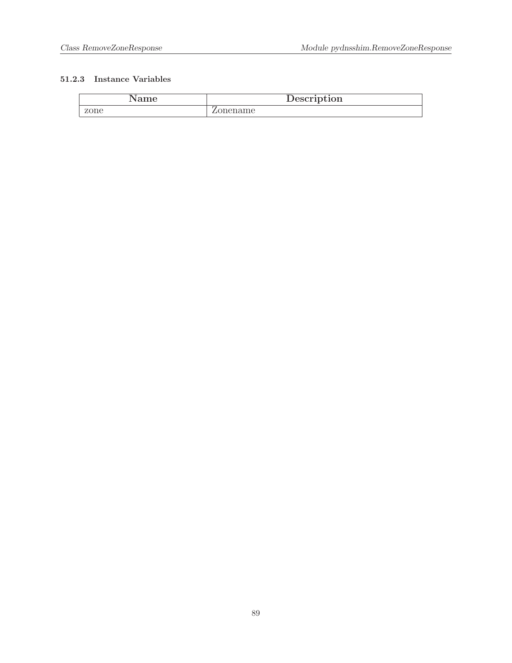| Name | Description |
|------|-------------|
| zone | Zonename    |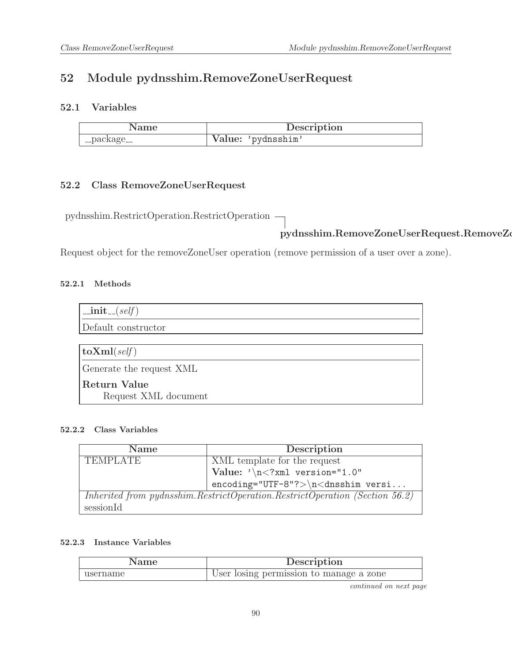# 52 Module pydnsshim.RemoveZoneUserRequest

### 52.1 Variables

| .vame       | Description        |
|-------------|--------------------|
| __package__ | Value: 'pydnsshim' |

## 52.2 Class RemoveZoneUserRequest

pydnsshim.RestrictOperation.RestrictOperation

# pydnsshim.RemoveZoneUserRequest.RemoveZoneUserRequest

Request object for the removeZoneUser operation (remove permission of a user over a zone).

#### 52.2.1 Methods

| $\text{unit}$ <sub>-(self)</sub>     |
|--------------------------------------|
| Default constructor                  |
|                                      |
| $ {\rm\bf toXml}({\it self}) $       |
| Generate the request XML             |
| Return Value<br>Request XML document |

#### 52.2.2 Class Variables

| <b>Name</b>     | Description                                                                     |
|-----------------|---------------------------------------------------------------------------------|
| <b>TEMPLATE</b> | XML template for the request                                                    |
|                 | Value: $\sqrt{n}$ xml version="1.0"</th                                         |
|                 |                                                                                 |
|                 | Inherited from pydnsshim. Restrict Operation. Restrict Operation (Section 56.2) |
| sessionId       |                                                                                 |

#### 52.2.3 Instance Variables

| Name     | Description                             |
|----------|-----------------------------------------|
| username | User losing permission to manage a zone |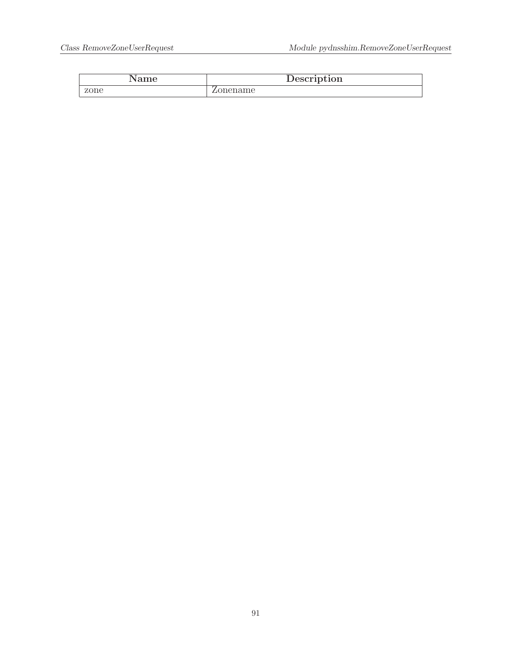|      | Description |
|------|-------------|
| zone | name        |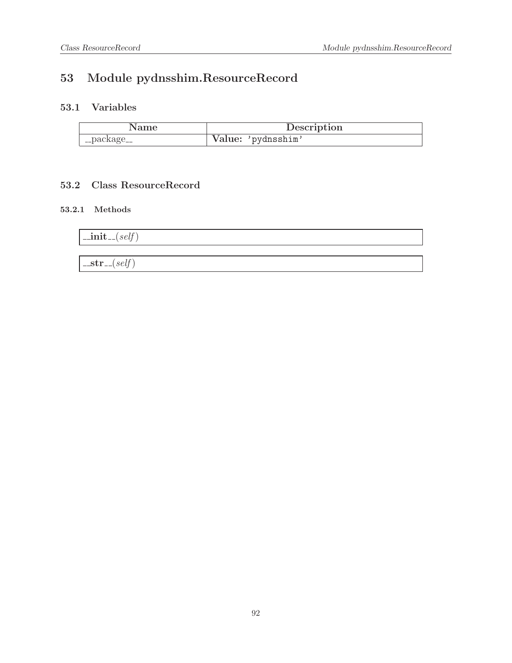# 53 Module pydnsshim.ResourceRecord

# 53.1 Variables

|             | Description        |
|-------------|--------------------|
| __package__ | Value: 'pydnsshim' |

## 53.2 Class ResourceRecord

#### 53.2.1 Methods

| $\vert$ _init_(self) |  |
|----------------------|--|
|                      |  |
| $l\_str_{-}(self)$   |  |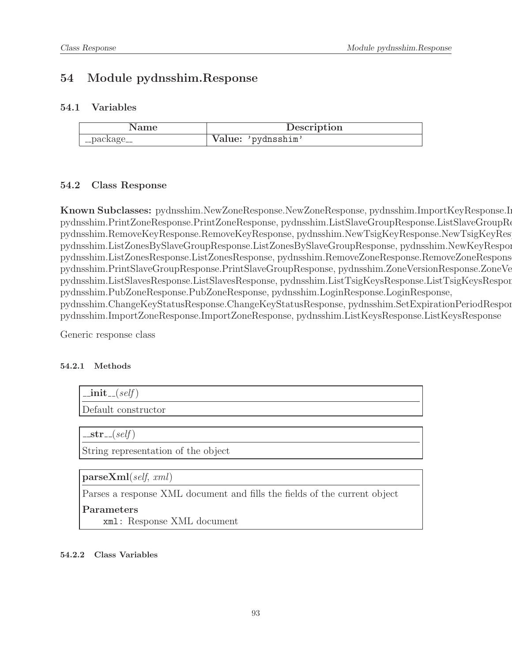# 54 Module pydnsshim.Response

#### 54.1 Variables

| Name        | Description        |
|-------------|--------------------|
| __package__ | Value: 'pydnsshim' |

#### <span id="page-92-0"></span>54.2 Class Response

Known Subclasses: pydnsshim.NewZoneResponse.NewZoneResponse, pydnsshim.ImportKeyResponse.I pydnsshim.PrintZoneResponse.PrintZoneResponse, pydnsshim.ListSlaveGroupResponse.ListSlaveGroupResp pydnsshim.RemoveKeyResponse.RemoveKeyResponse, pydnsshim.NewTsigKeyResponse.NewTsigKeyResp pydnsshim.ListZonesBySlaveGroupResponse.ListZonesBySlaveGroupResponse, pydnsshim.NewKeyRespon pydnsshim.ListZonesResponse.ListZonesResponse, pydnsshim.RemoveZoneResponse.RemoveZoneResponse, pydnsshim.PrintSlaveGroupResponse.PrintSlaveGroupResponse, pydnsshim.ZoneVersionResponse.ZoneVersionResp pydnsshim.ListSlavesResponse.ListSlavesResponse, pydnsshim.ListTsigKeysResponse.ListTsigKeysResponse, pydnsshim.PubZoneResponse.PubZoneResponse, pydnsshim.LoginResponse.LoginResponse, pydnsshim.ChangeKeyStatusResponse.ChangeKeyStatusResponse, pydnsshim.SetExpirationPeriodRespon pydnsshim.ImportZoneResponse.ImportZoneResponse, pydnsshim.ListKeysResponse.ListKeysResponse

Generic response class

#### 54.2.1 Methods

| $\text{unit}(\text{self})$          |
|-------------------------------------|
| Default constructor                 |
|                                     |
| $\vert$ _str_(self)                 |
| String representation of the object |

parseXml(self, xml)

Parses a response XML document and fills the fields of the current object

Parameters

xml: Response XML document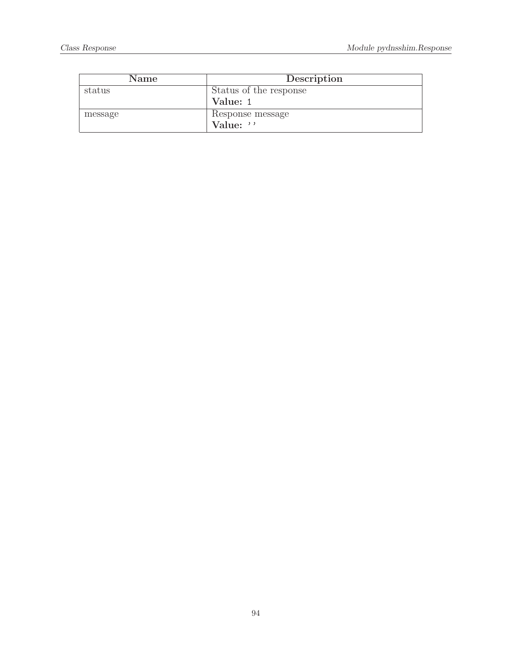| <b>Name</b> | Description            |
|-------------|------------------------|
| status      | Status of the response |
|             | Value: 1               |
| message     | Response message       |
|             | Value: ''              |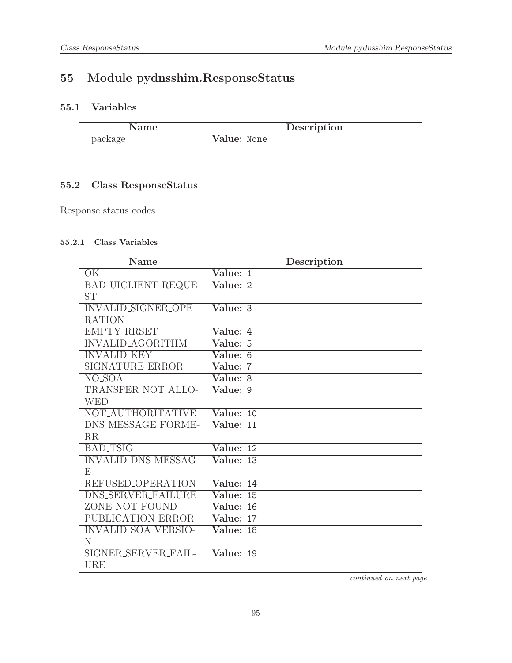# 55 Module pydnsshim.ResponseStatus

# 55.1 Variables

| Name        | Description |  |
|-------------|-------------|--|
| __package__ | Value: None |  |

# 55.2 Class ResponseStatus

Response status codes

#### 55.2.1 Class Variables

| Name                       | Description                    |
|----------------------------|--------------------------------|
| $\overline{\text{OK}}$     | $\overline{\text{Value: } 1}$  |
| BAD_UICLIENT_REQUE-        | Value: 2                       |
| <b>ST</b>                  |                                |
| <b>INVALID_SIGNER_OPE-</b> | $\overline{\text{Value: }3}$   |
| <b>RATION</b>              |                                |
| <b>EMPTY_RRSET</b>         | Value: 4                       |
| <b>INVALID_AGORITHM</b>    | Value: 5                       |
| <b>INVALID KEY</b>         | Value: 6                       |
| <b>SIGNATURE ERROR</b>     | Value: 7                       |
| $NO$ <sub>-SOA</sub>       | Value: 8                       |
| TRANSFER_NOT_ALLO-         | Value: 9                       |
| <b>WED</b>                 |                                |
| NOT AUTHORITATIVE          | $\overline{\text{Value: } 10}$ |
| DNS_MESSAGE_FORME-         | Value: 11                      |
| RR                         |                                |
| <b>BAD_TSIG</b>            | $\overline{\text{Value: } 12}$ |
| <b>INVALID_DNS_MESSAG-</b> | Value: 13                      |
| E                          |                                |
| REFUSED_OPERATION          | $\overline{\text{Value: } 14}$ |
| <b>DNS_SERVER_FAILURE</b>  | Value: 15                      |
| ZONE_NOT_FOUND             | Value: 16                      |
| PUBLICATION_ERROR          | Value: 17                      |
| <b>INVALID_SOA_VERSIO-</b> | Value: 18                      |
| N                          |                                |
| SIGNER_SERVER_FAIL-        | Value: 19                      |
| <b>URE</b>                 |                                |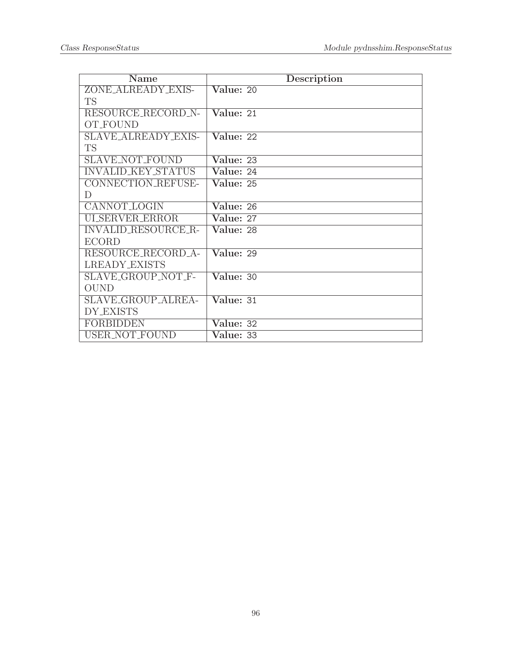| Name                       | Description                    |
|----------------------------|--------------------------------|
| ZONE_ALREADY_EXIS-         | Value: 20                      |
| TS                         |                                |
| RESOURCE_RECORD_N-         | Value: 21                      |
| <b>OT_FOUND</b>            |                                |
| SLAVE_ALREADY_EXIS-        | Value: 22                      |
| <b>TS</b>                  |                                |
| <b>SLAVE_NOT_FOUND</b>     | Value: 23                      |
| <b>INVALID_KEY_STATUS</b>  | Value: 24                      |
| CONNECTION_REFUSE-         | Value: 25                      |
| D                          |                                |
| CANNOT_LOGIN               | Value: 26                      |
| <b>ULSERVER_ERROR</b>      | Value: 27                      |
| <b>INVALID_RESOURCE_R-</b> | Value: 28                      |
| <b>ECORD</b>               |                                |
| RESOURCE RECORD A-         | Value: 29                      |
| LREADY_EXISTS              |                                |
| SLAVE_GROUP_NOT_F-         | Value: 30                      |
| <b>OUND</b>                |                                |
| SLAVE_GROUP_ALREA-         | Value: 31                      |
| <b>DY_EXISTS</b>           |                                |
| <b>FORBIDDEN</b>           | Value: 32                      |
| USER_NOT_FOUND             | $\overline{\text{Value}}$ : 33 |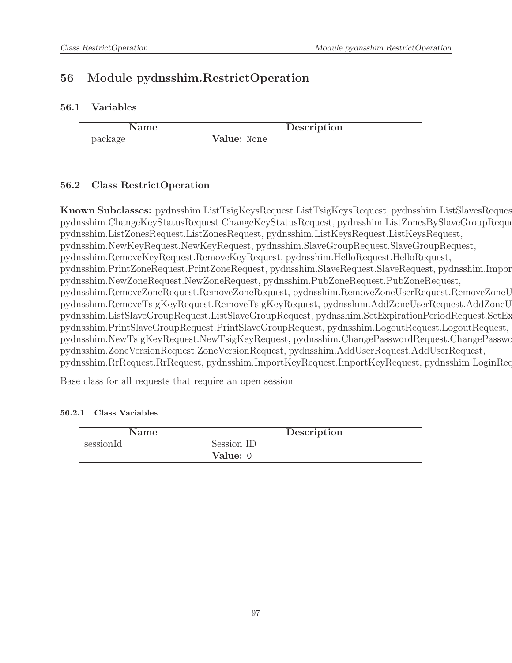# 56 Module pydnsshim.RestrictOperation

#### 56.1 Variables

|             | Description |  |
|-------------|-------------|--|
| __package__ | Value: None |  |

### <span id="page-96-0"></span>56.2 Class RestrictOperation

Known Subclasses: pydnsshim.ListTsigKeysRequest.ListTsigKeysRequest, pydnsshim.ListSlavesReques pydnsshim.ChangeKeyStatusRequest.ChangeKeyStatusRequest, pydnsshim.ListZonesBySlaveGroupRequest.ListZonesBySla pydnsshim.ListZonesRequest.ListZonesRequest, pydnsshim.ListKeysRequest.ListKeysRequest, pydnsshim.NewKeyRequest.NewKeyRequest, pydnsshim.SlaveGroupRequest.SlaveGroupRequest, pydnsshim.RemoveKeyRequest.RemoveKeyRequest, pydnsshim.HelloRequest.HelloRequest, pydnsshim.PrintZoneRequest.PrintZoneRequest, pydnsshim.SlaveRequest.SlaveRequest, pydnsshim.Import pydnsshim.NewZoneRequest.NewZoneRequest, pydnsshim.PubZoneRequest.PubZoneRequest, pydnsshim.RemoveZoneRequest.RemoveZoneRequest, pydnsshim.RemoveZoneUserRequest.RemoveZoneUserRequest, pydnsshim.RemoveTsigKeyRequest.RemoveTsigKeyRequest, pydnsshim.AddZoneUserRequest.AddZoneUserRequest, pydnsshim.ListSlaveGroupRequest.ListSlaveGroupRequest, pydnsshim.SetExpirationPeriodRequest.SetExpirationP pydnsshim.PrintSlaveGroupRequest.PrintSlaveGroupRequest, pydnsshim.LogoutRequest.LogoutRequest, pydnsshim.NewTsigKeyRequest.NewTsigKeyRequest, pydnsshim.ChangePasswordRequest.ChangePasswordRequest, pydnsshim.ZoneVersionRequest.ZoneVersionRequest, pydnsshim.AddUserRequest.AddUserRequest, pydnsshim.RrRequest.RrRequest, pydnsshim.ImportKeyRequest.ImportKeyRequest, pydnsshim.LoginRequest.

Base class for all requests that require an open session

| Name      | Description |
|-----------|-------------|
| sessionId | Session ID  |
|           | Value: 0    |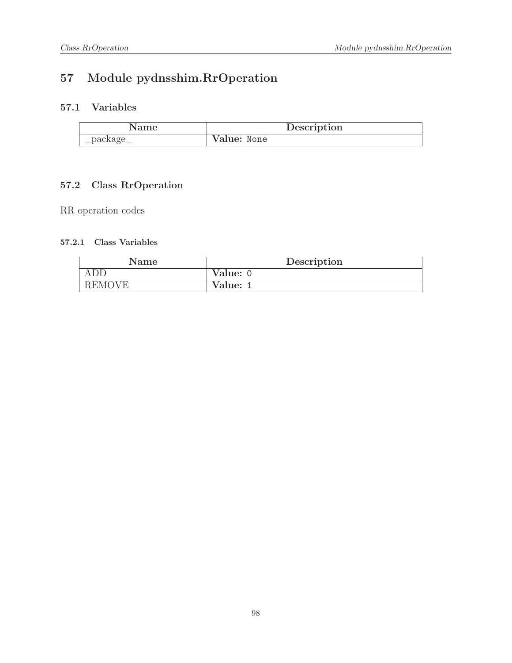# 57 Module pydnsshim.RrOperation

# 57.1 Variables

| Name       | Description |  |
|------------|-------------|--|
| '_package_ | Value: None |  |

# 57.2 Class RrOperation

RR operation codes

| Name          | Description |  |
|---------------|-------------|--|
| ADD           | Value: 0    |  |
| <b>REMOVE</b> | Value: 1    |  |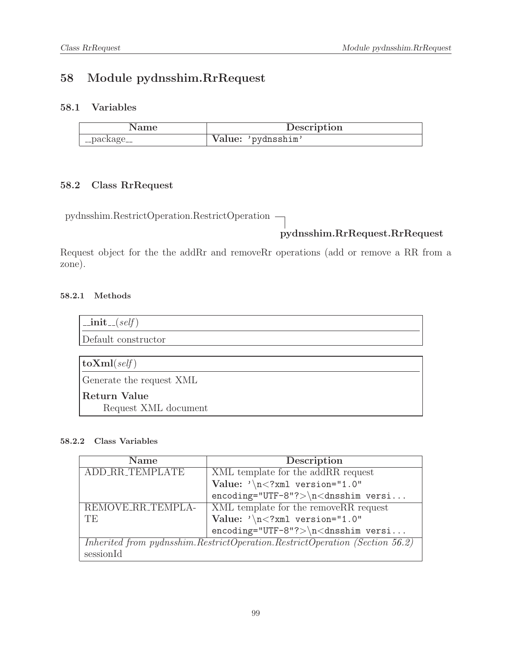# 58 Module pydnsshim.RrRequest

### 58.1 Variables

| Name          | Description        |
|---------------|--------------------|
| ' __package__ | Value: 'pydnsshim' |

# 58.2 Class RrRequest

pydnsshim.RestrictOperation.RestrictOperation

# pydnsshim.RrRequest.RrRequest

Request object for the the addRr and removeRr operations (add or remove a RR from a zone).

#### 58.2.1 Methods

| $\text{unit}$ <sub>--</sub> $(self)$ |
|--------------------------------------|
| Default constructor                  |
|                                      |
| $\textbf{toXml}(\text{self})$        |
| Generate the request XML             |
| <b>Return Value</b>                  |
| Request XML document                 |

| <b>Name</b>                                                                 | Description                                             |
|-----------------------------------------------------------------------------|---------------------------------------------------------|
| ADD_RR_TEMPLATE                                                             | XML template for the addRR request                      |
|                                                                             | Value: $\sqrt{n}$ xml version="1.0"</th                 |
|                                                                             | $encoding="UTF-8"?\rangle \n\land \n<\ndnsshim \ versi$ |
| REMOVE_RR_TEMPLA-                                                           | XML template for the removeRR request                   |
| TE                                                                          | Value: $\sqrt{n}$ /xml version="1.0"                    |
|                                                                             | $encoding="UTF-8"?>\n<\ndnsshim versi$                  |
| Inherited from pydnsshim.RestrictOperation.RestrictOperation (Section 56.2) |                                                         |
| sessionId                                                                   |                                                         |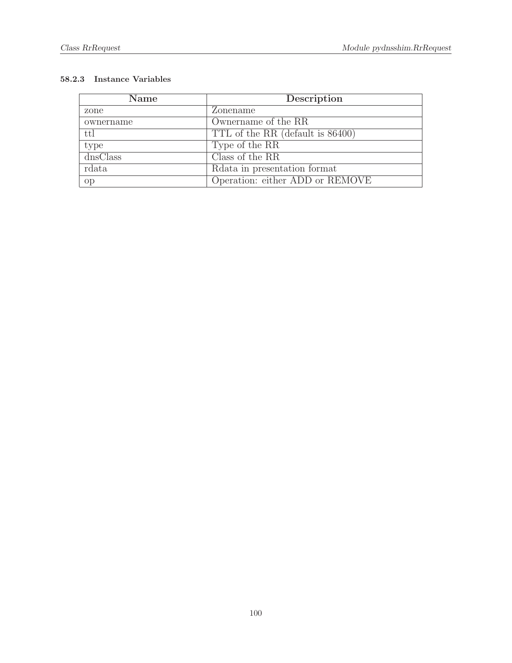| Name                         | Description                      |
|------------------------------|----------------------------------|
| zone                         | Zonename                         |
| ownername                    | Ownername of the RR              |
| ttl                          | TTL of the RR (default is 86400) |
| type                         | Type of the RR                   |
| $\overline{\text{dnsClass}}$ | Class of the RR                  |
| rdata                        | Related in presentation format   |
| op                           | Operation: either ADD or REMOVE  |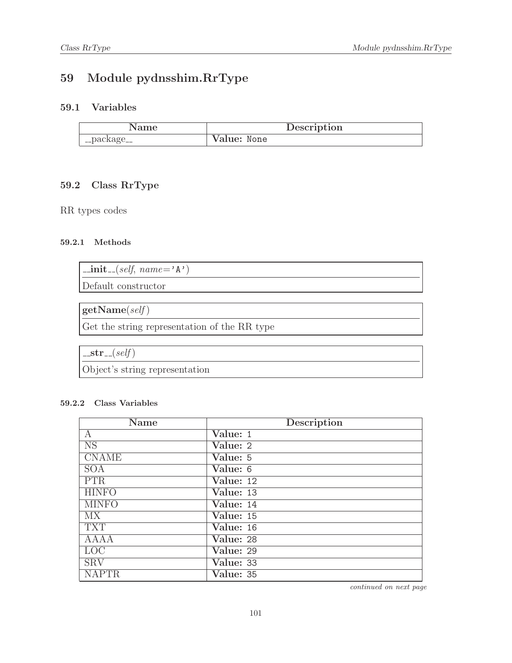# 59 Module pydnsshim.RrType

# 59.1 Variables

| Name        | Description |
|-------------|-------------|
| __package__ | Value: None |

# 59.2 Class RrType

RR types codes

#### 59.2.1 Methods

| $\vert$ _init_(self, name='A') |  |
|--------------------------------|--|
| Default constructor            |  |

 $getName(self)$ Get the string representation of the RR type

 $-str_{-}(self)$ 

Object's string representation

#### 59.2.2 Class Variables

| <b>Name</b>            | Description                   |
|------------------------|-------------------------------|
| A                      | Value: 1                      |
| $\overline{\text{NS}}$ | $\overline{\text{Value: }} 2$ |
| <b>CNAME</b>           | Value: 5                      |
| <b>SOA</b>             | Value: 6                      |
| <b>PTR</b>             | Value: 12                     |
| <b>HINFO</b>           | $\overline{\text{Value:}}$ 13 |
| <b>MINFO</b>           | $\overline{\text{Value:}}$ 14 |
| <b>MX</b>              | Value: 15                     |
| <b>TXT</b>             | Value: 16                     |
| AAAA                   | Value: 28                     |
| $\overline{LOC}$       | Value: 29                     |
| <b>SRV</b>             | $\overline{\text{Value:}}$ 33 |
| <b>NAPTR</b>           | Value: 35                     |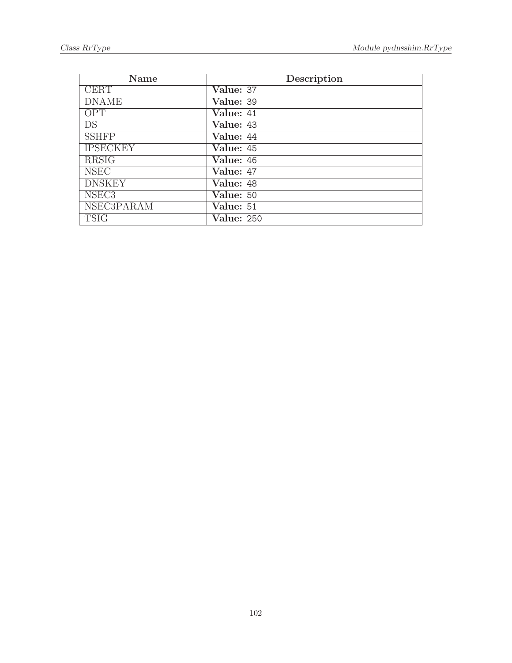| Name                   | Description       |
|------------------------|-------------------|
| <b>CERT</b>            | Value: 37         |
| <b>DNAME</b>           | Value: 39         |
| OPT                    | Value: 41         |
| $\overline{\text{DS}}$ | Value: 43         |
| <b>SSHFP</b>           | Value: 44         |
| <b>IPSECKEY</b>        | Value: 45         |
| <b>RRSIG</b>           | Value: 46         |
| <b>NSEC</b>            | Value: 47         |
| <b>DNSKEY</b>          | Value: 48         |
| NSEC <sub>3</sub>      | Value: 50         |
| <b>NSEC3PARAM</b>      | Value: 51         |
| <b>TSIG</b>            | <b>Value: 250</b> |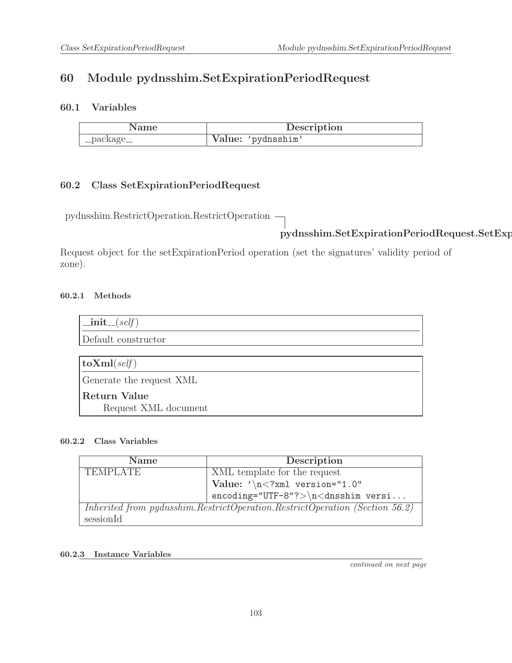# 60 Module pydnsshim.SetExpirationPeriodRequest

### 60.1 Variables

|             | Description        |
|-------------|--------------------|
| __package__ | Value: 'pydnsshim' |

### 60.2 Class SetExpirationPeriodRequest

pydnsshim.RestrictOperation.RestrictOperation

# pydnsshim.SetExpirationPeriodRequest.SetExpirationP

Request object for the setExpirationPeriod operation (set the signatures' validity period of zone).

#### 60.2.1 Methods

| $\text{unit}$ <sub>--</sub> $(self)$ |
|--------------------------------------|
| Default constructor                  |
|                                      |
| $\textbf{toXml}(\text{self})$        |
| Generate the request XML             |
| Return Value                         |
| Request XML document                 |

#### 60.2.2 Class Variables

| <b>Name</b>     | Description                                                                 |
|-----------------|-----------------------------------------------------------------------------|
| <b>TEMPLATE</b> | XML template for the request                                                |
|                 | Value: $\sqrt{n}$ xml version="1.0"</th                                     |
|                 | $encoding="UTF-8"?>\n\n<dnsshim versi$                                      |
|                 | Inherited from pydnsshim.RestrictOperation.RestrictOperation (Section 56.2) |
| sessionId       |                                                                             |

#### 60.2.3 Instance Variables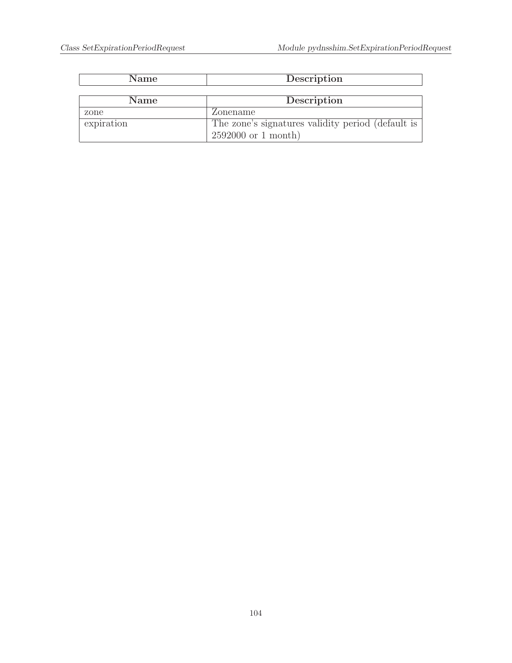| <b>Name</b> | Description                                       |
|-------------|---------------------------------------------------|
|             |                                                   |
| <b>Name</b> | Description                                       |
| zone        | Zonename                                          |
| expiration  | The zone's signatures validity period (default is |
|             | $2592000$ or 1 month)                             |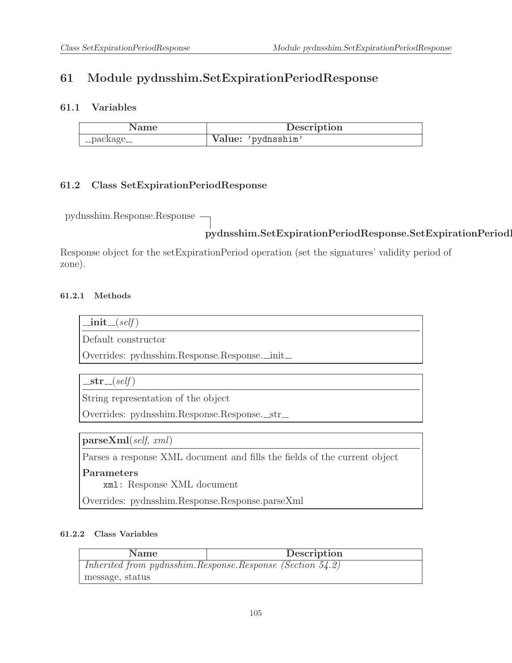# 61 Module pydnsshim.SetExpirationPeriodResponse

### 61.1 Variables

|             | Description        |
|-------------|--------------------|
| __package__ | Value: 'pydnsshim' |

# 61.2 Class SetExpirationPeriodResponse

pydnsshim.Response.Response

# pydnsshim.SetExpirationPeriodResponse.SetExpirationPeriod

Response object for the setExpirationPeriod operation (set the signatures' validity period of zone).

### 61.2.1 Methods

 $\_{\rm init}$  (self)

Default constructor

Overrides: pydnsshim.Response.Response.\_init\_

 $-str_{-}(self)$ 

String representation of the object

Overrides: pydnsshim.Response.Response.\_str\_

parseXml(self, xml)

Parses a response XML document and fills the fields of the current object

#### Parameters

xml: Response XML document

Overrides: pydnsshim.Response.Response.parseXml

| Name                                                           | Description |
|----------------------------------------------------------------|-------------|
| Inherited from pydnsshim. Response. Response (Section $54.2$ ) |             |
| message, status                                                |             |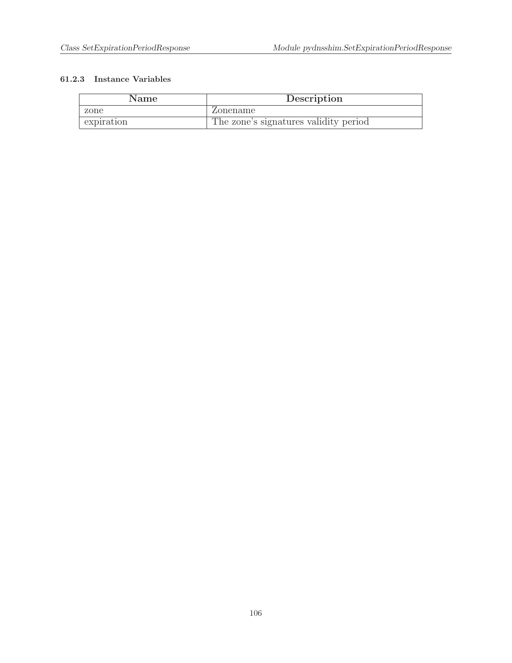| Name       | Description                           |
|------------|---------------------------------------|
| zone       | Zonename                              |
| expiration | The zone's signatures validity period |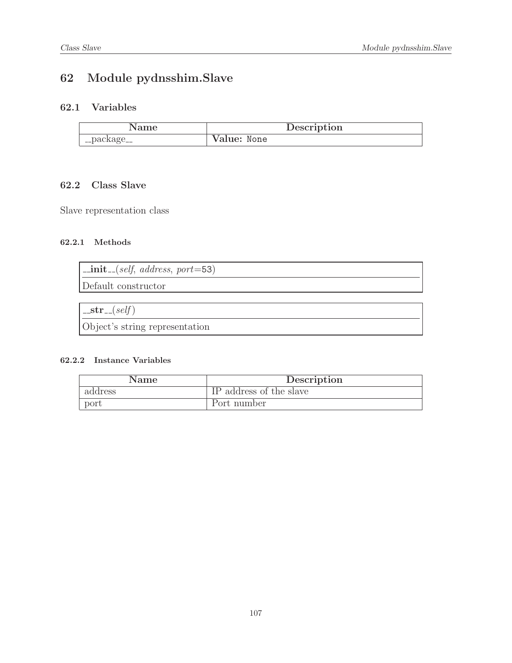# 62 Module pydnsshim.Slave

# 62.1 Variables

|             | Description |
|-------------|-------------|
| __package__ | Value: None |

# 62.2 Class Slave

Slave representation class

#### 62.2.1 Methods

| $\vert$ _init_(self, address, port=53) |  |
|----------------------------------------|--|
| Default constructor                    |  |
|                                        |  |

 $-str_{-}(self)$ Object's string representation

| Name.   | Description             |
|---------|-------------------------|
| address | IP address of the slave |
| port    | Port number             |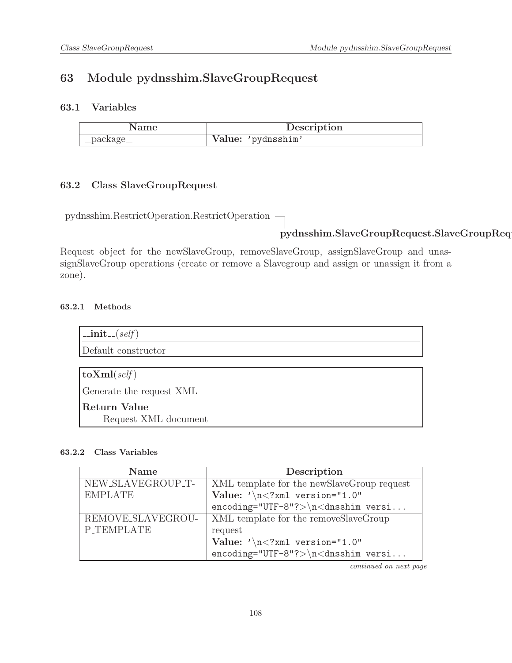# 63 Module pydnsshim.SlaveGroupRequest

### 63.1 Variables

| Name        | Description        |
|-------------|--------------------|
| __package__ | Value: 'pydnsshim' |

### 63.2 Class SlaveGroupRequest

pydnsshim.RestrictOperation.RestrictOperation

# pydnsshim.SlaveGroupRequest.SlaveGroupRequest

Request object for the newSlaveGroup, removeSlaveGroup, assignSlaveGroup and unassignSlaveGroup operations (create or remove a Slavegroup and assign or unassign it from a zone).

#### 63.2.1 Methods

| $\text{unit} \_\text{self}$   |
|-------------------------------|
| Default constructor           |
|                               |
| $\textbf{toXml}(\text{self})$ |
| Generate the request XML      |
| <b>Return Value</b>           |
| Request XML document          |

#### 63.2.2 Class Variables

| <b>Name</b>       | Description                                                |
|-------------------|------------------------------------------------------------|
| NEW_SLAVEGROUP_T- | XML template for the newSlaveGroup request                 |
| <b>EMPLATE</b>    | Value: $\sqrt{n}$ /xml version="1.0"                       |
|                   | $encoding="UTF-8"?>\n<\ndnsshim versi$                     |
| REMOVE_SLAVEGROU- | XML template for the removeSlaveGroup                      |
| <b>P_TEMPLATE</b> | request                                                    |
|                   | Value: $\sqrt{n}$ /xml version="1.0"                       |
|                   | $encoding="UTF-8"?\rangle \n\backslash n\lt dnsshim versi$ |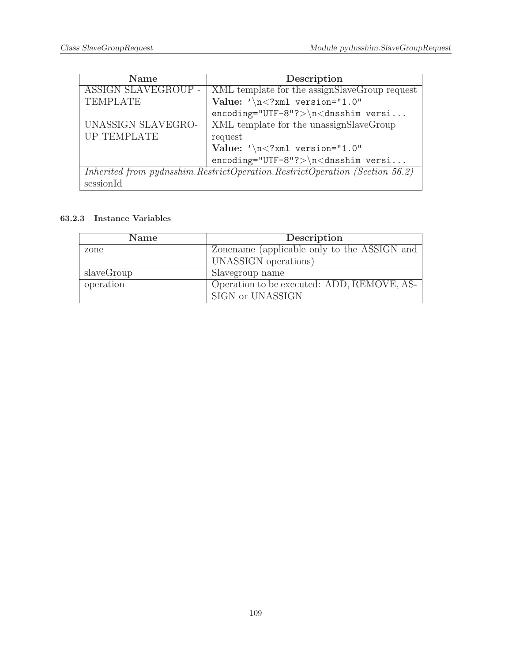<span id="page-108-0"></span>

| <b>Name</b>         | Description                                                                 |
|---------------------|-----------------------------------------------------------------------------|
| ASSIGN_SLAVEGROUP_- | XML template for the assignSlaveGroup request                               |
| <b>TEMPLATE</b>     | Value: $\sqrt{n}$ /xml version="1.0"                                        |
|                     | $encoding="UTF-8"?>\n<\n<\ndnsshim$ versi                                   |
| UNASSIGN_SLAVEGRO-  | XML template for the unassignSlaveGroup                                     |
| UP_TEMPLATE         | request                                                                     |
|                     | Value: $\sqrt{n}$ /xml version="1.0"                                        |
|                     | $encoding="UTF-8"?>\n<\n<\ndnsshim$ versi                                   |
|                     | Inherited from pydnsshim.RestrictOperation.RestrictOperation (Section 56.2) |
| sessionId           |                                                                             |

| <b>Name</b> | Description                                 |
|-------------|---------------------------------------------|
| zone        | Zonename (applicable only to the ASSIGN and |
|             | UNASSIGN operations)                        |
| slaveGroup  | Slavegroup name                             |
| operation   | Operation to be executed: ADD, REMOVE, AS-  |
|             | SIGN or UNASSIGN                            |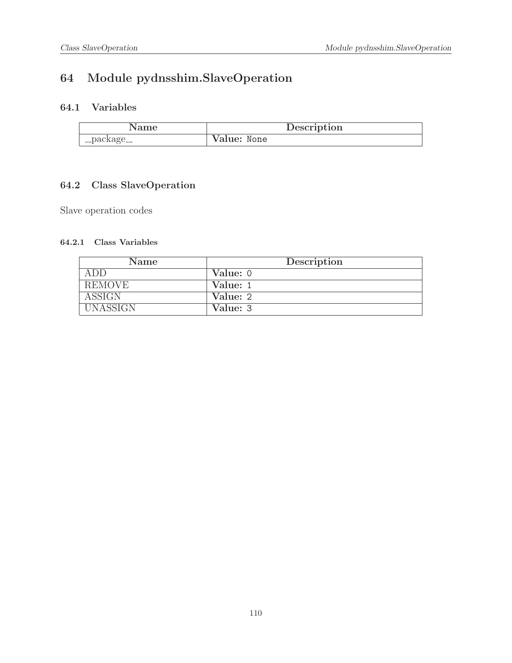# 64 Module pydnsshim.SlaveOperation

## 64.1 Variables

| Name        | Description |
|-------------|-------------|
| __package__ | Value: None |

## 64.2 Class SlaveOperation

Slave operation codes

#### 64.2.1 Class Variables

| Name            | Description |
|-----------------|-------------|
| ADD             | Value: 0    |
| REMOVE          | Value: 1    |
| <b>ASSIGN</b>   | Value: 2    |
| <b>UNASSIGN</b> | Value: 3    |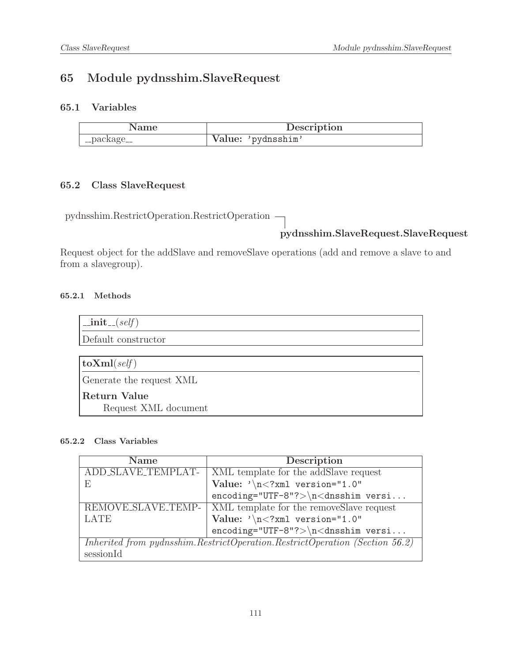## 65 Module pydnsshim.SlaveRequest

### 65.1 Variables

| Name        | Description        |
|-------------|--------------------|
| __package__ | Value: 'pydnsshim' |

## 65.2 Class SlaveRequest

pydnsshim.RestrictOperation.RestrictOperation

## pydnsshim.SlaveRequest.SlaveRequest

Request object for the addSlave and removeSlave operations (add and remove a slave to and from a slavegroup).

#### 65.2.1 Methods

| $\text{unit}$ <sub>--</sub> $(self)$ |
|--------------------------------------|
| Default constructor                  |
|                                      |
| $\textbf{toXml}(\text{self})$        |
| Generate the request XML             |
| Return Value                         |
| Request XML document                 |

#### 65.2.2 Class Variables

| <b>Name</b>        | Description                                                                    |
|--------------------|--------------------------------------------------------------------------------|
| ADD_SLAVE_TEMPLAT- | XML template for the addSlave request                                          |
| F,                 | Value: $\sqrt{n}$ xml version="1.0"</td                                        |
|                    | $encoding="UTF-8"?>\n<\ndnsshim versi$                                         |
| REMOVE SLAVE TEMP- | XML template for the removeSlave request                                       |
| <b>LATE</b>        | Value: $\sqrt{n}$ xml version="1.0"</td                                        |
|                    | $encoding="UTF-8"?>\n<\ndnsshim versi$                                         |
|                    | Inherited from $pyd$ nsshim.RestrictOperation.RestrictOperation (Section 56.2) |
| sessionId          |                                                                                |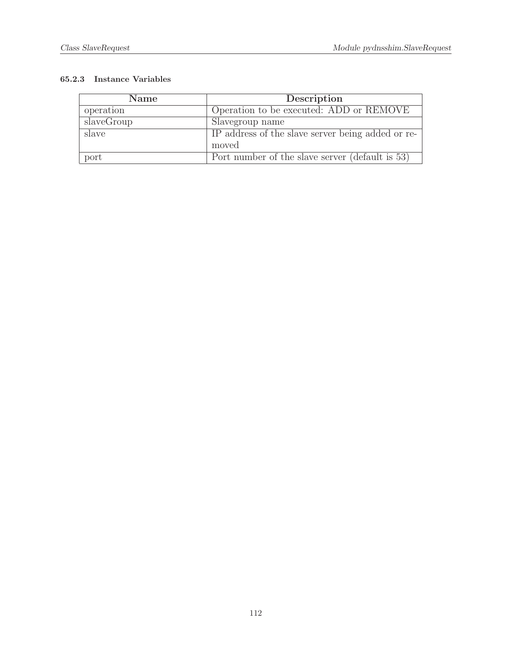| Name       | Description                                       |
|------------|---------------------------------------------------|
| operation  | Operation to be executed: ADD or REMOVE           |
| slaveGroup | Slavegroup name                                   |
| slave      | IP address of the slave server being added or re- |
|            | moved                                             |
| port       | Port number of the slave server (default is 53)   |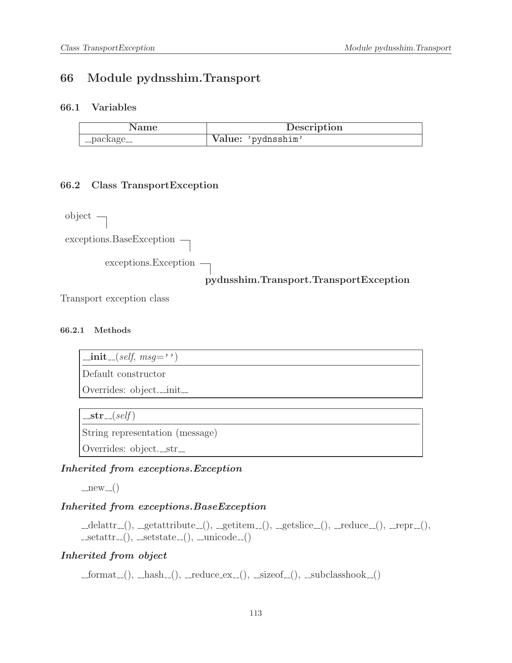## 66 Module pydnsshim.Transport

#### 66.1 Variables

|           | Description        |
|-----------|--------------------|
| -package_ | Value: 'pydnsshim' |

#### 66.2 Class TransportException

object exceptions.BaseException $\rightharpoondown$ exceptions.Exception pydnsshim.Transport.TransportException

Transport exception class

#### 66.2.1 Methods

 $\text{\_init}\text{\_}(\text{self},\text{msg}=\cdots)$ 

Default constructor

Overrides: object.\_init\_

 $-str_{-}(self)$ 

String representation (message)

Overrides: object.\_str\_

#### Inherited from exceptions.Exception

 $-new_{-}()$ 

#### Inherited from exceptions.BaseException

 $\text{Ldelattr.}(), \text{Lgetattribute.}(), \text{Lgetitem.}(), \text{Lgetslice.}(), \text{Lreduce.}(), \text{Lrepr.}(),$  $-{\rm setattr}$  $=$  (),  $-{\rm setstate}$  $=$  (),  $-{\rm unicode}$  $=$  ()

#### Inherited from object

 ${\sf Lformat}_-(), {\sf Lhash}_-(), {\sf Lreduce\_ex}_-(), {\sf Lsizeof}_-(), {\sf Lsubclasshook}_-()$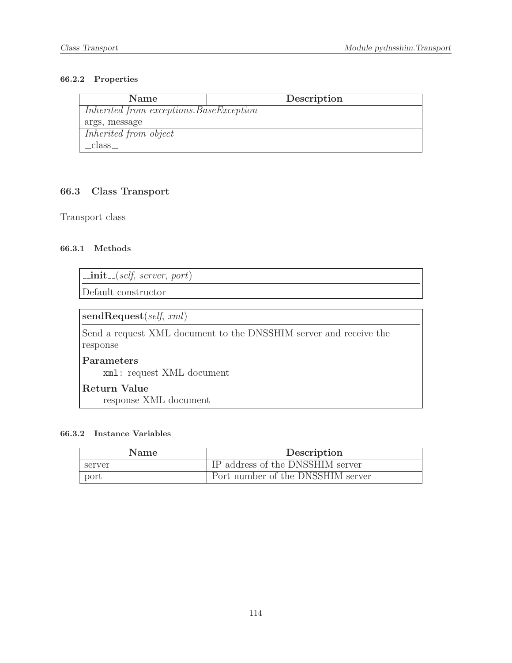#### 66.2.2 Properties

| <b>Name</b>                              | Description |
|------------------------------------------|-------------|
| Inherited from exceptions. BaseException |             |
| args, message                            |             |
| Inherited from object                    |             |
| _class_                                  |             |

### 66.3 Class Transport

Transport class

#### 66.3.1 Methods

 $\text{unit} \text{1}$  (self, server, port)

Default constructor

sendRequest(self, xml)

Send a request XML document to the DNSSHIM server and receive the response

Parameters

xml: request XML document

## Return Value

response XML document

| Name   | Description                       |
|--------|-----------------------------------|
| server | IP address of the DNSSHIM server  |
| port   | Port number of the DNSSHIM server |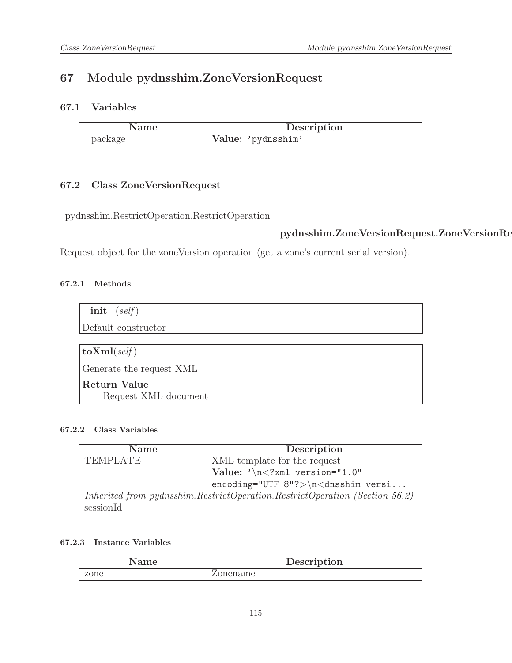## 67 Module pydnsshim.ZoneVersionRequest

### 67.1 Variables

| Name            | Description        |
|-----------------|--------------------|
| $\lq$ _package_ | Value: 'pydnsshim' |

## 67.2 Class ZoneVersionRequest

pydnsshim.RestrictOperation.RestrictOperation

# pydnsshim.ZoneVersionRequest.ZoneVersionRequest

Request object for the zoneVersion operation (get a zone's current serial version).

#### 67.2.1 Methods

| $\text{unit}$ <sub>-(self)</sub>            |
|---------------------------------------------|
| Default constructor                         |
|                                             |
| $ $ to $\mathrm{Xml}(self)$                 |
| Generate the request XML                    |
| <b>Return Value</b><br>Request XML document |

#### 67.2.2 Class Variables

| <b>Name</b>     | Description                                                                 |
|-----------------|-----------------------------------------------------------------------------|
| <b>TEMPLATE</b> | XML template for the request                                                |
|                 | Value: $\sqrt{n}$ xml version="1.0"</th                                     |
|                 | $encoding="UTF-8"?>\n<\ndnsshim versi$                                      |
|                 | Inherited from pydnsshim.RestrictOperation.RestrictOperation (Section 56.2) |
| sessionId       |                                                                             |

| ame  | Description |
|------|-------------|
| zone | mename      |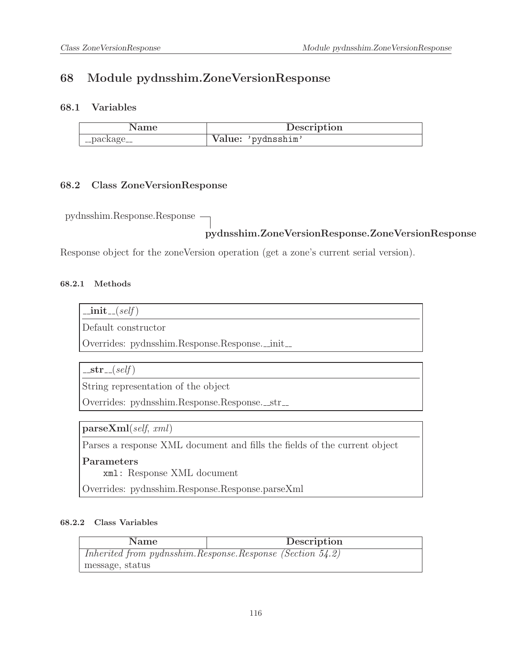## 68 Module pydnsshim.ZoneVersionResponse

### 68.1 Variables

|           | Description        |
|-----------|--------------------|
| -package_ | Value: 'pydnsshim' |

#### 68.2 Class ZoneVersionResponse

pydnsshim.Response.Response

## pydnsshim.ZoneVersionResponse.ZoneVersionResponse

Response object for the zoneVersion operation (get a zone's current serial version).

#### 68.2.1 Methods

| . | sett |
|---|------|
|   |      |
|   |      |

Default constructor

Overrides: pydnsshim.Response.Response.\_init\_

 $-str_{-}(self)$ 

String representation of the object

Overrides: pydnsshim.Response.Response.\_str\_

parseXml(self, xml)

Parses a response XML document and fills the fields of the current object

Parameters

xml: Response XML document

Overrides: pydnsshim.Response.Response.parseXml

#### 68.2.2 Class Variables

| <b>Name</b>                                               | Description |
|-----------------------------------------------------------|-------------|
| Inherited from pydnsshim.Response.Response (Section 54.2) |             |
| message, status                                           |             |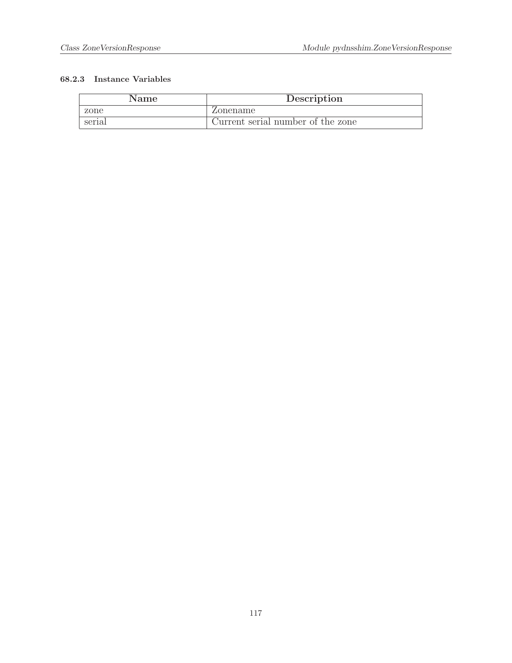| Name   | Description                       |
|--------|-----------------------------------|
| zone   | Zonename                          |
| serial | Current serial number of the zone |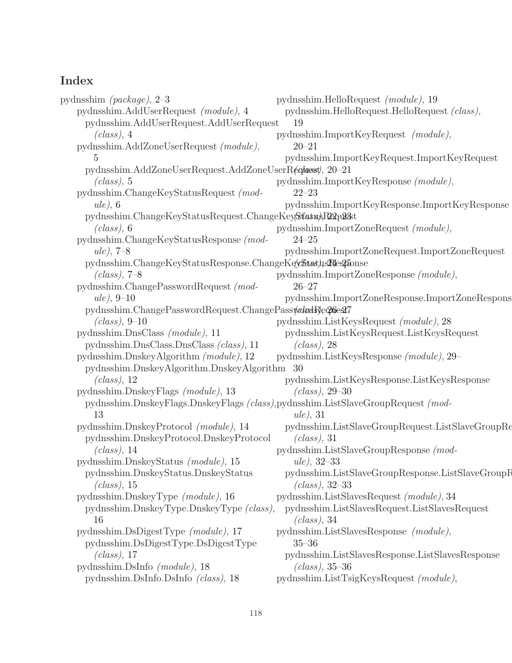# Index

pydnsshim (package), [2](#page-1-0)[–3](#page-2-0) pydnsshim.AddUserRequest (module), [4](#page-3-0) pydnsshim.AddUserRequest.AddUserRequest  $(class)$ , [4](#page-3-0) pydnsshim.AddZoneUserRequest (module), [5](#page-4-0) pydnsshim.AddZoneUserRequest.AddZoneUserReqlasst, [20](#page-19-0)[–21](#page-20-0)  $(class)$ , [5](#page-4-0) pydnsshim.ChangeKeyStatusRequest (mod $ule)$ , [6](#page-5-0) pydnsshim.ChangeKeyStatus[Req](#page-21-0)[ues](#page-22-0)t.ChangeKey<mark>Status\R22<sub>T</sub>u2</mark>3st  $(class)$ , [6](#page-5-0) pydnsshim.ChangeKeyStatusResponse (module), [7](#page-6-0)[–8](#page-7-0) pydnsshim.ChangeKeyStatu[sRe](#page-23-0)[spo](#page-24-0)nse.ChangeKey<del>Last), 24e215</del>onse  $(class)$ , [7](#page-6-0)[–8](#page-7-0) pydnsshim.ChangePasswordRequest (mod- $ule, 9-10$  $ule, 9-10$  $ule, 9-10$ pydnsshim.ChangePasswordRe[que](#page-25-0)st.ChangePass<del>woodR</del>equest  $(class)$ , [9](#page-8-0)[–10](#page-9-0) pydnsshim.DnsClass (module), [11](#page-10-0) pydnsshim.DnsClass.DnsClass (class), [11](#page-10-0) pydnsshim.DnskeyAlgorithm (module), [12](#page-11-0) pydnsshim.DnskeyAlgorithm.DnskeyAlgorithm [30](#page-29-0)  $(class)$ , [12](#page-11-0) pydnsshim.DnskeyFlags (module), [13](#page-12-0) pydnsshim.DnskeyFlags.DnskeyFlags (class), pydnsshim.ListSlaveGroupRequest (mod-[13](#page-12-0) pydnsshim.DnskeyProtocol (module), [14](#page-13-0) pydnsshim.DnskeyProtocol.DnskeyProtocol  $(class)$ , [14](#page-13-0) pydnsshim.DnskeyStatus (module), [15](#page-14-0) pydnsshim.DnskeyStatus.DnskeyStatus  $(class), 15$  $(class), 15$ pydnsshim.DnskeyType (module), [16](#page-15-0) pydnsshim.DnskeyType.DnskeyType (class), [16](#page-15-0) pydnsshim.DsDigestType (module), [17](#page-16-0) pydnsshim.DsDigestType.DsDigestType  $(class), 17$  $(class), 17$ pydnsshim.DsInfo (module), [18](#page-17-0) pydnsshim.DsInfo.DsInfo (class), [18](#page-17-0) pydnsshim.HelloRequest (module), [19](#page-18-0) pydnsshim.HelloRequest.HelloRequest (class), [19](#page-18-0) pydnsshim.ImportKeyRequest (module), [20–](#page-19-0)[21](#page-20-0) pydnsshim.ImportKeyRequest.ImportKeyRequest pydnsshim.ImportKeyResponse (module), [22–](#page-21-0)[23](#page-22-0) pydnsshim.ImportKeyResponse.ImportKeyResponse pydnsshim.ImportZoneRequest (module), [24–](#page-23-0)[25](#page-24-0) pydnsshim.ImportZoneRequest.ImportZoneRequest pydnsshim.ImportZoneResponse (module), [26–](#page-25-0)[27](#page-26-0) pydnsshim.ImportZoneResponse.ImportZoneResponse pydnsshim.ListKeysRequest (module), [28](#page-27-0) pydnsshim.ListKeysRequest.ListKeysRequest  $(class)$ , [28](#page-27-0) pydnsshim.ListKeysResponse (module), [29–](#page-28-0) pydnsshim.ListKeysResponse.ListKeysResponse (class), [29](#page-28-0)[–30](#page-29-0) ule), [31](#page-30-0) pydnsshim.ListSlaveGroupRequest.ListSlaveGroupRequest  $(class)$ , [31](#page-30-0) pydnsshim.ListSlaveGroupResponse (module), [32](#page-31-0)[–33](#page-32-0) pydnsshim.ListSlaveGroupResponse.ListSlaveGroupResp (class), [32](#page-31-0)[–33](#page-32-0) pydnsshim.ListSlavesRequest (module), [34](#page-33-0) pydnsshim.ListSlavesRequest.ListSlavesRequest  $(class)$ , [34](#page-33-0) pydnsshim.ListSlavesResponse (module), [35–](#page-34-0)[36](#page-35-0) pydnsshim.ListSlavesResponse.ListSlavesResponse (class), [35](#page-34-0)[–36](#page-35-0) pydnsshim.ListTsigKeysRequest (module),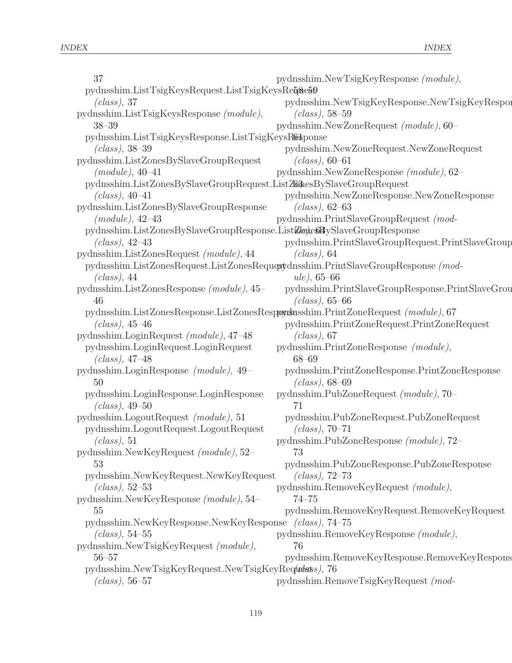| 37                                                                                | pydnsshim.NewTsigKeyResponse (module),                                            |
|-----------------------------------------------------------------------------------|-----------------------------------------------------------------------------------|
| pydnsshim.ListTsigKeysRequest.ListTsigKeysRe $\bar{q}$ &e50                       |                                                                                   |
| (class), 37                                                                       | pydnsshim.NewTsigKeyResponse.NewTsigKeyRespon                                     |
| pydnsshim.ListTsigKeysResponse (module),                                          | $(class)$ , 58–59                                                                 |
| $38 - 39$                                                                         | pydnsshim.NewZoneRequest (module), 60-                                            |
| pydnsshim.ListTsigKeysResponse.ListTsigKeysResponse                               |                                                                                   |
| $(class), 38-39$                                                                  | pydnsshim.NewZoneRequest.NewZoneRequest                                           |
| pydnsshim.ListZonesBySlaveGroupRequest                                            | $(class)$ , 60–61                                                                 |
| $(module), 40-41$                                                                 | pydnsshim.NewZoneResponse (module), 62-                                           |
| pydnsshim.ListZonesBySlaveGroupRequest.ListZonesBySlaveGroupRequest               |                                                                                   |
| $(class), 40-41$                                                                  | pydnsshim.NewZoneResponse.NewZoneResponse                                         |
| pydnsshim.ListZonesBySlaveGroupResponse                                           | $(class)$ , 62–63                                                                 |
| $(module), 42-43$                                                                 | pydnsshim.PrintSlaveGroupRequest (mod-                                            |
| pydnsshim.ListZonesBySlaveGroupResponse.ListZeneSBySlaveGroupResponse             |                                                                                   |
| ( <i>class</i> ), $42-43$                                                         | pydnsshim.PrintSlaveGroupRequest.PrintSlaveGroup                                  |
| pydnsshim.ListZonesRequest (module), 44                                           | $(class)$ , 64                                                                    |
|                                                                                   | pydnsshim.ListZonesRequest.ListZonesRequestydnsshim.PrintSlaveGroupResponse (mod- |
| (class), 44                                                                       | $ule, 65-66$                                                                      |
| pydnsshim.ListZonesResponse (module), 45-                                         | pydnsshim.PrintSlaveGroupResponse.PrintSlaveGrou                                  |
| 46                                                                                | $(class)$ , 65–66                                                                 |
| pydnsshim.ListZonesResponse.ListZonesRespondensshim.PrintZoneRequest (module), 67 |                                                                                   |
| $(class), 45-46$                                                                  | pydnsshim.PrintZoneRequest.PrintZoneRequest                                       |
| pydnsshim.LoginRequest (module), 47-48                                            | (class), 67                                                                       |
| pydnsshim.LoginRequest.LoginRequest                                               | pydnsshim.PrintZoneResponse (module),                                             |
| $(class), 47-48$                                                                  | $68 - 69$                                                                         |
| pydnsshim.LoginResponse (module), 49-                                             | pydnsshim.PrintZoneResponse.PrintZoneResponse                                     |
| 50                                                                                | $(class)$ , 68–69                                                                 |
| pydnsshim.LoginResponse.LoginResponse                                             | pydnsshim.PubZoneRequest (module), 70-                                            |
| $(class), 49-50$                                                                  | 71                                                                                |
| pydnsshim.LogoutRequest (module), 51                                              | pydnsshim.PubZoneRequest.PubZoneRequest                                           |
| pydnsshim.LogoutRequest.LogoutRequest                                             | $(class), 70-71$                                                                  |
| (class), 51                                                                       | pydnsshim.PubZoneResponse (module), 72-                                           |
| pydnsshim.NewKeyRequest (module), 52-                                             | 73                                                                                |
| 53                                                                                | pydnsshim.PubZoneResponse.PubZoneResponse                                         |
| pydnsshim.NewKeyRequest.NewKeyRequest                                             | (class), 72–73                                                                    |
| ( <i>class</i> ), $52-53$                                                         | pydnsshim.RemoveKeyRequest (module),                                              |
| pydnsshim.NewKeyResponse (module), 54-                                            | $74 - 75$                                                                         |
| 55                                                                                | pydnsshim.RemoveKeyRequest.RemoveKeyRequest                                       |
| pydnsshim.NewKeyResponse.NewKeyResponse                                           | (class), 74–75                                                                    |
| ( <i>class</i> ), $54-55$                                                         | pydnsshim.RemoveKeyResponse (module),                                             |
| pydnsshim.NewTsigKeyRequest (module),                                             | 76                                                                                |
| $56 - 57$                                                                         | pydnsshim.RemoveKeyResponse.RemoveKeyRespons                                      |
| pydnsshim.NewTsigKeyRequest.NewTsigKeyRequests), 76                               |                                                                                   |
| $(class)$ , 56–57                                                                 | pydnsshim.RemoveTsigKeyRequest (mod-                                              |
|                                                                                   |                                                                                   |